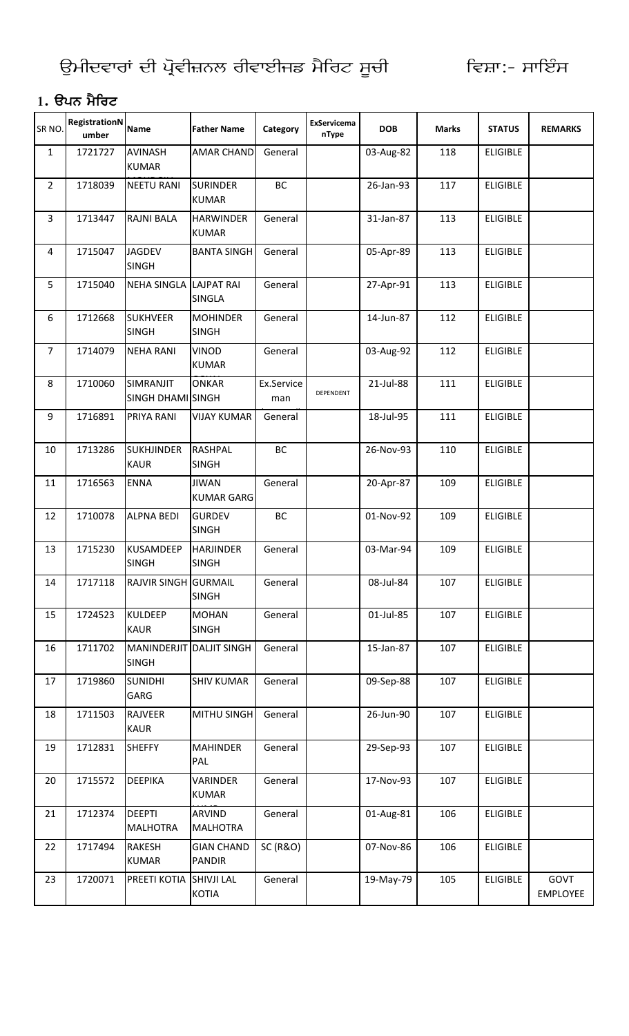#### 1. ੳਪਨ ਮੈਰਿਟ

| SR <sub>NO</sub> | <b>RegistrationN</b><br>umber | <b>Name</b>                              | <b>Father Name</b>                 | Category            | ExServicema<br>nType | <b>DOB</b> | <b>Marks</b> | <b>STATUS</b>   | <b>REMARKS</b>          |
|------------------|-------------------------------|------------------------------------------|------------------------------------|---------------------|----------------------|------------|--------------|-----------------|-------------------------|
| $\mathbf{1}$     | 1721727                       | <b>AVINASH</b><br><b>KUMAR</b>           | <b>AMAR CHAND</b>                  | General             |                      | 03-Aug-82  | 118          | <b>ELIGIBLE</b> |                         |
| $\overline{2}$   | 1718039                       | <b>NEETU RANI</b>                        | <b>SURINDER</b><br><b>KUMAR</b>    | BC                  |                      | 26-Jan-93  | 117          | <b>ELIGIBLE</b> |                         |
| 3                | 1713447                       | <b>RAJNI BALA</b>                        | <b>HARWINDER</b><br><b>KUMAR</b>   | General             |                      | 31-Jan-87  | 113          | <b>ELIGIBLE</b> |                         |
| 4                | 1715047                       | <b>JAGDEV</b><br><b>SINGH</b>            | <b>BANTA SINGH</b>                 | General             |                      | 05-Apr-89  | 113          | <b>ELIGIBLE</b> |                         |
| 5                | 1715040                       | NEHA SINGLA LAJPAT RAI                   | <b>SINGLA</b>                      | General             |                      | 27-Apr-91  | 113          | <b>ELIGIBLE</b> |                         |
| 6                | 1712668                       | <b>SUKHVEER</b><br><b>SINGH</b>          | <b>MOHINDER</b><br><b>SINGH</b>    | General             |                      | 14-Jun-87  | 112          | <b>ELIGIBLE</b> |                         |
| $\overline{7}$   | 1714079                       | <b>NEHA RANI</b>                         | <b>VINOD</b><br><b>KUMAR</b>       | General             |                      | 03-Aug-92  | 112          | <b>ELIGIBLE</b> |                         |
| 8                | 1710060                       | SIMRANJIT<br>SINGH DHAMI SINGH           | <b>ONKAR</b>                       | Ex.Service<br>man   | DEPENDENT            | 21-Jul-88  | 111          | <b>ELIGIBLE</b> |                         |
| 9                | 1716891                       | PRIYA RANI                               | <b>VIJAY KUMAR</b>                 | General             |                      | 18-Jul-95  | 111          | <b>ELIGIBLE</b> |                         |
| 10               | 1713286                       | <b>SUKHJINDER</b><br><b>KAUR</b>         | <b>RASHPAL</b><br><b>SINGH</b>     | BC                  |                      | 26-Nov-93  | 110          | <b>ELIGIBLE</b> |                         |
| 11               | 1716563                       | <b>ENNA</b>                              | <b>JIWAN</b><br><b>KUMAR GARG</b>  | General             |                      | 20-Apr-87  | 109          | <b>ELIGIBLE</b> |                         |
| 12               | 1710078                       | <b>ALPNA BEDI</b>                        | <b>GURDEV</b><br><b>SINGH</b>      | BC                  |                      | 01-Nov-92  | 109          | <b>ELIGIBLE</b> |                         |
| 13               | 1715230                       | <b>KUSAMDEEP</b><br><b>SINGH</b>         | <b>HARJINDER</b><br><b>SINGH</b>   | General             |                      | 03-Mar-94  | 109          | <b>ELIGIBLE</b> |                         |
| 14               | 1717118                       | <b>RAJVIR SINGH GURMAIL</b>              | <b>SINGH</b>                       | General             |                      | 08-Jul-84  | 107          | <b>ELIGIBLE</b> |                         |
| 15               | 1724523                       | <b>KULDEEP</b><br><b>KAUR</b>            | <b>MOHAN</b><br><b>SINGH</b>       | General             |                      | 01-Jul-85  | 107          | <b>ELIGIBLE</b> |                         |
| 16               | 1711702                       | MANINDERJIT DALJIT SINGH<br><b>SINGH</b> |                                    | General             |                      | 15-Jan-87  | 107          | <b>ELIGIBLE</b> |                         |
| 17               | 1719860                       | <b>SUNIDHI</b><br>GARG                   | <b>SHIV KUMAR</b>                  | General             |                      | 09-Sep-88  | 107          | <b>ELIGIBLE</b> |                         |
| 18               | 1711503                       | <b>RAJVEER</b><br><b>KAUR</b>            | <b>MITHU SINGH</b>                 | General             |                      | 26-Jun-90  | 107          | <b>ELIGIBLE</b> |                         |
| 19               | 1712831                       | <b>SHEFFY</b>                            | <b>MAHINDER</b><br>PAL             | General             |                      | 29-Sep-93  | 107          | <b>ELIGIBLE</b> |                         |
| 20               | 1715572                       | <b>DEEPIKA</b>                           | <b>VARINDER</b><br><b>KUMAR</b>    | General             |                      | 17-Nov-93  | 107          | <b>ELIGIBLE</b> |                         |
| 21               | 1712374                       | <b>DEEPTI</b><br><b>MALHOTRA</b>         | ARVIND<br><b>MALHOTRA</b>          | General             |                      | 01-Aug-81  | 106          | <b>ELIGIBLE</b> |                         |
| 22               | 1717494                       | <b>RAKESH</b><br><b>KUMAR</b>            | <b>GIAN CHAND</b><br><b>PANDIR</b> | <b>SC (R&amp;O)</b> |                      | 07-Nov-86  | 106          | <b>ELIGIBLE</b> |                         |
| 23               | 1720071                       | PREETI KOTIA                             | <b>SHIVJI LAL</b><br><b>KOTIA</b>  | General             |                      | 19-May-79  | 105          | <b>ELIGIBLE</b> | GOVT<br><b>EMPLOYEE</b> |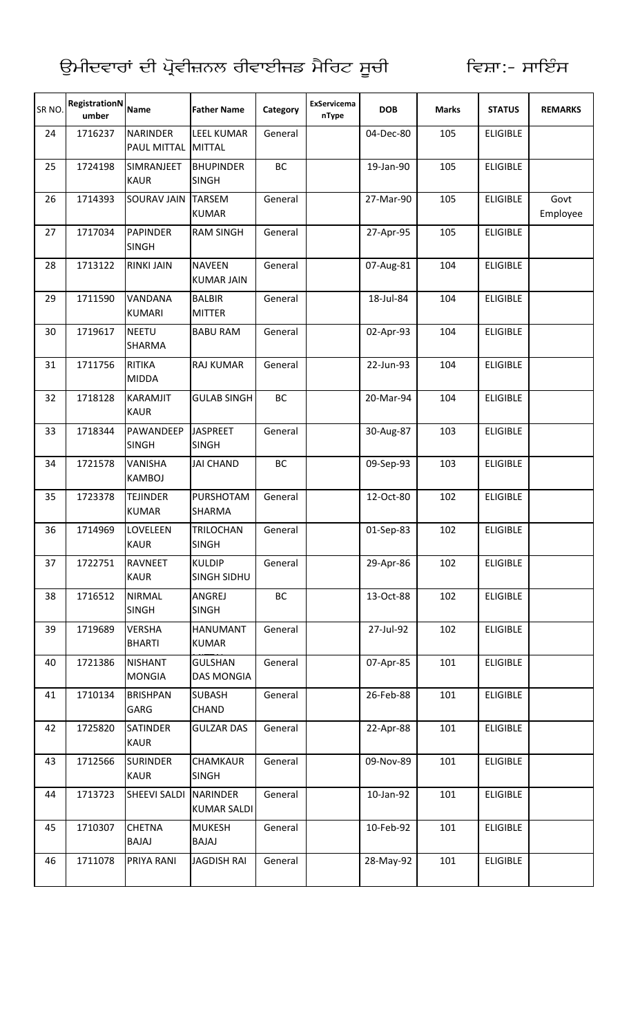| SR <sub>NO</sub> | RegistrationN<br>umber | <b>Name</b>                           | <b>Father Name</b>                    | Category  | <b>ExServicema</b><br>nType | <b>DOB</b> | <b>Marks</b> | <b>STATUS</b>   | <b>REMARKS</b>   |
|------------------|------------------------|---------------------------------------|---------------------------------------|-----------|-----------------------------|------------|--------------|-----------------|------------------|
| 24               | 1716237                | <b>NARINDER</b><br><b>PAUL MITTAL</b> | <b>LEEL KUMAR</b><br><b>MITTAL</b>    | General   |                             | 04-Dec-80  | 105          | <b>ELIGIBLE</b> |                  |
| 25               | 1724198                | SIMRANJEET<br><b>KAUR</b>             | <b>BHUPINDER</b><br><b>SINGH</b>      | BC        |                             | 19-Jan-90  | 105          | <b>ELIGIBLE</b> |                  |
| 26               | 1714393                | <b>SOURAV JAIN</b>                    | <b>TARSEM</b><br><b>KUMAR</b>         | General   |                             | 27-Mar-90  | 105          | <b>ELIGIBLE</b> | Govt<br>Employee |
| 27               | 1717034                | <b>PAPINDER</b><br><b>SINGH</b>       | <b>RAM SINGH</b>                      | General   |                             | 27-Apr-95  | 105          | <b>ELIGIBLE</b> |                  |
| 28               | 1713122                | <b>RINKI JAIN</b>                     | <b>NAVEEN</b><br><b>KUMAR JAIN</b>    | General   |                             | 07-Aug-81  | 104          | <b>ELIGIBLE</b> |                  |
| 29               | 1711590                | VANDANA<br><b>KUMARI</b>              | <b>BALBIR</b><br><b>MITTER</b>        | General   |                             | 18-Jul-84  | 104          | <b>ELIGIBLE</b> |                  |
| 30               | 1719617                | <b>NEETU</b><br><b>SHARMA</b>         | <b>BABU RAM</b>                       | General   |                             | 02-Apr-93  | 104          | <b>ELIGIBLE</b> |                  |
| 31               | 1711756                | <b>RITIKA</b><br><b>MIDDA</b>         | <b>RAJ KUMAR</b>                      | General   |                             | 22-Jun-93  | 104          | <b>ELIGIBLE</b> |                  |
| 32               | 1718128                | <b>KARAMJIT</b><br><b>KAUR</b>        | <b>GULAB SINGH</b>                    | <b>BC</b> |                             | 20-Mar-94  | 104          | <b>ELIGIBLE</b> |                  |
| 33               | 1718344                | PAWANDEEP<br><b>SINGH</b>             | <b>JASPREET</b><br><b>SINGH</b>       | General   |                             | 30-Aug-87  | 103          | <b>ELIGIBLE</b> |                  |
| 34               | 1721578                | <b>VANISHA</b><br><b>KAMBOJ</b>       | <b>JAI CHAND</b>                      | BC        |                             | 09-Sep-93  | 103          | <b>ELIGIBLE</b> |                  |
| 35               | 1723378                | <b>TEJINDER</b><br><b>KUMAR</b>       | PURSHOTAM<br><b>SHARMA</b>            | General   |                             | 12-Oct-80  | 102          | <b>ELIGIBLE</b> |                  |
| 36               | 1714969                | LOVELEEN<br><b>KAUR</b>               | <b>TRILOCHAN</b><br><b>SINGH</b>      | General   |                             | 01-Sep-83  | 102          | <b>ELIGIBLE</b> |                  |
| 37               | 1722751                | <b>RAVNEET</b><br><b>KAUR</b>         | <b>KULDIP</b><br>SINGH SIDHU          | General   |                             | 29-Apr-86  | 102          | <b>ELIGIBLE</b> |                  |
| 38               | 1716512                | <b>NIRMAL</b><br><b>SINGH</b>         | ANGREJ<br><b>SINGH</b>                | ВC        |                             | 13-Oct-88  | 102          | <b>ELIGIBLE</b> |                  |
| 39               | 1719689                | <b>VERSHA</b><br><b>BHARTI</b>        | <b>HANUMANT</b><br><b>KUMAR</b>       | General   |                             | 27-Jul-92  | 102          | <b>ELIGIBLE</b> |                  |
| 40               | 1721386                | <b>NISHANT</b><br><b>MONGIA</b>       | <b>GULSHAN</b><br><b>DAS MONGIA</b>   | General   |                             | 07-Apr-85  | 101          | <b>ELIGIBLE</b> |                  |
| 41               | 1710134                | <b>BRISHPAN</b><br>GARG               | <b>SUBASH</b><br><b>CHAND</b>         | General   |                             | 26-Feb-88  | 101          | <b>ELIGIBLE</b> |                  |
| 42               | 1725820                | <b>SATINDER</b><br><b>KAUR</b>        | <b>GULZAR DAS</b>                     | General   |                             | 22-Apr-88  | 101          | <b>ELIGIBLE</b> |                  |
| 43               | 1712566                | <b>SURINDER</b><br><b>KAUR</b>        | <b>CHAMKAUR</b><br><b>SINGH</b>       | General   |                             | 09-Nov-89  | 101          | <b>ELIGIBLE</b> |                  |
| 44               | 1713723                | <b>SHEEVI SALDI</b>                   | <b>NARINDER</b><br><b>KUMAR SALDI</b> | General   |                             | 10-Jan-92  | 101          | <b>ELIGIBLE</b> |                  |
| 45               | 1710307                | <b>CHETNA</b><br><b>BAJAJ</b>         | <b>MUKESH</b><br><b>BAJAJ</b>         | General   |                             | 10-Feb-92  | 101          | <b>ELIGIBLE</b> |                  |
| 46               | 1711078                | PRIYA RANI                            | <b>JAGDISH RAI</b>                    | General   |                             | 28-May-92  | 101          | <b>ELIGIBLE</b> |                  |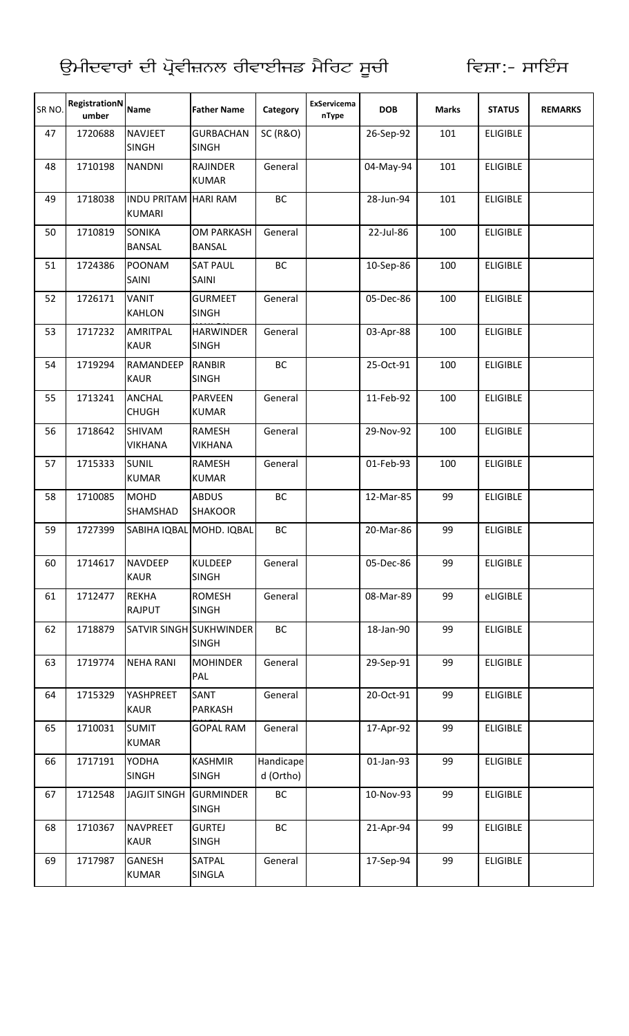| SR <sub>NO</sub> | RegistrationN<br>umber | <b>Name</b>                                  | <b>Father Name</b>                      | Category               | ExServicema<br>nType | <b>DOB</b> | <b>Marks</b> | <b>STATUS</b>   | <b>REMARKS</b> |
|------------------|------------------------|----------------------------------------------|-----------------------------------------|------------------------|----------------------|------------|--------------|-----------------|----------------|
| 47               | 1720688                | <b>NAVJEET</b><br><b>SINGH</b>               | <b>GURBACHAN</b><br><b>SINGH</b>        | <b>SC (R&amp;O)</b>    |                      | 26-Sep-92  | 101          | <b>ELIGIBLE</b> |                |
| 48               | 1710198                | <b>NANDNI</b>                                | <b>RAJINDER</b><br><b>KUMAR</b>         | General                |                      | 04-May-94  | 101          | <b>ELIGIBLE</b> |                |
| 49               | 1718038                | <b>INDU PRITAM HARI RAM</b><br><b>KUMARI</b> |                                         | BC                     |                      | 28-Jun-94  | 101          | <b>ELIGIBLE</b> |                |
| 50               | 1710819                | <b>SONIKA</b><br><b>BANSAL</b>               | <b>OM PARKASH</b><br><b>BANSAL</b>      | General                |                      | 22-Jul-86  | 100          | <b>ELIGIBLE</b> |                |
| 51               | 1724386                | POONAM<br>SAINI                              | <b>SAT PAUL</b><br><b>SAINI</b>         | BC                     |                      | 10-Sep-86  | 100          | <b>ELIGIBLE</b> |                |
| 52               | 1726171                | VANIT<br><b>KAHLON</b>                       | <b>GURMEET</b><br><b>SINGH</b>          | General                |                      | 05-Dec-86  | 100          | <b>ELIGIBLE</b> |                |
| 53               | 1717232                | AMRITPAL<br><b>KAUR</b>                      | <b>HARWINDER</b><br><b>SINGH</b>        | General                |                      | 03-Apr-88  | 100          | <b>ELIGIBLE</b> |                |
| 54               | 1719294                | RAMANDEEP<br><b>KAUR</b>                     | <b>RANBIR</b><br><b>SINGH</b>           | BC                     |                      | 25-Oct-91  | 100          | <b>ELIGIBLE</b> |                |
| 55               | 1713241                | <b>ANCHAL</b><br><b>CHUGH</b>                | <b>PARVEEN</b><br><b>KUMAR</b>          | General                |                      | 11-Feb-92  | 100          | <b>ELIGIBLE</b> |                |
| 56               | 1718642                | SHIVAM<br><b>VIKHANA</b>                     | <b>RAMESH</b><br><b>VIKHANA</b>         | General                |                      | 29-Nov-92  | 100          | <b>ELIGIBLE</b> |                |
| 57               | 1715333                | <b>SUNIL</b><br><b>KUMAR</b>                 | <b>RAMESH</b><br><b>KUMAR</b>           | General                |                      | 01-Feb-93  | 100          | <b>ELIGIBLE</b> |                |
| 58               | 1710085                | <b>MOHD</b><br><b>SHAMSHAD</b>               | <b>ABDUS</b><br><b>SHAKOOR</b>          | <b>BC</b>              |                      | 12-Mar-85  | 99           | <b>ELIGIBLE</b> |                |
| 59               | 1727399                |                                              | SABIHA IQBAL MOHD. IQBAL                | BC                     |                      | 20-Mar-86  | 99           | <b>ELIGIBLE</b> |                |
| 60               | 1714617                | <b>NAVDEEP</b><br><b>KAUR</b>                | <b>KULDEEP</b><br><b>SINGH</b>          | General                |                      | 05-Dec-86  | 99           | <b>ELIGIBLE</b> |                |
| 61               | 1712477                | <b>REKHA</b><br><b>RAJPUT</b>                | <b>ROMESH</b><br><b>SINGH</b>           | General                |                      | 08-Mar-89  | 99           | eLIGIBLE        |                |
| 62               | 1718879                |                                              | SATVIR SINGH SUKHWINDER<br><b>SINGH</b> | BC                     |                      | 18-Jan-90  | 99           | <b>ELIGIBLE</b> |                |
| 63               | 1719774                | <b>NEHA RANI</b>                             | <b>MOHINDER</b><br>PAL                  | General                |                      | 29-Sep-91  | 99           | <b>ELIGIBLE</b> |                |
| 64               | 1715329                | YASHPREET<br><b>KAUR</b>                     | SANT<br>PARKASH                         | General                |                      | 20-Oct-91  | 99           | <b>ELIGIBLE</b> |                |
| 65               | 1710031                | <b>SUMIT</b><br><b>KUMAR</b>                 | <b>GOPAL RAM</b>                        | General                |                      | 17-Apr-92  | 99           | <b>ELIGIBLE</b> |                |
| 66               | 1717191                | YODHA<br><b>SINGH</b>                        | <b>KASHMIR</b><br><b>SINGH</b>          | Handicape<br>d (Ortho) |                      | 01-Jan-93  | 99           | <b>ELIGIBLE</b> |                |
| 67               | 1712548                | <b>JAGJIT SINGH</b>                          | <b>GURMINDER</b><br><b>SINGH</b>        | BC                     |                      | 10-Nov-93  | 99           | <b>ELIGIBLE</b> |                |
| 68               | 1710367                | <b>NAVPREET</b><br><b>KAUR</b>               | <b>GURTEJ</b><br><b>SINGH</b>           | BC                     |                      | 21-Apr-94  | 99           | <b>ELIGIBLE</b> |                |
| 69               | 1717987                | <b>GANESH</b><br><b>KUMAR</b>                | SATPAL<br>SINGLA                        | General                |                      | 17-Sep-94  | 99           | <b>ELIGIBLE</b> |                |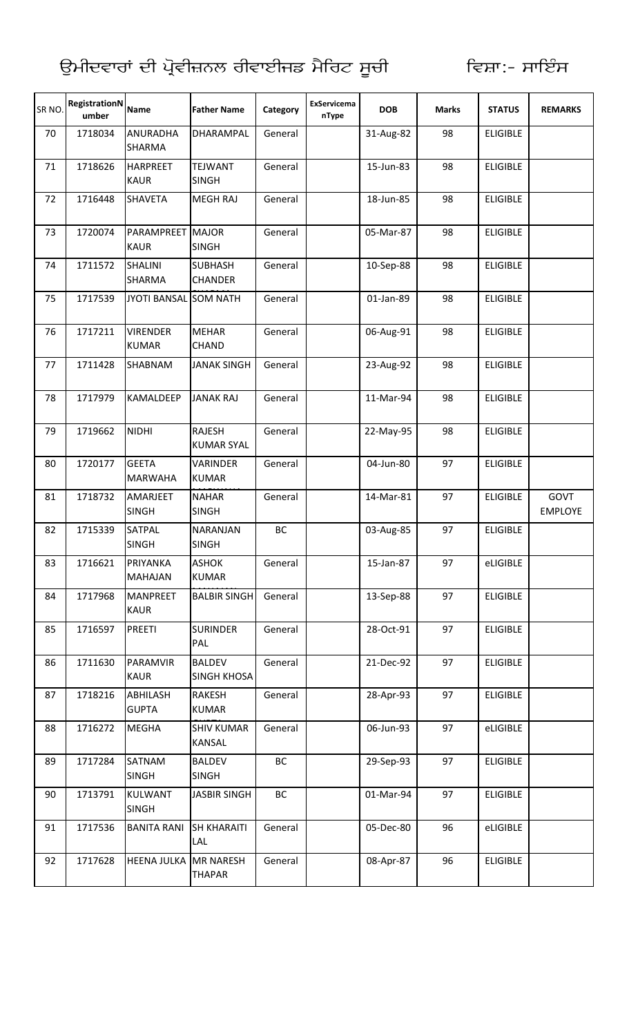| SR <sub>NO</sub> | RegistrationN<br>umber | <b>Name</b>                      | <b>Father Name</b>                  | Category | ExServicema<br>nType | <b>DOB</b> | <b>Marks</b> | <b>STATUS</b>   | <b>REMARKS</b>         |
|------------------|------------------------|----------------------------------|-------------------------------------|----------|----------------------|------------|--------------|-----------------|------------------------|
| 70               | 1718034                | <b>ANURADHA</b><br><b>SHARMA</b> | DHARAMPAL                           | General  |                      | 31-Aug-82  | 98           | <b>ELIGIBLE</b> |                        |
| 71               | 1718626                | <b>HARPREET</b><br><b>KAUR</b>   | <b>TEJWANT</b><br><b>SINGH</b>      | General  |                      | 15-Jun-83  | 98           | <b>ELIGIBLE</b> |                        |
| 72               | 1716448                | <b>SHAVETA</b>                   | <b>MEGH RAJ</b>                     | General  |                      | 18-Jun-85  | 98           | <b>ELIGIBLE</b> |                        |
| 73               | 1720074                | PARAMPREET MAJOR<br><b>KAUR</b>  | <b>SINGH</b>                        | General  |                      | 05-Mar-87  | 98           | <b>ELIGIBLE</b> |                        |
| 74               | 1711572                | <b>SHALINI</b><br><b>SHARMA</b>  | <b>SUBHASH</b><br><b>CHANDER</b>    | General  |                      | 10-Sep-88  | 98           | <b>ELIGIBLE</b> |                        |
| 75               | 1717539                | JYOTI BANSAL SOM NATH            |                                     | General  |                      | 01-Jan-89  | 98           | <b>ELIGIBLE</b> |                        |
| 76               | 1717211                | <b>VIRENDER</b><br><b>KUMAR</b>  | <b>MEHAR</b><br><b>CHAND</b>        | General  |                      | 06-Aug-91  | 98           | <b>ELIGIBLE</b> |                        |
| 77               | 1711428                | SHABNAM                          | <b>JANAK SINGH</b>                  | General  |                      | 23-Aug-92  | 98           | <b>ELIGIBLE</b> |                        |
| 78               | 1717979                | <b>KAMALDEEP</b>                 | <b>JANAK RAJ</b>                    | General  |                      | 11-Mar-94  | 98           | <b>ELIGIBLE</b> |                        |
| 79               | 1719662                | <b>NIDHI</b>                     | RAJESH<br><b>KUMAR SYAL</b>         | General  |                      | 22-May-95  | 98           | <b>ELIGIBLE</b> |                        |
| 80               | 1720177                | <b>GEETA</b><br><b>MARWAHA</b>   | <b>VARINDER</b><br><b>KUMAR</b>     | General  |                      | 04-Jun-80  | 97           | <b>ELIGIBLE</b> |                        |
| 81               | 1718732                | AMARJEET<br><b>SINGH</b>         | <b>NAHAR</b><br><b>SINGH</b>        | General  |                      | 14-Mar-81  | 97           | <b>ELIGIBLE</b> | GOVT<br><b>EMPLOYE</b> |
| 82               | 1715339                | SATPAL<br><b>SINGH</b>           | NARANJAN<br><b>SINGH</b>            | ВC       |                      | 03-Aug-85  | 97           | <b>ELIGIBLE</b> |                        |
| 83               | 1716621                | PRIYANKA<br><b>MAHAJAN</b>       | <b>ASHOK</b><br><b>KUMAR</b>        | General  |                      | 15-Jan-87  | 97           | eLIGIBLE        |                        |
| 84               | 1717968                | <b>MANPREET</b><br><b>KAUR</b>   | <b>BALBIR SINGH</b>                 | General  |                      | 13-Sep-88  | 97           | <b>ELIGIBLE</b> |                        |
| 85               | 1716597                | <b>PREETI</b>                    | <b>SURINDER</b><br>PAL              | General  |                      | 28-Oct-91  | 97           | <b>ELIGIBLE</b> |                        |
| 86               | 1711630                | PARAMVIR<br><b>KAUR</b>          | <b>BALDEV</b><br><b>SINGH KHOSA</b> | General  |                      | 21-Dec-92  | 97           | <b>ELIGIBLE</b> |                        |
| 87               | 1718216                | ABHILASH<br><b>GUPTA</b>         | <b>RAKESH</b><br><b>KUMAR</b>       | General  |                      | 28-Apr-93  | 97           | <b>ELIGIBLE</b> |                        |
| 88               | 1716272                | <b>MEGHA</b>                     | <b>SHIV KUMAR</b><br><b>KANSAL</b>  | General  |                      | 06-Jun-93  | 97           | eLIGIBLE        |                        |
| 89               | 1717284                | SATNAM<br><b>SINGH</b>           | <b>BALDEV</b><br><b>SINGH</b>       | BC       |                      | 29-Sep-93  | 97           | <b>ELIGIBLE</b> |                        |
| 90               | 1713791                | KULWANT<br><b>SINGH</b>          | <b>JASBIR SINGH</b>                 | ВC       |                      | 01-Mar-94  | 97           | <b>ELIGIBLE</b> |                        |
| 91               | 1717536                | <b>BANITA RANI</b>               | <b>SH KHARAITI</b><br>LAL           | General  |                      | 05-Dec-80  | 96           | eLIGIBLE        |                        |
| 92               | 1717628                | HEENA JULKA MR NARESH            | <b>THAPAR</b>                       | General  |                      | 08-Apr-87  | 96           | <b>ELIGIBLE</b> |                        |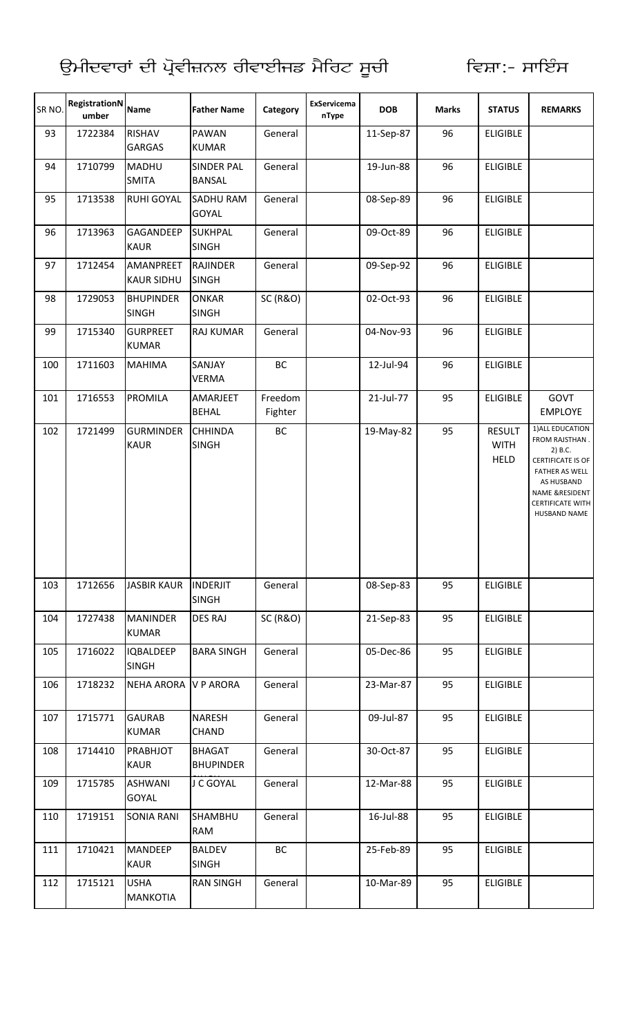| SR NO. | <b>RegistrationN</b><br>umber | <b>Name</b>                      | <b>Father Name</b>                | Category            | ExServicema<br>nType | <b>DOB</b> | <b>Marks</b> | <b>STATUS</b>                               | <b>REMARKS</b>                                                                                                                                                  |
|--------|-------------------------------|----------------------------------|-----------------------------------|---------------------|----------------------|------------|--------------|---------------------------------------------|-----------------------------------------------------------------------------------------------------------------------------------------------------------------|
| 93     | 1722384                       | RISHAV<br><b>GARGAS</b>          | <b>PAWAN</b><br><b>KUMAR</b>      | General             |                      | 11-Sep-87  | 96           | <b>ELIGIBLE</b>                             |                                                                                                                                                                 |
| 94     | 1710799                       | MADHU<br><b>SMITA</b>            | <b>SINDER PAL</b><br>BANSAL       | General             |                      | 19-Jun-88  | 96           | <b>ELIGIBLE</b>                             |                                                                                                                                                                 |
| 95     | 1713538                       | <b>RUHI GOYAL</b>                | SADHU RAM<br>GOYAL                | General             |                      | 08-Sep-89  | 96           | <b>ELIGIBLE</b>                             |                                                                                                                                                                 |
| 96     | 1713963                       | GAGANDEEP<br><b>KAUR</b>         | <b>SUKHPAL</b><br><b>SINGH</b>    | General             |                      | 09-Oct-89  | 96           | <b>ELIGIBLE</b>                             |                                                                                                                                                                 |
| 97     | 1712454                       | AMANPREET<br><b>KAUR SIDHU</b>   | <b>RAJINDER</b><br><b>SINGH</b>   | General             |                      | 09-Sep-92  | 96           | <b>ELIGIBLE</b>                             |                                                                                                                                                                 |
| 98     | 1729053                       | <b>BHUPINDER</b><br><b>SINGH</b> | <b>ONKAR</b><br><b>SINGH</b>      | <b>SC (R&amp;O)</b> |                      | 02-Oct-93  | 96           | <b>ELIGIBLE</b>                             |                                                                                                                                                                 |
| 99     | 1715340                       | <b>GURPREET</b><br><b>KUMAR</b>  | RAJ KUMAR                         | General             |                      | 04-Nov-93  | 96           | <b>ELIGIBLE</b>                             |                                                                                                                                                                 |
| 100    | 1711603                       | <b>MAHIMA</b>                    | SANJAY<br><b>VERMA</b>            | BC                  |                      | 12-Jul-94  | 96           | <b>ELIGIBLE</b>                             |                                                                                                                                                                 |
| 101    | 1716553                       | <b>PROMILA</b>                   | AMARJEET<br><b>BEHAL</b>          | Freedom<br>Fighter  |                      | 21-Jul-77  | 95           | <b>ELIGIBLE</b>                             | GOVT<br><b>EMPLOYE</b>                                                                                                                                          |
| 102    | 1721499                       | <b>GURMINDER</b><br><b>KAUR</b>  | <b>CHHINDA</b><br><b>SINGH</b>    | ВC                  |                      | 19-May-82  | 95           | <b>RESULT</b><br><b>WITH</b><br><b>HELD</b> | 1) ALL EDUCATION<br>FROM RAJSTHAN.<br>2) B.C.<br>CERTIFICATE IS OF<br>FATHER AS WELL<br>AS HUSBAND<br>NAME &RESIDENT<br><b>CERTIFICATE WITH</b><br>HUSBAND NAME |
| 103    | 1712656                       | <b>JASBIR KAUR</b>               | <b>INDERJIT</b><br><b>SINGH</b>   | General             |                      | 08-Sep-83  | 95           | <b>ELIGIBLE</b>                             |                                                                                                                                                                 |
| 104    | 1727438                       | <b>MANINDER</b><br><b>KUMAR</b>  | <b>DES RAJ</b>                    | <b>SC (R&amp;O)</b> |                      | 21-Sep-83  | 95           | <b>ELIGIBLE</b>                             |                                                                                                                                                                 |
| 105    | 1716022                       | <b>IQBALDEEP</b><br><b>SINGH</b> | <b>BARA SINGH</b>                 | General             |                      | 05-Dec-86  | 95           | <b>ELIGIBLE</b>                             |                                                                                                                                                                 |
| 106    | 1718232                       | NEHA ARORA V P ARORA             |                                   | General             |                      | 23-Mar-87  | 95           | <b>ELIGIBLE</b>                             |                                                                                                                                                                 |
| 107    | 1715771                       | <b>GAURAB</b><br><b>KUMAR</b>    | <b>NARESH</b><br><b>CHAND</b>     | General             |                      | 09-Jul-87  | 95           | <b>ELIGIBLE</b>                             |                                                                                                                                                                 |
| 108    | 1714410                       | PRABHJOT<br><b>KAUR</b>          | <b>BHAGAT</b><br><b>BHUPINDER</b> | General             |                      | 30-Oct-87  | 95           | <b>ELIGIBLE</b>                             |                                                                                                                                                                 |
| 109    | 1715785                       | <b>ASHWANI</b><br><b>GOYAL</b>   | J C GOYAL                         | General             |                      | 12-Mar-88  | 95           | <b>ELIGIBLE</b>                             |                                                                                                                                                                 |
| 110    | 1719151                       | <b>SONIA RANI</b>                | <b>SHAMBHU</b><br>RAM             | General             |                      | 16-Jul-88  | 95           | <b>ELIGIBLE</b>                             |                                                                                                                                                                 |
| 111    | 1710421                       | MANDEEP<br><b>KAUR</b>           | <b>BALDEV</b><br><b>SINGH</b>     | BC                  |                      | 25-Feb-89  | 95           | <b>ELIGIBLE</b>                             |                                                                                                                                                                 |
| 112    | 1715121                       | <b>USHA</b><br><b>MANKOTIA</b>   | <b>RAN SINGH</b>                  | General             |                      | 10-Mar-89  | 95           | <b>ELIGIBLE</b>                             |                                                                                                                                                                 |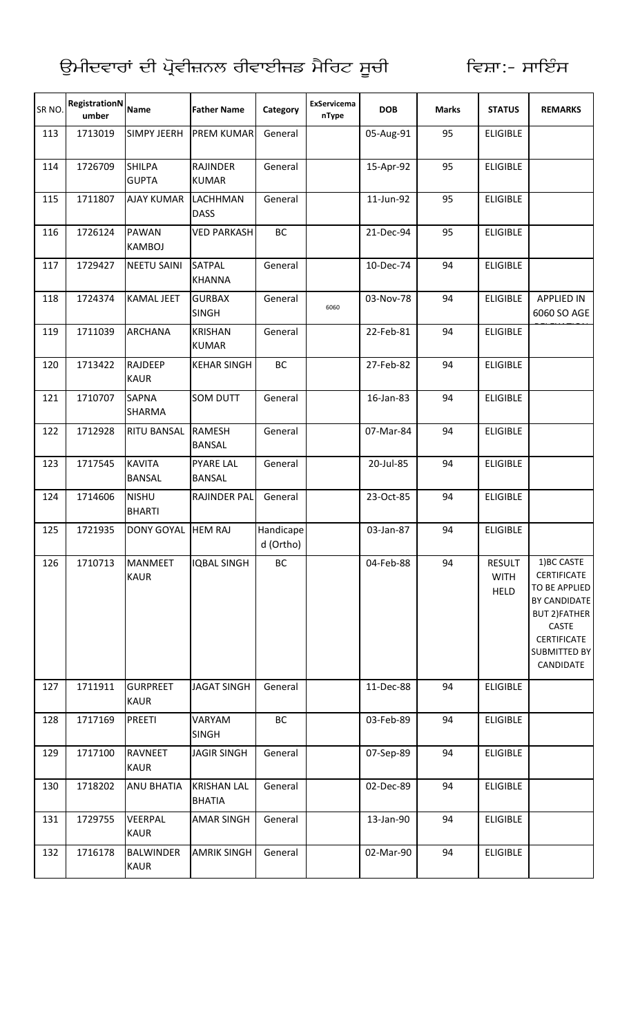| SR <sub>NO</sub> | RegistrationN<br>umber | <b>Name</b>                     | <b>Father Name</b>                  | Category               | ExServicema<br>nType | <b>DOB</b> | <b>Marks</b> | <b>STATUS</b>                        | <b>REMARKS</b>                                                                                                                                        |
|------------------|------------------------|---------------------------------|-------------------------------------|------------------------|----------------------|------------|--------------|--------------------------------------|-------------------------------------------------------------------------------------------------------------------------------------------------------|
| 113              | 1713019                | <b>SIMPY JEERH</b>              | <b>PREM KUMAR</b>                   | General                |                      | 05-Aug-91  | 95           | <b>ELIGIBLE</b>                      |                                                                                                                                                       |
| 114              | 1726709                | <b>SHILPA</b><br><b>GUPTA</b>   | <b>RAJINDER</b><br><b>KUMAR</b>     | General                |                      | 15-Apr-92  | 95           | <b>ELIGIBLE</b>                      |                                                                                                                                                       |
| 115              | 1711807                | <b>AJAY KUMAR</b>               | <b>LACHHMAN</b><br><b>DASS</b>      | General                |                      | 11-Jun-92  | 95           | <b>ELIGIBLE</b>                      |                                                                                                                                                       |
| 116              | 1726124                | <b>PAWAN</b><br><b>KAMBOJ</b>   | <b>VED PARKASH</b>                  | BC                     |                      | 21-Dec-94  | 95           | <b>ELIGIBLE</b>                      |                                                                                                                                                       |
| 117              | 1729427                | <b>NEETU SAINI</b>              | <b>SATPAL</b><br><b>KHANNA</b>      | General                |                      | 10-Dec-74  | 94           | <b>ELIGIBLE</b>                      |                                                                                                                                                       |
| 118              | 1724374                | <b>KAMAL JEET</b>               | <b>GURBAX</b><br><b>SINGH</b>       | General                | 6060                 | 03-Nov-78  | 94           | <b>ELIGIBLE</b>                      | <b>APPLIED IN</b><br>6060 SO AGE                                                                                                                      |
| 119              | 1711039                | <b>ARCHANA</b>                  | <b>KRISHAN</b><br><b>KUMAR</b>      | General                |                      | 22-Feb-81  | 94           | <b>ELIGIBLE</b>                      |                                                                                                                                                       |
| 120              | 1713422                | <b>RAJDEEP</b><br><b>KAUR</b>   | <b>KEHAR SINGH</b>                  | BC                     |                      | 27-Feb-82  | 94           | <b>ELIGIBLE</b>                      |                                                                                                                                                       |
| 121              | 1710707                | <b>SAPNA</b><br>SHARMA          | SOM DUTT                            | General                |                      | 16-Jan-83  | 94           | <b>ELIGIBLE</b>                      |                                                                                                                                                       |
| 122              | 1712928                | <b>RITU BANSAL</b>              | <b>RAMESH</b><br><b>BANSAL</b>      | General                |                      | 07-Mar-84  | 94           | <b>ELIGIBLE</b>                      |                                                                                                                                                       |
| 123              | 1717545                | <b>KAVITA</b><br><b>BANSAL</b>  | <b>PYARE LAL</b><br><b>BANSAL</b>   | General                |                      | 20-Jul-85  | 94           | <b>ELIGIBLE</b>                      |                                                                                                                                                       |
| 124              | 1714606                | <b>NISHU</b><br><b>BHARTI</b>   | RAJINDER PAL                        | General                |                      | 23-Oct-85  | 94           | <b>ELIGIBLE</b>                      |                                                                                                                                                       |
| 125              | 1721935                | <b>DONY GOYAL</b>               | <b>HEM RAJ</b>                      | Handicape<br>d (Ortho) |                      | 03-Jan-87  | 94           | <b>ELIGIBLE</b>                      |                                                                                                                                                       |
| 126              | 1710713                | <b>MANMEET</b><br><b>KAUR</b>   | <b>IQBAL SINGH</b>                  | ВC                     |                      | 04-Feb-88  | 94           | RESULT<br><b>WITH</b><br><b>HELD</b> | 1) BC CASTE<br><b>CERTIFICATE</b><br><b>TO BE APPLIED</b><br>BY CANDIDATE<br><b>BUT 2)FATHER</b><br>CASTE<br>CERTIFICATE<br>SUBMITTED BY<br>CANDIDATE |
| 127              | 1711911                | <b>GURPREET</b><br><b>KAUR</b>  | <b>JAGAT SINGH</b>                  | General                |                      | 11-Dec-88  | 94           | <b>ELIGIBLE</b>                      |                                                                                                                                                       |
| 128              | 1717169                | <b>PREETI</b>                   | VARYAM<br><b>SINGH</b>              | BC                     |                      | 03-Feb-89  | 94           | <b>ELIGIBLE</b>                      |                                                                                                                                                       |
| 129              | 1717100                | <b>RAVNEET</b><br><b>KAUR</b>   | <b>JAGIR SINGH</b>                  | General                |                      | 07-Sep-89  | 94           | <b>ELIGIBLE</b>                      |                                                                                                                                                       |
| 130              | 1718202                | <b>ANU BHATIA</b>               | <b>KRISHAN LAL</b><br><b>BHATIA</b> | General                |                      | 02-Dec-89  | 94           | <b>ELIGIBLE</b>                      |                                                                                                                                                       |
| 131              | 1729755                | VEERPAL<br><b>KAUR</b>          | <b>AMAR SINGH</b>                   | General                |                      | 13-Jan-90  | 94           | <b>ELIGIBLE</b>                      |                                                                                                                                                       |
| 132              | 1716178                | <b>BALWINDER</b><br><b>KAUR</b> | <b>AMRIK SINGH</b>                  | General                |                      | 02-Mar-90  | 94           | <b>ELIGIBLE</b>                      |                                                                                                                                                       |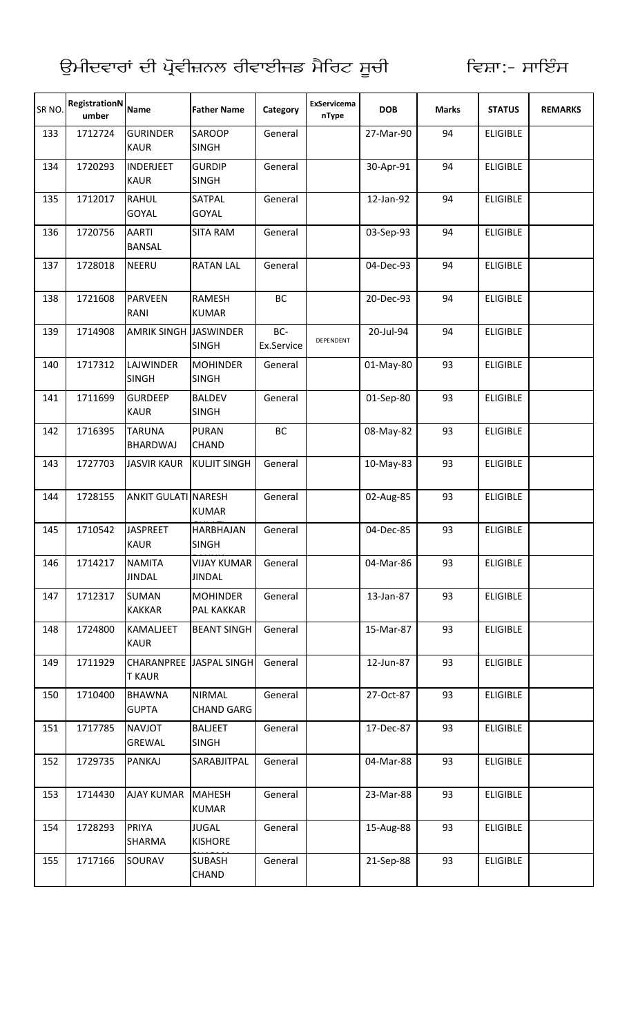| SR NO. | <b>RegistrationN</b><br>umber | <b>Name</b>                     | <b>Father Name</b>                  | Category          | <b>ExServicema</b><br>nType | <b>DOB</b> | <b>Marks</b> | <b>STATUS</b>   | <b>REMARKS</b> |
|--------|-------------------------------|---------------------------------|-------------------------------------|-------------------|-----------------------------|------------|--------------|-----------------|----------------|
| 133    | 1712724                       | <b>GURINDER</b><br><b>KAUR</b>  | <b>SAROOP</b><br><b>SINGH</b>       | General           |                             | 27-Mar-90  | 94           | <b>ELIGIBLE</b> |                |
| 134    | 1720293                       | <b>INDERJEET</b><br><b>KAUR</b> | <b>GURDIP</b><br><b>SINGH</b>       | General           |                             | 30-Apr-91  | 94           | <b>ELIGIBLE</b> |                |
| 135    | 1712017                       | <b>RAHUL</b><br><b>GOYAL</b>    | <b>SATPAL</b><br><b>GOYAL</b>       | General           |                             | 12-Jan-92  | 94           | <b>ELIGIBLE</b> |                |
| 136    | 1720756                       | <b>AARTI</b><br><b>BANSAL</b>   | <b>SITA RAM</b>                     | General           |                             | 03-Sep-93  | 94           | <b>ELIGIBLE</b> |                |
| 137    | 1728018                       | <b>NEERU</b>                    | <b>RATAN LAL</b>                    | General           |                             | 04-Dec-93  | 94           | <b>ELIGIBLE</b> |                |
| 138    | 1721608                       | <b>PARVEEN</b><br>RANI          | <b>RAMESH</b><br><b>KUMAR</b>       | BC                |                             | 20-Dec-93  | 94           | <b>ELIGIBLE</b> |                |
| 139    | 1714908                       | <b>AMRIK SINGH JASWINDER</b>    | <b>SINGH</b>                        | BC-<br>Ex.Service | DEPENDENT                   | 20-Jul-94  | 94           | <b>ELIGIBLE</b> |                |
| 140    | 1717312                       | LAJWINDER<br><b>SINGH</b>       | <b>MOHINDER</b><br><b>SINGH</b>     | General           |                             | 01-May-80  | 93           | <b>ELIGIBLE</b> |                |
| 141    | 1711699                       | <b>GURDEEP</b><br><b>KAUR</b>   | <b>BALDEV</b><br><b>SINGH</b>       | General           |                             | 01-Sep-80  | 93           | <b>ELIGIBLE</b> |                |
| 142    | 1716395                       | <b>TARUNA</b><br>BHARDWAJ       | <b>PURAN</b><br><b>CHAND</b>        | BC                |                             | 08-May-82  | 93           | <b>ELIGIBLE</b> |                |
| 143    | 1727703                       | <b>JASVIR KAUR</b>              | <b>KULJIT SINGH</b>                 | General           |                             | 10-May-83  | 93           | <b>ELIGIBLE</b> |                |
| 144    | 1728155                       | <b>ANKIT GULATI NARESH</b>      | <b>KUMAR</b>                        | General           |                             | 02-Aug-85  | 93           | <b>ELIGIBLE</b> |                |
| 145    | 1710542                       | <b>JASPREET</b><br><b>KAUR</b>  | HARBHAJAN<br><b>SINGH</b>           | General           |                             | 04-Dec-85  | 93           | <b>ELIGIBLE</b> |                |
| 146    | 1714217                       | <b>NAMITA</b><br><b>JINDAL</b>  | <b>VIJAY KUMAR</b><br><b>JINDAL</b> | General           |                             | 04-Mar-86  | 93           | <b>ELIGIBLE</b> |                |
| 147    | 1712317                       | <b>SUMAN</b><br><b>KAKKAR</b>   | <b>MOHINDER</b><br>PAL KAKKAR       | General           |                             | 13-Jan-87  | 93           | <b>ELIGIBLE</b> |                |
| 148    | 1724800                       | <b>KAMALJEET</b><br><b>KAUR</b> | <b>BEANT SINGH</b>                  | General           |                             | 15-Mar-87  | 93           | <b>ELIGIBLE</b> |                |
| 149    | 1711929                       | <b>T KAUR</b>                   | <b>CHARANPREE JASPAL SINGH</b>      | General           |                             | 12-Jun-87  | 93           | <b>ELIGIBLE</b> |                |
| 150    | 1710400                       | <b>BHAWNA</b><br><b>GUPTA</b>   | <b>NIRMAL</b><br><b>CHAND GARG</b>  | General           |                             | 27-Oct-87  | 93           | <b>ELIGIBLE</b> |                |
| 151    | 1717785                       | <b>NAVJOT</b><br>GREWAL         | <b>BALJEET</b><br><b>SINGH</b>      | General           |                             | 17-Dec-87  | 93           | <b>ELIGIBLE</b> |                |
| 152    | 1729735                       | <b>PANKAJ</b>                   | SARABJITPAL                         | General           |                             | 04-Mar-88  | 93           | <b>ELIGIBLE</b> |                |
| 153    | 1714430                       | <b>AJAY KUMAR</b>               | <b>MAHESH</b><br><b>KUMAR</b>       | General           |                             | 23-Mar-88  | 93           | <b>ELIGIBLE</b> |                |
| 154    | 1728293                       | PRIYA<br><b>SHARMA</b>          | <b>JUGAL</b><br><b>KISHORE</b>      | General           |                             | 15-Aug-88  | 93           | <b>ELIGIBLE</b> |                |
| 155    | 1717166                       | SOURAV                          | <b>SUBASH</b><br><b>CHAND</b>       | General           |                             | 21-Sep-88  | 93           | <b>ELIGIBLE</b> |                |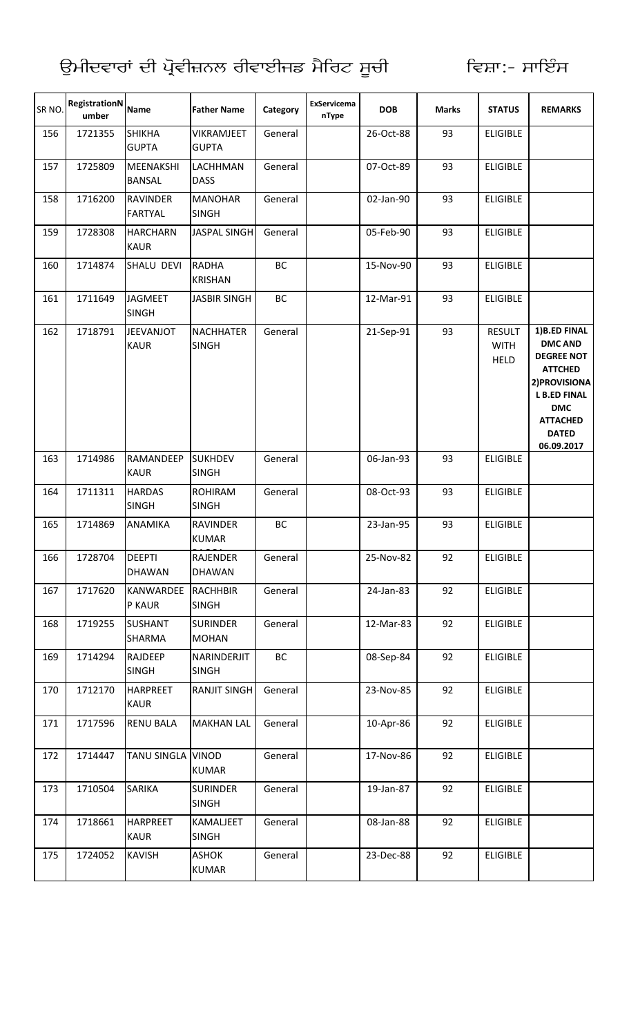| SR NO. | RegistrationN<br>umber | <b>Name</b>                       | <b>Father Name</b>               | Category | <b>ExServicema</b><br>nType | <b>DOB</b> | <b>Marks</b> | <b>STATUS</b>                               | <b>REMARKS</b>                                                                                                                                                               |
|--------|------------------------|-----------------------------------|----------------------------------|----------|-----------------------------|------------|--------------|---------------------------------------------|------------------------------------------------------------------------------------------------------------------------------------------------------------------------------|
| 156    | 1721355                | <b>SHIKHA</b><br><b>GUPTA</b>     | VIKRAMJEET<br><b>GUPTA</b>       | General  |                             | 26-Oct-88  | 93           | <b>ELIGIBLE</b>                             |                                                                                                                                                                              |
| 157    | 1725809                | <b>MEENAKSHI</b><br><b>BANSAL</b> | LACHHMAN<br><b>DASS</b>          | General  |                             | 07-Oct-89  | 93           | <b>ELIGIBLE</b>                             |                                                                                                                                                                              |
| 158    | 1716200                | <b>RAVINDER</b><br><b>FARTYAL</b> | <b>MANOHAR</b><br><b>SINGH</b>   | General  |                             | 02-Jan-90  | 93           | <b>ELIGIBLE</b>                             |                                                                                                                                                                              |
| 159    | 1728308                | <b>HARCHARN</b><br><b>KAUR</b>    | <b>JASPAL SINGH</b>              | General  |                             | 05-Feb-90  | 93           | <b>ELIGIBLE</b>                             |                                                                                                                                                                              |
| 160    | 1714874                | SHALU DEVI                        | <b>RADHA</b><br><b>KRISHAN</b>   | BC       |                             | 15-Nov-90  | 93           | <b>ELIGIBLE</b>                             |                                                                                                                                                                              |
| 161    | 1711649                | <b>JAGMEET</b><br><b>SINGH</b>    | <b>JASBIR SINGH</b>              | BC       |                             | 12-Mar-91  | 93           | <b>ELIGIBLE</b>                             |                                                                                                                                                                              |
| 162    | 1718791                | <b>JEEVANJOT</b><br><b>KAUR</b>   | <b>NACHHATER</b><br><b>SINGH</b> | General  |                             | 21-Sep-91  | 93           | <b>RESULT</b><br><b>WITH</b><br><b>HELD</b> | 1)B.ED FINAL<br><b>DMC AND</b><br><b>DEGREE NOT</b><br><b>ATTCHED</b><br>2) PROVISIONA<br><b>L B.ED FINAL</b><br><b>DMC</b><br><b>ATTACHED</b><br><b>DATED</b><br>06.09.2017 |
| 163    | 1714986                | RAMANDEEP<br><b>KAUR</b>          | <b>SUKHDEV</b><br><b>SINGH</b>   | General  |                             | 06-Jan-93  | 93           | <b>ELIGIBLE</b>                             |                                                                                                                                                                              |
| 164    | 1711311                | <b>HARDAS</b><br><b>SINGH</b>     | <b>ROHIRAM</b><br><b>SINGH</b>   | General  |                             | 08-Oct-93  | 93           | <b>ELIGIBLE</b>                             |                                                                                                                                                                              |
| 165    | 1714869                | <b>ANAMIKA</b>                    | <b>RAVINDER</b><br><b>KUMAR</b>  | BC       |                             | 23-Jan-95  | 93           | <b>ELIGIBLE</b>                             |                                                                                                                                                                              |
| 166    | 1728704                | <b>DEEPTI</b><br><b>DHAWAN</b>    | <b>RAJENDER</b><br><b>DHAWAN</b> | General  |                             | 25-Nov-82  | 92           | <b>ELIGIBLE</b>                             |                                                                                                                                                                              |
| 167    | 1717620                | <b>KANWARDEE</b><br>P KAUR        | RACHHBIR<br><b>SINGH</b>         | General  |                             | 24-Jan-83  | 92           | <b>ELIGIBLE</b>                             |                                                                                                                                                                              |
| 168    | 1719255                | <b>SUSHANT</b><br>SHARMA          | <b>SURINDER</b><br><b>MOHAN</b>  | General  |                             | 12-Mar-83  | 92           | <b>ELIGIBLE</b>                             |                                                                                                                                                                              |
| 169    | 1714294                | <b>RAJDEEP</b><br><b>SINGH</b>    | NARINDERJIT<br><b>SINGH</b>      | BC       |                             | 08-Sep-84  | 92           | <b>ELIGIBLE</b>                             |                                                                                                                                                                              |
| 170    | 1712170                | <b>HARPREET</b><br><b>KAUR</b>    | <b>RANJIT SINGH</b>              | General  |                             | 23-Nov-85  | 92           | <b>ELIGIBLE</b>                             |                                                                                                                                                                              |
| 171    | 1717596                | <b>RENU BALA</b>                  | <b>MAKHAN LAL</b>                | General  |                             | 10-Apr-86  | 92           | <b>ELIGIBLE</b>                             |                                                                                                                                                                              |
| 172    | 1714447                | TANU SINGLA VINOD                 | <b>KUMAR</b>                     | General  |                             | 17-Nov-86  | 92           | <b>ELIGIBLE</b>                             |                                                                                                                                                                              |
| 173    | 1710504                | <b>SARIKA</b>                     | <b>SURINDER</b><br><b>SINGH</b>  | General  |                             | 19-Jan-87  | 92           | <b>ELIGIBLE</b>                             |                                                                                                                                                                              |
| 174    | 1718661                | <b>HARPREET</b><br><b>KAUR</b>    | KAMALJEET<br><b>SINGH</b>        | General  |                             | 08-Jan-88  | 92           | <b>ELIGIBLE</b>                             |                                                                                                                                                                              |
| 175    | 1724052                | <b>KAVISH</b>                     | <b>ASHOK</b><br><b>KUMAR</b>     | General  |                             | 23-Dec-88  | 92           | <b>ELIGIBLE</b>                             |                                                                                                                                                                              |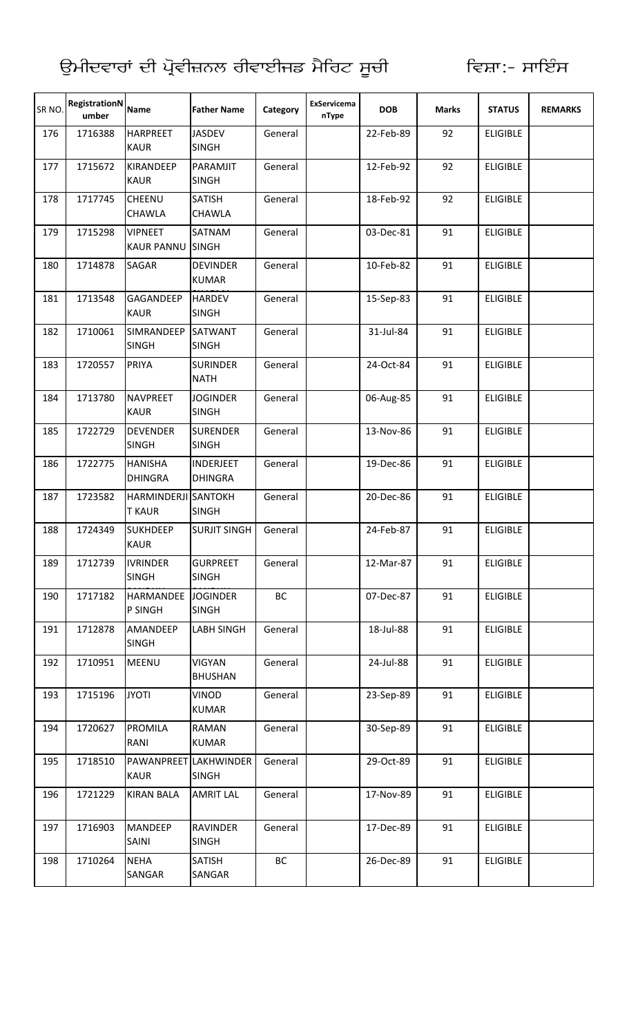| SR NO. | RegistrationN<br>umber | <b>Name</b>                                 | <b>Father Name</b>                    | Category | <b>ExServicema</b><br>nType | <b>DOB</b> | <b>Marks</b> | <b>STATUS</b>   | <b>REMARKS</b> |
|--------|------------------------|---------------------------------------------|---------------------------------------|----------|-----------------------------|------------|--------------|-----------------|----------------|
| 176    | 1716388                | <b>HARPREET</b><br><b>KAUR</b>              | <b>JASDEV</b><br><b>SINGH</b>         | General  |                             | 22-Feb-89  | 92           | <b>ELIGIBLE</b> |                |
| 177    | 1715672                | <b>KIRANDEEP</b><br><b>KAUR</b>             | PARAMJIT<br><b>SINGH</b>              | General  |                             | 12-Feb-92  | 92           | <b>ELIGIBLE</b> |                |
| 178    | 1717745                | CHEENU<br><b>CHAWLA</b>                     | <b>SATISH</b><br><b>CHAWLA</b>        | General  |                             | 18-Feb-92  | 92           | <b>ELIGIBLE</b> |                |
| 179    | 1715298                | <b>VIPNEET</b><br>KAUR PANNU SINGH          | SATNAM                                | General  |                             | 03-Dec-81  | 91           | <b>ELIGIBLE</b> |                |
| 180    | 1714878                | <b>SAGAR</b>                                | <b>DEVINDER</b><br><b>KUMAR</b>       | General  |                             | 10-Feb-82  | 91           | <b>ELIGIBLE</b> |                |
| 181    | 1713548                | GAGANDEEP<br><b>KAUR</b>                    | <b>HARDEV</b><br><b>SINGH</b>         | General  |                             | 15-Sep-83  | 91           | <b>ELIGIBLE</b> |                |
| 182    | 1710061                | SIMRANDEEP<br><b>SINGH</b>                  | <b>SATWANT</b><br><b>SINGH</b>        | General  |                             | 31-Jul-84  | 91           | <b>ELIGIBLE</b> |                |
| 183    | 1720557                | <b>PRIYA</b>                                | <b>SURINDER</b><br><b>NATH</b>        | General  |                             | 24-Oct-84  | 91           | <b>ELIGIBLE</b> |                |
| 184    | 1713780                | <b>NAVPREET</b><br><b>KAUR</b>              | <b>JOGINDER</b><br><b>SINGH</b>       | General  |                             | 06-Aug-85  | 91           | <b>ELIGIBLE</b> |                |
| 185    | 1722729                | <b>DEVENDER</b><br><b>SINGH</b>             | <b>SURENDER</b><br><b>SINGH</b>       | General  |                             | 13-Nov-86  | 91           | <b>ELIGIBLE</b> |                |
| 186    | 1722775                | <b>HANISHA</b><br><b>DHINGRA</b>            | <b>INDERJEET</b><br><b>DHINGRA</b>    | General  |                             | 19-Dec-86  | 91           | <b>ELIGIBLE</b> |                |
| 187    | 1723582                | <b>HARMINDERJI SANTOKH</b><br><b>T KAUR</b> | <b>SINGH</b>                          | General  |                             | 20-Dec-86  | 91           | <b>ELIGIBLE</b> |                |
| 188    | 1724349                | <b>SUKHDEEP</b><br><b>KAUR</b>              | <b>SURJIT SINGH</b>                   | General  |                             | 24-Feb-87  | 91           | <b>ELIGIBLE</b> |                |
| 189    | 1712739                | <b>IVRINDER</b><br><b>SINGH</b>             | <b>GURPREET</b><br><b>SINGH</b>       | General  |                             | 12-Mar-87  | 91           | <b>ELIGIBLE</b> |                |
| 190    | 1717182                | HARMANDEE JOGINDER<br>P SINGH               | <b>SINGH</b>                          | BC       |                             | 07-Dec-87  | 91           | <b>ELIGIBLE</b> |                |
| 191    | 1712878                | AMANDEEP<br><b>SINGH</b>                    | <b>LABH SINGH</b>                     | General  |                             | 18-Jul-88  | 91           | <b>ELIGIBLE</b> |                |
| 192    | 1710951                | <b>MEENU</b>                                | <b>VIGYAN</b><br><b>BHUSHAN</b>       | General  |                             | 24-Jul-88  | 91           | <b>ELIGIBLE</b> |                |
| 193    | 1715196                | <b>JYOTI</b>                                | VINOD<br><b>KUMAR</b>                 | General  |                             | 23-Sep-89  | 91           | <b>ELIGIBLE</b> |                |
| 194    | 1720627                | <b>PROMILA</b><br>RANI                      | <b>RAMAN</b><br><b>KUMAR</b>          | General  |                             | 30-Sep-89  | 91           | <b>ELIGIBLE</b> |                |
| 195    | 1718510                | <b>KAUR</b>                                 | PAWANPREET LAKHWINDER<br><b>SINGH</b> | General  |                             | 29-Oct-89  | 91           | <b>ELIGIBLE</b> |                |
| 196    | 1721229                | <b>KIRAN BALA</b>                           | <b>AMRIT LAL</b>                      | General  |                             | 17-Nov-89  | 91           | <b>ELIGIBLE</b> |                |
| 197    | 1716903                | <b>MANDEEP</b><br>SAINI                     | <b>RAVINDER</b><br><b>SINGH</b>       | General  |                             | 17-Dec-89  | 91           | <b>ELIGIBLE</b> |                |
| 198    | 1710264                | <b>NEHA</b><br>SANGAR                       | <b>SATISH</b><br>SANGAR               | BC       |                             | 26-Dec-89  | 91           | <b>ELIGIBLE</b> |                |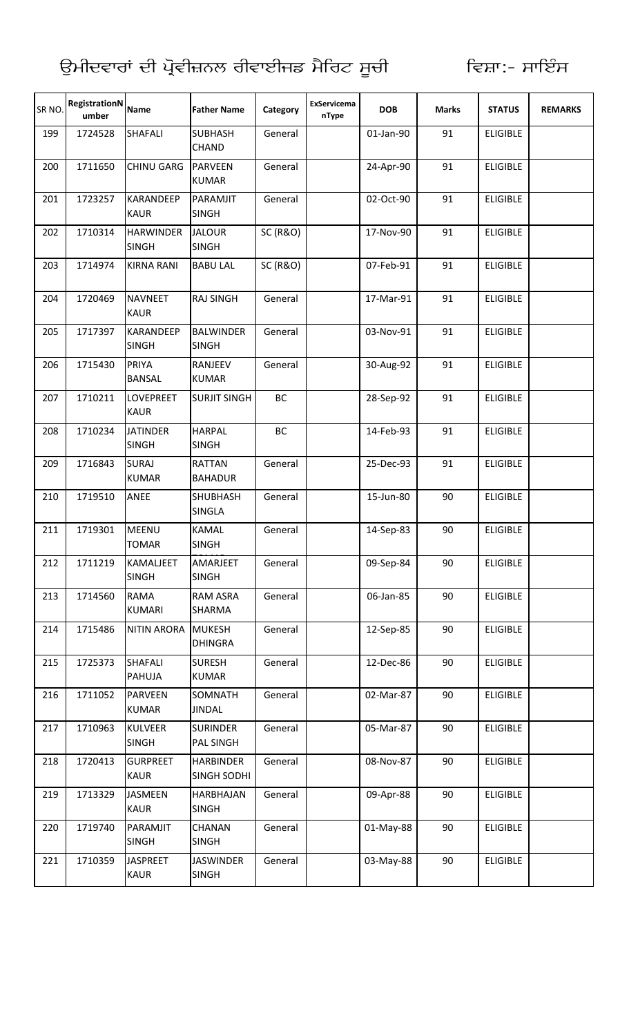| SR <sub>NO</sub> | RegistrationN<br>umber | <b>Name</b>                      | <b>Father Name</b>                     | Category            | ExServicema<br>nType | <b>DOB</b> | <b>Marks</b> | <b>STATUS</b>   | <b>REMARKS</b> |
|------------------|------------------------|----------------------------------|----------------------------------------|---------------------|----------------------|------------|--------------|-----------------|----------------|
| 199              | 1724528                | <b>SHAFALI</b>                   | <b>SUBHASH</b><br><b>CHAND</b>         | General             |                      | 01-Jan-90  | 91           | <b>ELIGIBLE</b> |                |
| 200              | 1711650                | <b>CHINU GARG</b>                | <b>PARVEEN</b><br><b>KUMAR</b>         | General             |                      | 24-Apr-90  | 91           | <b>ELIGIBLE</b> |                |
| 201              | 1723257                | <b>KARANDEEP</b><br><b>KAUR</b>  | PARAMJIT<br><b>SINGH</b>               | General             |                      | 02-Oct-90  | 91           | <b>ELIGIBLE</b> |                |
| 202              | 1710314                | <b>HARWINDER</b><br><b>SINGH</b> | <b>JALOUR</b><br><b>SINGH</b>          | <b>SC (R&amp;O)</b> |                      | 17-Nov-90  | 91           | <b>ELIGIBLE</b> |                |
| 203              | 1714974                | <b>KIRNA RANI</b>                | <b>BABU LAL</b>                        | <b>SC (R&amp;O)</b> |                      | 07-Feb-91  | 91           | <b>ELIGIBLE</b> |                |
| 204              | 1720469                | <b>NAVNEET</b><br><b>KAUR</b>    | <b>RAJ SINGH</b>                       | General             |                      | 17-Mar-91  | 91           | <b>ELIGIBLE</b> |                |
| 205              | 1717397                | KARANDEEP<br><b>SINGH</b>        | <b>BALWINDER</b><br><b>SINGH</b>       | General             |                      | 03-Nov-91  | 91           | <b>ELIGIBLE</b> |                |
| 206              | 1715430                | PRIYA<br><b>BANSAL</b>           | RANJEEV<br><b>KUMAR</b>                | General             |                      | 30-Aug-92  | 91           | <b>ELIGIBLE</b> |                |
| 207              | 1710211                | <b>LOVEPREET</b><br><b>KAUR</b>  | <b>SURJIT SINGH</b>                    | BC                  |                      | 28-Sep-92  | 91           | <b>ELIGIBLE</b> |                |
| 208              | 1710234                | <b>JATINDER</b><br><b>SINGH</b>  | <b>HARPAL</b><br><b>SINGH</b>          | BC                  |                      | 14-Feb-93  | 91           | <b>ELIGIBLE</b> |                |
| 209              | 1716843                | <b>SURAJ</b><br><b>KUMAR</b>     | <b>RATTAN</b><br><b>BAHADUR</b>        | General             |                      | 25-Dec-93  | 91           | <b>ELIGIBLE</b> |                |
| 210              | 1719510                | ANEE                             | <b>SHUBHASH</b><br><b>SINGLA</b>       | General             |                      | 15-Jun-80  | 90           | <b>ELIGIBLE</b> |                |
| 211              | 1719301                | MEENU<br><b>TOMAR</b>            | <b>KAMAL</b><br><b>SINGH</b>           | General             |                      | 14-Sep-83  | 90           | <b>ELIGIBLE</b> |                |
| 212              | 1711219                | KAMALJEET<br><b>SINGH</b>        | AMARJEET<br><b>SINGH</b>               | General             |                      | 09-Sep-84  | 90           | <b>ELIGIBLE</b> |                |
| 213              | 1714560                | <b>RAMA</b><br><b>KUMARI</b>     | <b>RAM ASRA</b><br>SHARMA              | General             |                      | 06-Jan-85  | 90           | <b>ELIGIBLE</b> |                |
| 214              | 1715486                | <b>NITIN ARORA</b>               | <b>MUKESH</b><br><b>DHINGRA</b>        | General             |                      | 12-Sep-85  | 90           | <b>ELIGIBLE</b> |                |
| 215              | 1725373                | <b>SHAFALI</b><br><b>PAHUJA</b>  | <b>SURESH</b><br><b>KUMAR</b>          | General             |                      | 12-Dec-86  | 90           | <b>ELIGIBLE</b> |                |
| 216              | 1711052                | <b>PARVEEN</b><br><b>KUMAR</b>   | SOMNATH<br><b>JINDAL</b>               | General             |                      | 02-Mar-87  | 90           | <b>ELIGIBLE</b> |                |
| 217              | 1710963                | <b>KULVEER</b><br><b>SINGH</b>   | <b>SURINDER</b><br><b>PAL SINGH</b>    | General             |                      | 05-Mar-87  | 90           | <b>ELIGIBLE</b> |                |
| 218              | 1720413                | <b>GURPREET</b><br><b>KAUR</b>   | <b>HARBINDER</b><br><b>SINGH SODHI</b> | General             |                      | 08-Nov-87  | 90           | <b>ELIGIBLE</b> |                |
| 219              | 1713329                | <b>JASMEEN</b><br><b>KAUR</b>    | HARBHAJAN<br><b>SINGH</b>              | General             |                      | 09-Apr-88  | 90           | <b>ELIGIBLE</b> |                |
| 220              | 1719740                | PARAMJIT<br><b>SINGH</b>         | <b>CHANAN</b><br><b>SINGH</b>          | General             |                      | 01-May-88  | 90           | <b>ELIGIBLE</b> |                |
| 221              | 1710359                | <b>JASPREET</b><br><b>KAUR</b>   | <b>JASWINDER</b><br><b>SINGH</b>       | General             |                      | 03-May-88  | 90           | <b>ELIGIBLE</b> |                |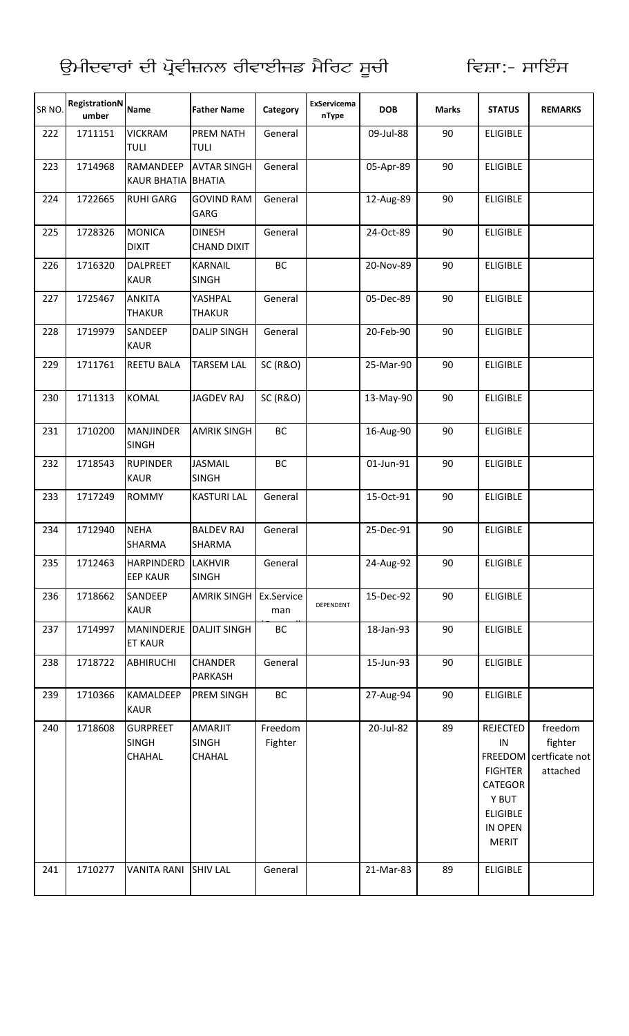| SR NO. | RegistrationN<br>umber | <b>Name</b>                               | <b>Father Name</b>                       | Category            | <b>ExServicema</b><br>nType | <b>DOB</b> | <b>Marks</b> | <b>STATUS</b>                                                                                                                     | <b>REMARKS</b>                                   |
|--------|------------------------|-------------------------------------------|------------------------------------------|---------------------|-----------------------------|------------|--------------|-----------------------------------------------------------------------------------------------------------------------------------|--------------------------------------------------|
| 222    | 1711151                | <b>VICKRAM</b><br><b>TULI</b>             | <b>PREM NATH</b><br><b>TULI</b>          | General             |                             | 09-Jul-88  | 90           | <b>ELIGIBLE</b>                                                                                                                   |                                                  |
| 223    | 1714968                | RAMANDEEP<br>KAUR BHATIA BHATIA           | <b>AVTAR SINGH</b>                       | General             |                             | 05-Apr-89  | 90           | <b>ELIGIBLE</b>                                                                                                                   |                                                  |
| 224    | 1722665                | <b>RUHI GARG</b>                          | <b>GOVIND RAM</b><br>GARG                | General             |                             | 12-Aug-89  | 90           | <b>ELIGIBLE</b>                                                                                                                   |                                                  |
| 225    | 1728326                | <b>MONICA</b><br><b>DIXIT</b>             | <b>DINESH</b><br><b>CHAND DIXIT</b>      | General             |                             | 24-Oct-89  | 90           | <b>ELIGIBLE</b>                                                                                                                   |                                                  |
| 226    | 1716320                | <b>DALPREET</b><br><b>KAUR</b>            | <b>KARNAIL</b><br><b>SINGH</b>           | BC                  |                             | 20-Nov-89  | 90           | <b>ELIGIBLE</b>                                                                                                                   |                                                  |
| 227    | 1725467                | <b>ANKITA</b><br><b>THAKUR</b>            | YASHPAL<br><b>THAKUR</b>                 | General             |                             | 05-Dec-89  | 90           | <b>ELIGIBLE</b>                                                                                                                   |                                                  |
| 228    | 1719979                | SANDEEP<br><b>KAUR</b>                    | <b>DALIP SINGH</b>                       | General             |                             | 20-Feb-90  | 90           | <b>ELIGIBLE</b>                                                                                                                   |                                                  |
| 229    | 1711761                | <b>REETU BALA</b>                         | <b>TARSEM LAL</b>                        | <b>SC (R&amp;O)</b> |                             | 25-Mar-90  | 90           | <b>ELIGIBLE</b>                                                                                                                   |                                                  |
| 230    | 1711313                | <b>KOMAL</b>                              | <b>JAGDEV RAJ</b>                        | <b>SC (R&amp;O)</b> |                             | 13-May-90  | 90           | <b>ELIGIBLE</b>                                                                                                                   |                                                  |
| 231    | 1710200                | <b>MANJINDER</b><br><b>SINGH</b>          | <b>AMRIK SINGH</b>                       | BC                  |                             | 16-Aug-90  | 90           | <b>ELIGIBLE</b>                                                                                                                   |                                                  |
| 232    | 1718543                | <b>RUPINDER</b><br><b>KAUR</b>            | <b>JASMAIL</b><br><b>SINGH</b>           | BC                  |                             | 01-Jun-91  | 90           | <b>ELIGIBLE</b>                                                                                                                   |                                                  |
| 233    | 1717249                | <b>ROMMY</b>                              | <b>KASTURI LAL</b>                       | General             |                             | 15-Oct-91  | 90           | <b>ELIGIBLE</b>                                                                                                                   |                                                  |
| 234    | 1712940                | <b>NEHA</b><br>SHARMA                     | <b>BALDEV RAJ</b><br><b>SHARMA</b>       | General             |                             | 25-Dec-91  | 90           | <b>ELIGIBLE</b>                                                                                                                   |                                                  |
| 235    | 1712463                | <b>HARPINDERD</b><br><b>EEP KAUR</b>      | LAKHVIR<br><b>SINGH</b>                  | General             |                             | 24-Aug-92  | 90           | <b>ELIGIBLE</b>                                                                                                                   |                                                  |
| 236    | 1718662                | SANDEEP<br><b>KAUR</b>                    | <b>AMRIK SINGH</b>                       | Ex.Service<br>man   | DEPENDENT                   | 15-Dec-92  | 90           | <b>ELIGIBLE</b>                                                                                                                   |                                                  |
| 237    | 1714997                | MANINDERJE DALJIT SINGH<br><b>ET KAUR</b> |                                          | BC                  |                             | 18-Jan-93  | 90           | <b>ELIGIBLE</b>                                                                                                                   |                                                  |
| 238    | 1718722                | <b>ABHIRUCHI</b>                          | <b>CHANDER</b><br><b>PARKASH</b>         | General             |                             | 15-Jun-93  | 90           | <b>ELIGIBLE</b>                                                                                                                   |                                                  |
| 239    | 1710366                | <b>KAMALDEEP</b><br><b>KAUR</b>           | PREM SINGH                               | BC                  |                             | 27-Aug-94  | 90           | <b>ELIGIBLE</b>                                                                                                                   |                                                  |
| 240    | 1718608                | <b>GURPREET</b><br><b>SINGH</b><br>CHAHAL | AMARJIT<br><b>SINGH</b><br><b>CHAHAL</b> | Freedom<br>Fighter  |                             | 20-Jul-82  | 89           | <b>REJECTED</b><br>$\sf IN$<br><b>FREEDOM</b><br><b>FIGHTER</b><br>CATEGOR<br>Y BUT<br><b>ELIGIBLE</b><br>IN OPEN<br><b>MERIT</b> | freedom<br>fighter<br>certficate not<br>attached |
| 241    | 1710277                | <b>VANITA RANI</b>                        | <b>SHIV LAL</b>                          | General             |                             | 21-Mar-83  | 89           | <b>ELIGIBLE</b>                                                                                                                   |                                                  |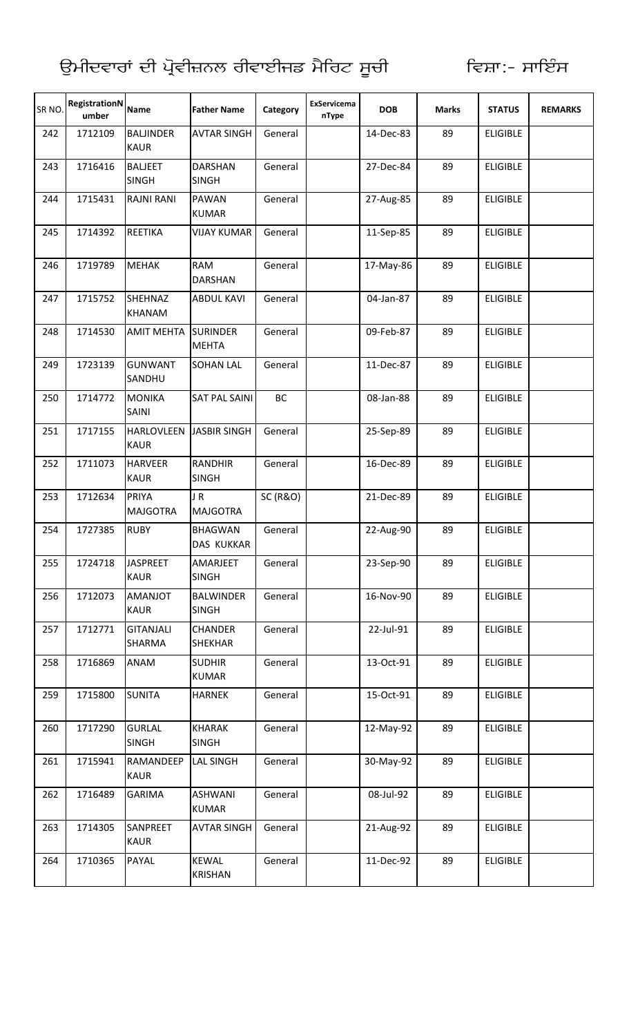| SR NO. | RegistrationN<br>umber | <b>Name</b>                      | <b>Father Name</b>               | Category            | ExServicema<br>nType | <b>DOB</b> | <b>Marks</b> | <b>STATUS</b>   | <b>REMARKS</b> |
|--------|------------------------|----------------------------------|----------------------------------|---------------------|----------------------|------------|--------------|-----------------|----------------|
| 242    | 1712109                | <b>BALJINDER</b><br><b>KAUR</b>  | <b>AVTAR SINGH</b>               | General             |                      | 14-Dec-83  | 89           | <b>ELIGIBLE</b> |                |
| 243    | 1716416                | <b>BALJEET</b><br><b>SINGH</b>   | <b>DARSHAN</b><br><b>SINGH</b>   | General             |                      | 27-Dec-84  | 89           | <b>ELIGIBLE</b> |                |
| 244    | 1715431                | <b>RAJNI RANI</b>                | <b>PAWAN</b><br><b>KUMAR</b>     | General             |                      | 27-Aug-85  | 89           | <b>ELIGIBLE</b> |                |
| 245    | 1714392                | REETIKA                          | <b>VIJAY KUMAR</b>               | General             |                      | 11-Sep-85  | 89           | <b>ELIGIBLE</b> |                |
| 246    | 1719789                | <b>MEHAK</b>                     | <b>RAM</b><br><b>DARSHAN</b>     | General             |                      | 17-May-86  | 89           | <b>ELIGIBLE</b> |                |
| 247    | 1715752                | <b>SHEHNAZ</b><br><b>KHANAM</b>  | <b>ABDUL KAVI</b>                | General             |                      | 04-Jan-87  | 89           | <b>ELIGIBLE</b> |                |
| 248    | 1714530                | <b>AMIT MEHTA</b>                | <b>SURINDER</b><br><b>MEHTA</b>  | General             |                      | 09-Feb-87  | 89           | <b>ELIGIBLE</b> |                |
| 249    | 1723139                | <b>GUNWANT</b><br>SANDHU         | <b>SOHAN LAL</b>                 | General             |                      | 11-Dec-87  | 89           | <b>ELIGIBLE</b> |                |
| 250    | 1714772                | <b>MONIKA</b><br>SAINI           | <b>SAT PAL SAINI</b>             | <b>BC</b>           |                      | 08-Jan-88  | 89           | <b>ELIGIBLE</b> |                |
| 251    | 1717155                | <b>HARLOVLEEN</b><br><b>KAUR</b> | <b>JASBIR SINGH</b>              | General             |                      | 25-Sep-89  | 89           | <b>ELIGIBLE</b> |                |
| 252    | 1711073                | <b>HARVEER</b><br><b>KAUR</b>    | <b>RANDHIR</b><br><b>SINGH</b>   | General             |                      | 16-Dec-89  | 89           | <b>ELIGIBLE</b> |                |
| 253    | 1712634                | PRIYA<br><b>MAJGOTRA</b>         | JR.<br><b>MAJGOTRA</b>           | <b>SC (R&amp;O)</b> |                      | 21-Dec-89  | 89           | <b>ELIGIBLE</b> |                |
| 254    | 1727385                | <b>RUBY</b>                      | <b>BHAGWAN</b><br>DAS KUKKAR     | General             |                      | 22-Aug-90  | 89           | <b>ELIGIBLE</b> |                |
| 255    | 1724718                | <b>JASPREET</b><br><b>KAUR</b>   | AMARJEET<br><b>SINGH</b>         | General             |                      | 23-Sep-90  | 89           | <b>ELIGIBLE</b> |                |
| 256    | 1712073                | <b>TOLIANA</b><br><b>KAUR</b>    | <b>BALWINDER</b><br><b>SINGH</b> | General             |                      | 16-Nov-90  | 89           | <b>ELIGIBLE</b> |                |
| 257    | 1712771                | <b>GITANJALI</b><br>SHARMA       | <b>CHANDER</b><br><b>SHEKHAR</b> | General             |                      | 22-Jul-91  | 89           | <b>ELIGIBLE</b> |                |
| 258    | 1716869                | <b>ANAM</b>                      | <b>SUDHIR</b><br><b>KUMAR</b>    | General             |                      | 13-Oct-91  | 89           | <b>ELIGIBLE</b> |                |
| 259    | 1715800                | <b>SUNITA</b>                    | <b>HARNEK</b>                    | General             |                      | 15-Oct-91  | 89           | <b>ELIGIBLE</b> |                |
| 260    | 1717290                | <b>GURLAL</b><br><b>SINGH</b>    | <b>KHARAK</b><br><b>SINGH</b>    | General             |                      | 12-May-92  | 89           | <b>ELIGIBLE</b> |                |
| 261    | 1715941                | RAMANDEEP<br><b>KAUR</b>         | <b>LAL SINGH</b>                 | General             |                      | 30-May-92  | 89           | <b>ELIGIBLE</b> |                |
| 262    | 1716489                | <b>GARIMA</b>                    | <b>ASHWANI</b><br><b>KUMAR</b>   | General             |                      | 08-Jul-92  | 89           | <b>ELIGIBLE</b> |                |
| 263    | 1714305                | SANPREET<br><b>KAUR</b>          | <b>AVTAR SINGH</b>               | General             |                      | 21-Aug-92  | 89           | <b>ELIGIBLE</b> |                |
| 264    | 1710365                | PAYAL                            | <b>KEWAL</b><br><b>KRISHAN</b>   | General             |                      | 11-Dec-92  | 89           | <b>ELIGIBLE</b> |                |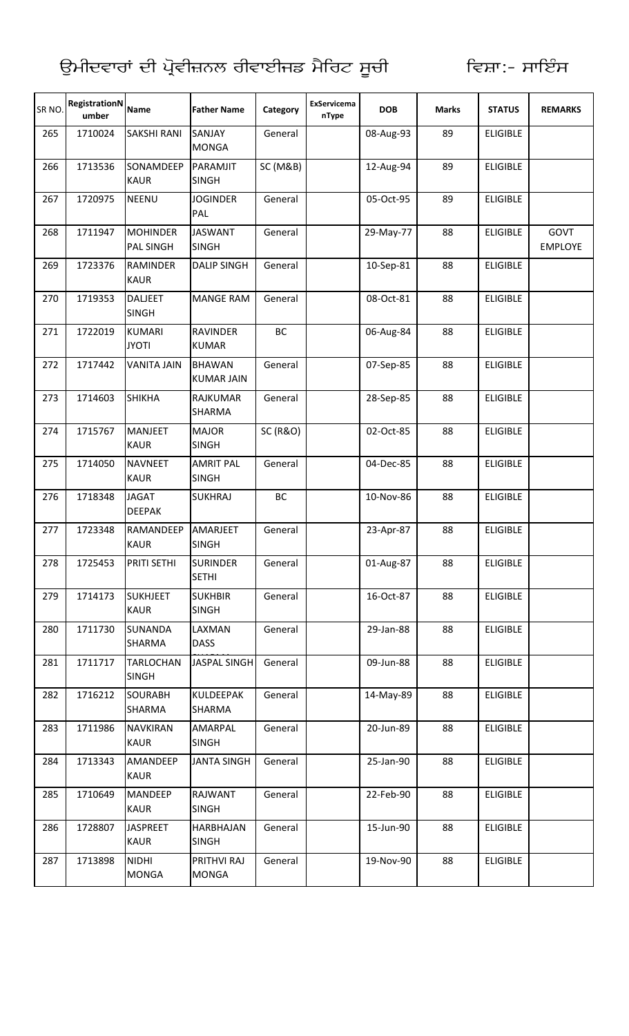| SR NO. | RegistrationN<br>umber | <b>Name</b>                         | <b>Father Name</b>                 | Category            | <b>ExServicema</b><br>nType | <b>DOB</b> | <b>Marks</b> | <b>STATUS</b>   | <b>REMARKS</b>         |
|--------|------------------------|-------------------------------------|------------------------------------|---------------------|-----------------------------|------------|--------------|-----------------|------------------------|
| 265    | 1710024                | <b>SAKSHI RANI</b>                  | SANJAY<br><b>MONGA</b>             | General             |                             | 08-Aug-93  | 89           | <b>ELIGIBLE</b> |                        |
| 266    | 1713536                | SONAMDEEP<br><b>KAUR</b>            | PARAMJIT<br><b>SINGH</b>           | SC (M&B)            |                             | 12-Aug-94  | 89           | <b>ELIGIBLE</b> |                        |
| 267    | 1720975                | <b>NEENU</b>                        | <b>JOGINDER</b><br>PAL             | General             |                             | 05-Oct-95  | 89           | <b>ELIGIBLE</b> |                        |
| 268    | 1711947                | <b>MOHINDER</b><br><b>PAL SINGH</b> | <b>JASWANT</b><br><b>SINGH</b>     | General             |                             | 29-May-77  | 88           | <b>ELIGIBLE</b> | GOVT<br><b>EMPLOYE</b> |
| 269    | 1723376                | <b>RAMINDER</b><br><b>KAUR</b>      | <b>DALIP SINGH</b>                 | General             |                             | 10-Sep-81  | 88           | <b>ELIGIBLE</b> |                        |
| 270    | 1719353                | <b>DALJEET</b><br><b>SINGH</b>      | <b>MANGE RAM</b>                   | General             |                             | 08-Oct-81  | 88           | <b>ELIGIBLE</b> |                        |
| 271    | 1722019                | <b>KUMARI</b><br><b>JYOTI</b>       | <b>RAVINDER</b><br><b>KUMAR</b>    | BC                  |                             | 06-Aug-84  | 88           | <b>ELIGIBLE</b> |                        |
| 272    | 1717442                | <b>VANITA JAIN</b>                  | <b>BHAWAN</b><br><b>KUMAR JAIN</b> | General             |                             | 07-Sep-85  | 88           | <b>ELIGIBLE</b> |                        |
| 273    | 1714603                | <b>SHIKHA</b>                       | <b>RAJKUMAR</b><br><b>SHARMA</b>   | General             |                             | 28-Sep-85  | 88           | <b>ELIGIBLE</b> |                        |
| 274    | 1715767                | <b>MANJEET</b><br><b>KAUR</b>       | <b>MAJOR</b><br><b>SINGH</b>       | <b>SC (R&amp;O)</b> |                             | 02-Oct-85  | 88           | <b>ELIGIBLE</b> |                        |
| 275    | 1714050                | <b>NAVNEET</b><br><b>KAUR</b>       | <b>AMRIT PAL</b><br><b>SINGH</b>   | General             |                             | 04-Dec-85  | 88           | <b>ELIGIBLE</b> |                        |
| 276    | 1718348                | <b>JAGAT</b><br><b>DEEPAK</b>       | <b>SUKHRAJ</b>                     | BC                  |                             | 10-Nov-86  | 88           | <b>ELIGIBLE</b> |                        |
| 277    | 1723348                | RAMANDEEP<br><b>KAUR</b>            | AMARJEET<br><b>SINGH</b>           | General             |                             | 23-Apr-87  | 88           | <b>ELIGIBLE</b> |                        |
| 278    | 1725453                | PRITI SETHI                         | <b>SURINDER</b><br><b>SETHI</b>    | General             |                             | 01-Aug-87  | 88           | <b>ELIGIBLE</b> |                        |
| 279    | 1714173                | <b>SUKHJEET</b><br><b>KAUR</b>      | <b>SUKHBIR</b><br><b>SINGH</b>     | General             |                             | 16-Oct-87  | 88           | <b>ELIGIBLE</b> |                        |
| 280    | 1711730                | <b>SUNANDA</b><br>SHARMA            | LAXMAN<br><b>DASS</b>              | General             |                             | 29-Jan-88  | 88           | <b>ELIGIBLE</b> |                        |
| 281    | 1711717                | <b>TARLOCHAN</b><br><b>SINGH</b>    | <b>JASPAL SINGH</b>                | General             |                             | 09-Jun-88  | 88           | <b>ELIGIBLE</b> |                        |
| 282    | 1716212                | <b>SOURABH</b><br>SHARMA            | <b>KULDEEPAK</b><br>SHARMA         | General             |                             | 14-May-89  | 88           | <b>ELIGIBLE</b> |                        |
| 283    | 1711986                | <b>NAVKIRAN</b><br><b>KAUR</b>      | AMARPAL<br><b>SINGH</b>            | General             |                             | 20-Jun-89  | 88           | <b>ELIGIBLE</b> |                        |
| 284    | 1713343                | AMANDEEP<br><b>KAUR</b>             | <b>JANTA SINGH</b>                 | General             |                             | 25-Jan-90  | 88           | <b>ELIGIBLE</b> |                        |
| 285    | 1710649                | <b>MANDEEP</b><br><b>KAUR</b>       | RAJWANT<br><b>SINGH</b>            | General             |                             | 22-Feb-90  | 88           | <b>ELIGIBLE</b> |                        |
| 286    | 1728807                | <b>JASPREET</b><br><b>KAUR</b>      | HARBHAJAN<br><b>SINGH</b>          | General             |                             | 15-Jun-90  | 88           | <b>ELIGIBLE</b> |                        |
| 287    | 1713898                | <b>NIDHI</b><br><b>MONGA</b>        | PRITHVI RAJ<br><b>MONGA</b>        | General             |                             | 19-Nov-90  | 88           | <b>ELIGIBLE</b> |                        |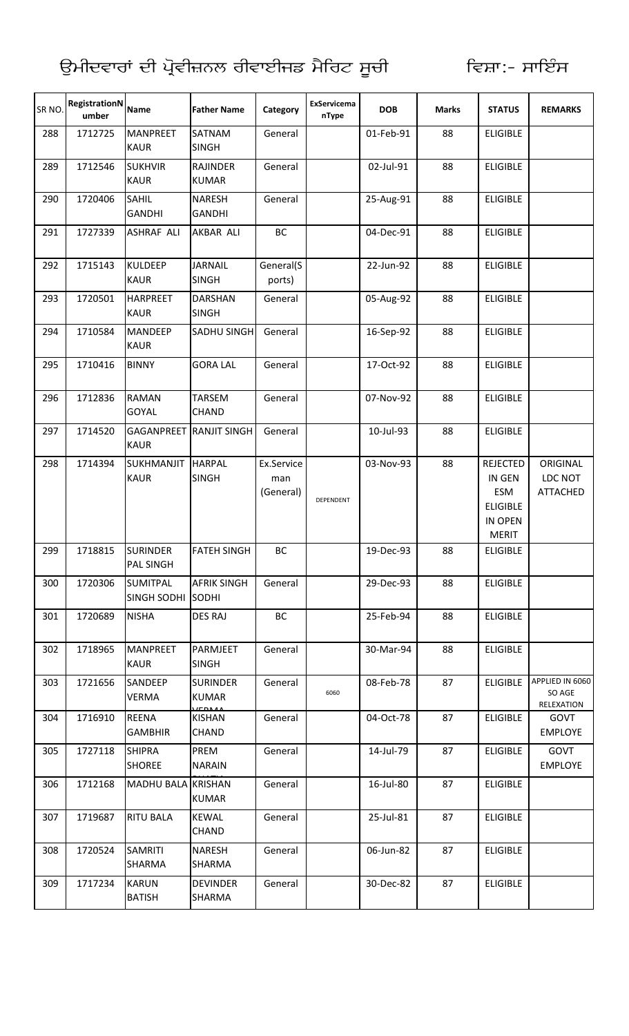| SR NO. | <b>RegistrationN</b><br>umber | <b>Name</b>                          | <b>Father Name</b>                      | Category                       | ExServicema<br>nType | <b>DOB</b> | <b>Marks</b> | <b>STATUS</b>                                                                  | <b>REMARKS</b>                          |
|--------|-------------------------------|--------------------------------------|-----------------------------------------|--------------------------------|----------------------|------------|--------------|--------------------------------------------------------------------------------|-----------------------------------------|
| 288    | 1712725                       | <b>MANPREET</b><br><b>KAUR</b>       | SATNAM<br><b>SINGH</b>                  | General                        |                      | 01-Feb-91  | 88           | <b>ELIGIBLE</b>                                                                |                                         |
| 289    | 1712546                       | <b>SUKHVIR</b><br><b>KAUR</b>        | <b>RAJINDER</b><br><b>KUMAR</b>         | General                        |                      | 02-Jul-91  | 88           | <b>ELIGIBLE</b>                                                                |                                         |
| 290    | 1720406                       | SAHIL<br><b>GANDHI</b>               | <b>NARESH</b><br><b>GANDHI</b>          | General                        |                      | 25-Aug-91  | 88           | <b>ELIGIBLE</b>                                                                |                                         |
| 291    | 1727339                       | <b>ASHRAF ALI</b>                    | AKBAR ALI                               | BC                             |                      | 04-Dec-91  | 88           | <b>ELIGIBLE</b>                                                                |                                         |
| 292    | 1715143                       | <b>KULDEEP</b><br><b>KAUR</b>        | <b>JARNAIL</b><br><b>SINGH</b>          | General(S<br>ports)            |                      | 22-Jun-92  | 88           | <b>ELIGIBLE</b>                                                                |                                         |
| 293    | 1720501                       | <b>HARPREET</b><br><b>KAUR</b>       | <b>DARSHAN</b><br><b>SINGH</b>          | General                        |                      | 05-Aug-92  | 88           | <b>ELIGIBLE</b>                                                                |                                         |
| 294    | 1710584                       | <b>MANDEEP</b><br><b>KAUR</b>        | SADHU SINGH                             | General                        |                      | 16-Sep-92  | 88           | <b>ELIGIBLE</b>                                                                |                                         |
| 295    | 1710416                       | <b>BINNY</b>                         | <b>GORA LAL</b>                         | General                        |                      | 17-Oct-92  | 88           | <b>ELIGIBLE</b>                                                                |                                         |
| 296    | 1712836                       | <b>RAMAN</b><br>GOYAL                | <b>TARSEM</b><br><b>CHAND</b>           | General                        |                      | 07-Nov-92  | 88           | <b>ELIGIBLE</b>                                                                |                                         |
| 297    | 1714520                       | <b>GAGANPREET</b><br><b>KAUR</b>     | <b>RANJIT SINGH</b>                     | General                        |                      | 10-Jul-93  | 88           | <b>ELIGIBLE</b>                                                                |                                         |
| 298    | 1714394                       | SUKHMANJIT<br><b>KAUR</b>            | <b>HARPAL</b><br><b>SINGH</b>           | Ex.Service<br>man<br>(General) | DEPENDENT            | 03-Nov-93  | 88           | <b>REJECTED</b><br>IN GEN<br>ESM<br><b>ELIGIBLE</b><br>IN OPEN<br><b>MERIT</b> | ORIGINAL<br>LDC NOT<br><b>ATTACHED</b>  |
| 299    | 1718815                       | <b>SURINDER</b><br><b>PAL SINGH</b>  | <b>FATEH SINGH</b>                      | ВC                             |                      | 19-Dec-93  | 88           | <b>ELIGIBLE</b>                                                                |                                         |
| 300    | 1720306                       | <b>SUMITPAL</b><br>SINGH SODHI SODHI | <b>AFRIK SINGH</b>                      | General                        |                      | 29-Dec-93  | 88           | <b>ELIGIBLE</b>                                                                |                                         |
| 301    | 1720689                       | <b>NISHA</b>                         | <b>DES RAJ</b>                          | BC                             |                      | 25-Feb-94  | 88           | <b>ELIGIBLE</b>                                                                |                                         |
| 302    | 1718965                       | <b>MANPREET</b><br><b>KAUR</b>       | PARMJEET<br><b>SINGH</b>                | General                        |                      | 30-Mar-94  | 88           | <b>ELIGIBLE</b>                                                                |                                         |
| 303    | 1721656                       | SANDEEP<br><b>VERMA</b>              | <b>SURINDER</b><br><b>KUMAR</b>         | General                        | 6060                 | 08-Feb-78  | 87           | <b>ELIGIBLE</b>                                                                | APPLIED IN 6060<br>SO AGE<br>RELEXATION |
| 304    | 1716910                       | <b>REENA</b><br><b>GAMBHIR</b>       | LTDAAA<br><b>KISHAN</b><br><b>CHAND</b> | General                        |                      | 04-Oct-78  | 87           | <b>ELIGIBLE</b>                                                                | GOVT<br><b>EMPLOYE</b>                  |
| 305    | 1727118                       | <b>SHIPRA</b><br><b>SHOREE</b>       | PREM<br><b>NARAIN</b>                   | General                        |                      | 14-Jul-79  | 87           | <b>ELIGIBLE</b>                                                                | GOVT<br><b>EMPLOYE</b>                  |
| 306    | 1712168                       | MADHU BALA KRISHAN                   | <b>KUMAR</b>                            | General                        |                      | 16-Jul-80  | 87           | <b>ELIGIBLE</b>                                                                |                                         |
| 307    | 1719687                       | <b>RITU BALA</b>                     | <b>KEWAL</b><br>CHAND                   | General                        |                      | 25-Jul-81  | 87           | <b>ELIGIBLE</b>                                                                |                                         |
| 308    | 1720524                       | <b>SAMRITI</b><br><b>SHARMA</b>      | <b>NARESH</b><br><b>SHARMA</b>          | General                        |                      | 06-Jun-82  | 87           | <b>ELIGIBLE</b>                                                                |                                         |
| 309    | 1717234                       | <b>KARUN</b><br><b>BATISH</b>        | <b>DEVINDER</b><br><b>SHARMA</b>        | General                        |                      | 30-Dec-82  | 87           | <b>ELIGIBLE</b>                                                                |                                         |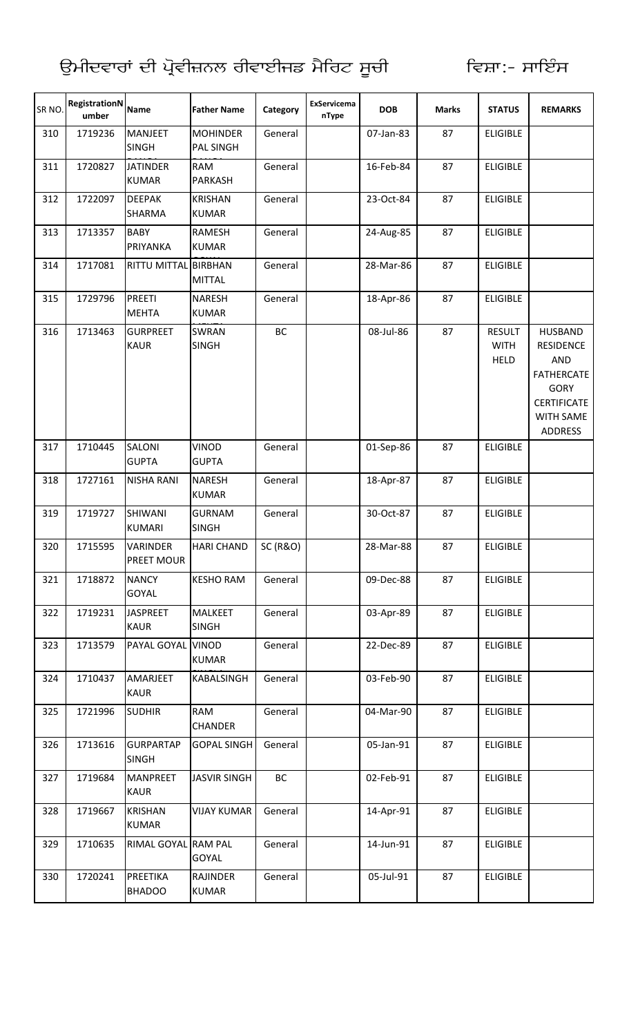| SR NO. | <b>RegistrationN</b><br>umber | <b>Name</b>                      | <b>Father Name</b>                  | Category            | ExServicema<br>nType | <b>DOB</b> | <b>Marks</b> | <b>STATUS</b>                               | <b>REMARKS</b>                                                                                                                                   |
|--------|-------------------------------|----------------------------------|-------------------------------------|---------------------|----------------------|------------|--------------|---------------------------------------------|--------------------------------------------------------------------------------------------------------------------------------------------------|
| 310    | 1719236                       | <b>MANJEET</b><br><b>SINGH</b>   | <b>MOHINDER</b><br><b>PAL SINGH</b> | General             |                      | 07-Jan-83  | 87           | <b>ELIGIBLE</b>                             |                                                                                                                                                  |
| 311    | 1720827                       | <b>JATINDER</b><br><b>KUMAR</b>  | RAM<br><b>PARKASH</b>               | General             |                      | 16-Feb-84  | 87           | <b>ELIGIBLE</b>                             |                                                                                                                                                  |
| 312    | 1722097                       | <b>DEEPAK</b><br><b>SHARMA</b>   | <b>KRISHAN</b><br><b>KUMAR</b>      | General             |                      | 23-Oct-84  | 87           | <b>ELIGIBLE</b>                             |                                                                                                                                                  |
| 313    | 1713357                       | <b>BABY</b><br>PRIYANKA          | RAMESH<br><b>KUMAR</b>              | General             |                      | 24-Aug-85  | 87           | <b>ELIGIBLE</b>                             |                                                                                                                                                  |
| 314    | 1717081                       | RITTU MITTAL BIRBHAN             | <b>MITTAL</b>                       | General             |                      | 28-Mar-86  | 87           | <b>ELIGIBLE</b>                             |                                                                                                                                                  |
| 315    | 1729796                       | <b>PREETI</b><br><b>MEHTA</b>    | <b>NARESH</b><br><b>KUMAR</b>       | General             |                      | 18-Apr-86  | 87           | <b>ELIGIBLE</b>                             |                                                                                                                                                  |
| 316    | 1713463                       | <b>GURPREET</b><br><b>KAUR</b>   | <b>SWRAN</b><br><b>SINGH</b>        | BC                  |                      | 08-Jul-86  | 87           | <b>RESULT</b><br><b>WITH</b><br><b>HELD</b> | <b>HUSBAND</b><br><b>RESIDENCE</b><br><b>AND</b><br><b>FATHERCATE</b><br><b>GORY</b><br><b>CERTIFICATE</b><br><b>WITH SAME</b><br><b>ADDRESS</b> |
| 317    | 1710445                       | <b>SALONI</b><br><b>GUPTA</b>    | <b>VINOD</b><br><b>GUPTA</b>        | General             |                      | 01-Sep-86  | 87           | <b>ELIGIBLE</b>                             |                                                                                                                                                  |
| 318    | 1727161                       | <b>NISHA RANI</b>                | <b>NARESH</b><br><b>KUMAR</b>       | General             |                      | 18-Apr-87  | 87           | <b>ELIGIBLE</b>                             |                                                                                                                                                  |
| 319    | 1719727                       | <b>SHIWANI</b><br><b>KUMARI</b>  | <b>GURNAM</b><br><b>SINGH</b>       | General             |                      | 30-Oct-87  | 87           | <b>ELIGIBLE</b>                             |                                                                                                                                                  |
| 320    | 1715595                       | VARINDER<br>PREET MOUR           | <b>HARI CHAND</b>                   | <b>SC (R&amp;O)</b> |                      | 28-Mar-88  | 87           | <b>ELIGIBLE</b>                             |                                                                                                                                                  |
| 321    | 1718872                       | <b>NANCY</b><br>GOYAL            | <b>KESHO RAM</b>                    | General             |                      | 09-Dec-88  | 87           | <b>ELIGIBLE</b>                             |                                                                                                                                                  |
| 322    | 1719231                       | <b>JASPREET</b><br><b>KAUR</b>   | <b>MALKEET</b><br><b>SINGH</b>      | General             |                      | 03-Apr-89  | 87           | <b>ELIGIBLE</b>                             |                                                                                                                                                  |
| 323    | 1713579                       | PAYAL GOYAL VINOD                | <b>KUMAR</b>                        | General             |                      | 22-Dec-89  | 87           | <b>ELIGIBLE</b>                             |                                                                                                                                                  |
| 324    | 1710437                       | AMARJEET<br><b>KAUR</b>          | <b>KABALSINGH</b>                   | General             |                      | 03-Feb-90  | 87           | <b>ELIGIBLE</b>                             |                                                                                                                                                  |
| 325    | 1721996                       | <b>SUDHIR</b>                    | RAM<br><b>CHANDER</b>               | General             |                      | 04-Mar-90  | 87           | <b>ELIGIBLE</b>                             |                                                                                                                                                  |
| 326    | 1713616                       | <b>GURPARTAP</b><br><b>SINGH</b> | <b>GOPAL SINGH</b>                  | General             |                      | 05-Jan-91  | 87           | <b>ELIGIBLE</b>                             |                                                                                                                                                  |
| 327    | 1719684                       | <b>MANPREET</b><br><b>KAUR</b>   | <b>JASVIR SINGH</b>                 | BC                  |                      | 02-Feb-91  | 87           | <b>ELIGIBLE</b>                             |                                                                                                                                                  |
| 328    | 1719667                       | <b>KRISHAN</b><br><b>KUMAR</b>   | <b>VIJAY KUMAR</b>                  | General             |                      | 14-Apr-91  | 87           | <b>ELIGIBLE</b>                             |                                                                                                                                                  |
| 329    | 1710635                       | RIMAL GOYAL RAM PAL              | GOYAL                               | General             |                      | 14-Jun-91  | 87           | <b>ELIGIBLE</b>                             |                                                                                                                                                  |
| 330    | 1720241                       | PREETIKA<br><b>BHADOO</b>        | <b>RAJINDER</b><br><b>KUMAR</b>     | General             |                      | 05-Jul-91  | 87           | <b>ELIGIBLE</b>                             |                                                                                                                                                  |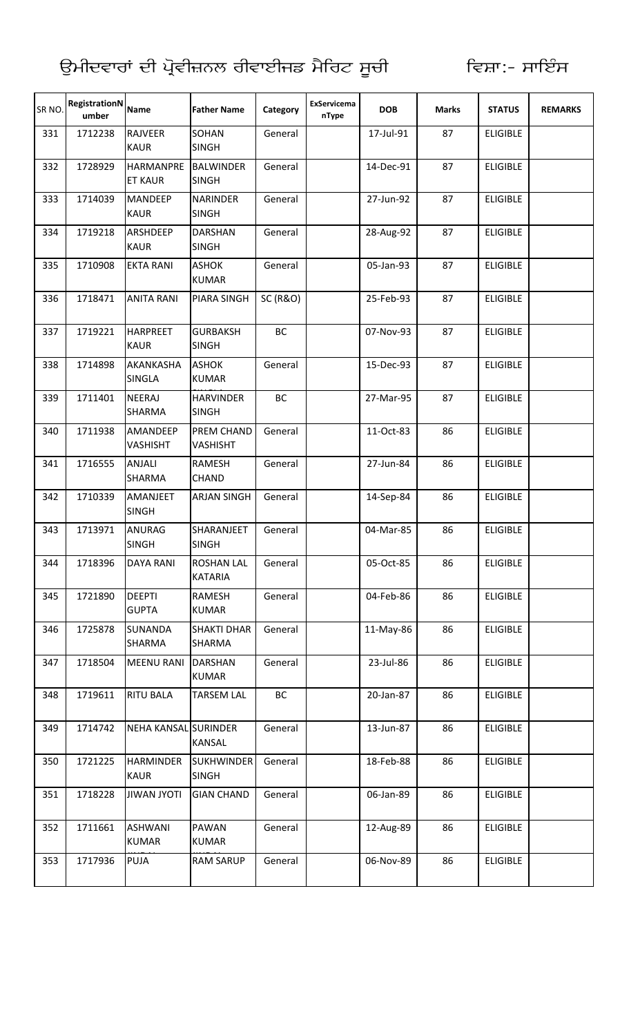| SR NO. | RegistrationN<br>umber | <b>Name</b>                        | <b>Father Name</b>                  | Category            | ExServicema<br>nType | <b>DOB</b> | <b>Marks</b> | <b>STATUS</b>   | <b>REMARKS</b> |
|--------|------------------------|------------------------------------|-------------------------------------|---------------------|----------------------|------------|--------------|-----------------|----------------|
| 331    | 1712238                | RAJVEER<br><b>KAUR</b>             | SOHAN<br><b>SINGH</b>               | General             |                      | 17-Jul-91  | 87           | <b>ELIGIBLE</b> |                |
| 332    | 1728929                | <b>HARMANPRE</b><br><b>ET KAUR</b> | <b>BALWINDER</b><br><b>SINGH</b>    | General             |                      | 14-Dec-91  | 87           | <b>ELIGIBLE</b> |                |
| 333    | 1714039                | <b>MANDEEP</b><br><b>KAUR</b>      | <b>NARINDER</b><br><b>SINGH</b>     | General             |                      | 27-Jun-92  | 87           | <b>ELIGIBLE</b> |                |
| 334    | 1719218                | ARSHDEEP<br><b>KAUR</b>            | <b>DARSHAN</b><br><b>SINGH</b>      | General             |                      | 28-Aug-92  | 87           | <b>ELIGIBLE</b> |                |
| 335    | 1710908                | <b>EKTA RANI</b>                   | <b>ASHOK</b><br><b>KUMAR</b>        | General             |                      | 05-Jan-93  | 87           | <b>ELIGIBLE</b> |                |
| 336    | 1718471                | <b>ANITA RANI</b>                  | <b>PIARA SINGH</b>                  | <b>SC (R&amp;O)</b> |                      | 25-Feb-93  | 87           | <b>ELIGIBLE</b> |                |
| 337    | 1719221                | <b>HARPREET</b><br><b>KAUR</b>     | <b>GURBAKSH</b><br><b>SINGH</b>     | BC                  |                      | 07-Nov-93  | 87           | <b>ELIGIBLE</b> |                |
| 338    | 1714898                | AKANKASHA<br><b>SINGLA</b>         | <b>ASHOK</b><br><b>KUMAR</b>        | General             |                      | 15-Dec-93  | 87           | <b>ELIGIBLE</b> |                |
| 339    | 1711401                | <b>NEERAJ</b><br><b>SHARMA</b>     | <b>HARVINDER</b><br><b>SINGH</b>    | BC                  |                      | 27-Mar-95  | 87           | <b>ELIGIBLE</b> |                |
| 340    | 1711938                | AMANDEEP<br>VASHISHT               | PREM CHAND<br><b>VASHISHT</b>       | General             |                      | 11-Oct-83  | 86           | <b>ELIGIBLE</b> |                |
| 341    | 1716555                | <b>ANJALI</b><br>SHARMA            | RAMESH<br><b>CHAND</b>              | General             |                      | 27-Jun-84  | 86           | <b>ELIGIBLE</b> |                |
| 342    | 1710339                | AMANJEET<br><b>SINGH</b>           | <b>ARJAN SINGH</b>                  | General             |                      | 14-Sep-84  | 86           | <b>ELIGIBLE</b> |                |
| 343    | 1713971                | ANURAG<br><b>SINGH</b>             | SHARANJEET<br><b>SINGH</b>          | General             |                      | 04-Mar-85  | 86           | <b>ELIGIBLE</b> |                |
| 344    | 1718396                | <b>DAYA RANI</b>                   | <b>ROSHAN LAL</b><br><b>KATARIA</b> | General             |                      | 05-Oct-85  | 86           | <b>ELIGIBLE</b> |                |
| 345    | 1721890                | <b>DEEPTI</b><br><b>GUPTA</b>      | RAMESH<br>KUMAR                     | General             |                      | 04-Feb-86  | 86           | <b>ELIGIBLE</b> |                |
| 346    | 1725878                | <b>SUNANDA</b><br>SHARMA           | <b>SHAKTI DHAR</b><br><b>SHARMA</b> | General             |                      | 11-May-86  | 86           | <b>ELIGIBLE</b> |                |
| 347    | 1718504                | <b>MEENU RANI</b>                  | <b>DARSHAN</b><br><b>KUMAR</b>      | General             |                      | 23-Jul-86  | 86           | <b>ELIGIBLE</b> |                |
| 348    | 1719611                | <b>RITU BALA</b>                   | <b>TARSEM LAL</b>                   | BC                  |                      | 20-Jan-87  | 86           | <b>ELIGIBLE</b> |                |
| 349    | 1714742                | NEHA KANSAL SURINDER               | KANSAL                              | General             |                      | 13-Jun-87  | 86           | <b>ELIGIBLE</b> |                |
| 350    | 1721225                | <b>HARMINDER</b><br><b>KAUR</b>    | <b>SUKHWINDER</b><br><b>SINGH</b>   | General             |                      | 18-Feb-88  | 86           | <b>ELIGIBLE</b> |                |
| 351    | 1718228                | <b>JIWAN JYOTI</b>                 | <b>GIAN CHAND</b>                   | General             |                      | 06-Jan-89  | 86           | <b>ELIGIBLE</b> |                |
| 352    | 1711661                | <b>ASHWANI</b><br><b>KUMAR</b>     | <b>PAWAN</b><br><b>KUMAR</b>        | General             |                      | 12-Aug-89  | 86           | <b>ELIGIBLE</b> |                |
| 353    | 1717936                | <b>PUJA</b>                        | <b>RAM SARUP</b>                    | General             |                      | 06-Nov-89  | 86           | <b>ELIGIBLE</b> |                |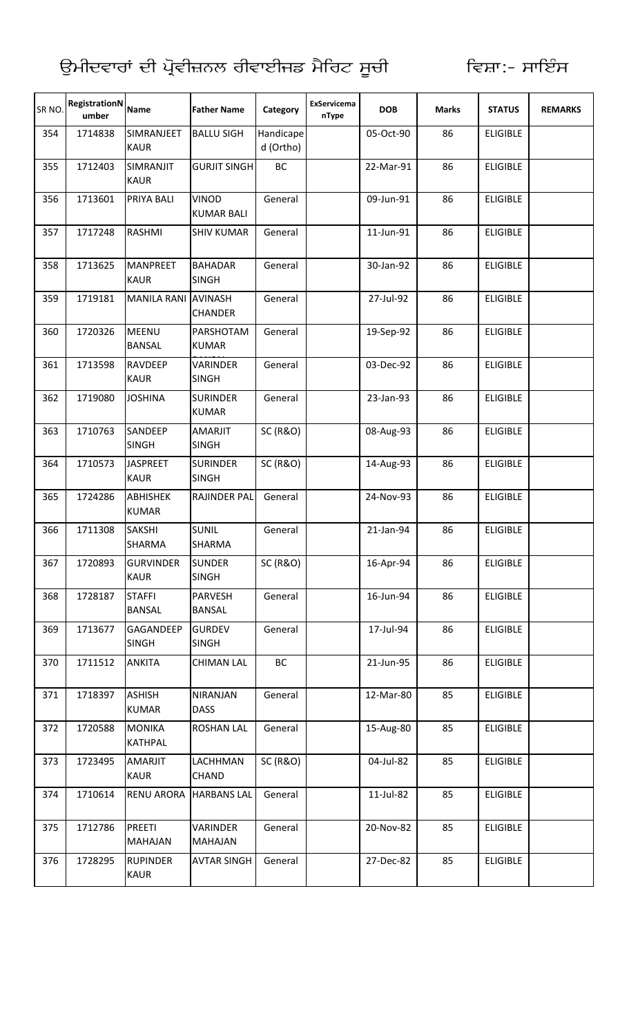| SR <sub>NO</sub> | RegistrationN<br>umber | <b>Name</b>                     | <b>Father Name</b>                | Category               | ExServicema<br>nType | <b>DOB</b> | <b>Marks</b> | <b>STATUS</b>   | <b>REMARKS</b> |
|------------------|------------------------|---------------------------------|-----------------------------------|------------------------|----------------------|------------|--------------|-----------------|----------------|
| 354              | 1714838                | SIMRANJEET<br><b>KAUR</b>       | <b>BALLU SIGH</b>                 | Handicape<br>d (Ortho) |                      | 05-Oct-90  | 86           | <b>ELIGIBLE</b> |                |
| 355              | 1712403                | SIMRANJIT<br><b>KAUR</b>        | <b>GURJIT SINGH</b>               | BC                     |                      | 22-Mar-91  | 86           | <b>ELIGIBLE</b> |                |
| 356              | 1713601                | PRIYA BALI                      | VINOD<br><b>KUMAR BALI</b>        | General                |                      | 09-Jun-91  | 86           | <b>ELIGIBLE</b> |                |
| 357              | 1717248                | RASHMI                          | <b>SHIV KUMAR</b>                 | General                |                      | 11-Jun-91  | 86           | <b>ELIGIBLE</b> |                |
| 358              | 1713625                | <b>MANPREET</b><br><b>KAUR</b>  | <b>BAHADAR</b><br><b>SINGH</b>    | General                |                      | 30-Jan-92  | 86           | <b>ELIGIBLE</b> |                |
| 359              | 1719181                | MANILA RANI AVINASH             | <b>CHANDER</b>                    | General                |                      | 27-Jul-92  | 86           | <b>ELIGIBLE</b> |                |
| 360              | 1720326                | <b>MEENU</b><br><b>BANSAL</b>   | PARSHOTAM<br><b>KUMAR</b>         | General                |                      | 19-Sep-92  | 86           | <b>ELIGIBLE</b> |                |
| 361              | 1713598                | <b>RAVDEEP</b><br><b>KAUR</b>   | <b>VARINDER</b><br><b>SINGH</b>   | General                |                      | 03-Dec-92  | 86           | <b>ELIGIBLE</b> |                |
| 362              | 1719080                | <b>JOSHINA</b>                  | <b>SURINDER</b><br><b>KUMAR</b>   | General                |                      | 23-Jan-93  | 86           | <b>ELIGIBLE</b> |                |
| 363              | 1710763                | SANDEEP<br><b>SINGH</b>         | <b>AMARJIT</b><br><b>SINGH</b>    | <b>SC (R&amp;O)</b>    |                      | 08-Aug-93  | 86           | <b>ELIGIBLE</b> |                |
| 364              | 1710573                | <b>JASPREET</b><br><b>KAUR</b>  | <b>SURINDER</b><br><b>SINGH</b>   | <b>SC (R&amp;O)</b>    |                      | 14-Aug-93  | 86           | <b>ELIGIBLE</b> |                |
| 365              | 1724286                | <b>ABHISHEK</b><br><b>KUMAR</b> | RAJINDER PAL                      | General                |                      | 24-Nov-93  | 86           | <b>ELIGIBLE</b> |                |
| 366              | 1711308                | <b>SAKSHI</b><br><b>SHARMA</b>  | <b>SUNIL</b><br><b>SHARMA</b>     | General                |                      | 21-Jan-94  | 86           | <b>ELIGIBLE</b> |                |
| 367              | 1720893                | <b>GURVINDER</b><br><b>KAUR</b> | <b>SUNDER</b><br><b>SINGH</b>     | <b>SC (R&amp;O)</b>    |                      | 16-Apr-94  | 86           | <b>ELIGIBLE</b> |                |
| 368              | 1728187                | <b>STAFFI</b><br>BANSAL         | PARVESH<br><b>BANSAL</b>          | General                |                      | 16-Jun-94  | 86           | <b>ELIGIBLE</b> |                |
| 369              | 1713677                | GAGANDEEP<br><b>SINGH</b>       | <b>GURDEV</b><br><b>SINGH</b>     | General                |                      | 17-Jul-94  | 86           | <b>ELIGIBLE</b> |                |
| 370              | 1711512                | <b>ANKITA</b>                   | <b>CHIMAN LAL</b>                 | BC                     |                      | 21-Jun-95  | 86           | <b>ELIGIBLE</b> |                |
| 371              | 1718397                | <b>ASHISH</b><br><b>KUMAR</b>   | <b>NIRANJAN</b><br><b>DASS</b>    | General                |                      | 12-Mar-80  | 85           | <b>ELIGIBLE</b> |                |
| 372              | 1720588                | <b>MONIKA</b><br><b>KATHPAL</b> | <b>ROSHAN LAL</b>                 | General                |                      | 15-Aug-80  | 85           | <b>ELIGIBLE</b> |                |
| 373              | 1723495                | AMARJIT<br><b>KAUR</b>          | LACHHMAN<br><b>CHAND</b>          | <b>SC (R&amp;O)</b>    |                      | 04-Jul-82  | 85           | <b>ELIGIBLE</b> |                |
| 374              | 1710614                | <b>RENU ARORA</b>               | <b>HARBANS LAL</b>                | General                |                      | 11-Jul-82  | 85           | <b>ELIGIBLE</b> |                |
| 375              | 1712786                | <b>PREETI</b><br><b>MAHAJAN</b> | <b>VARINDER</b><br><b>MAHAJAN</b> | General                |                      | 20-Nov-82  | 85           | <b>ELIGIBLE</b> |                |
| 376              | 1728295                | <b>RUPINDER</b><br><b>KAUR</b>  | <b>AVTAR SINGH</b>                | General                |                      | 27-Dec-82  | 85           | <b>ELIGIBLE</b> |                |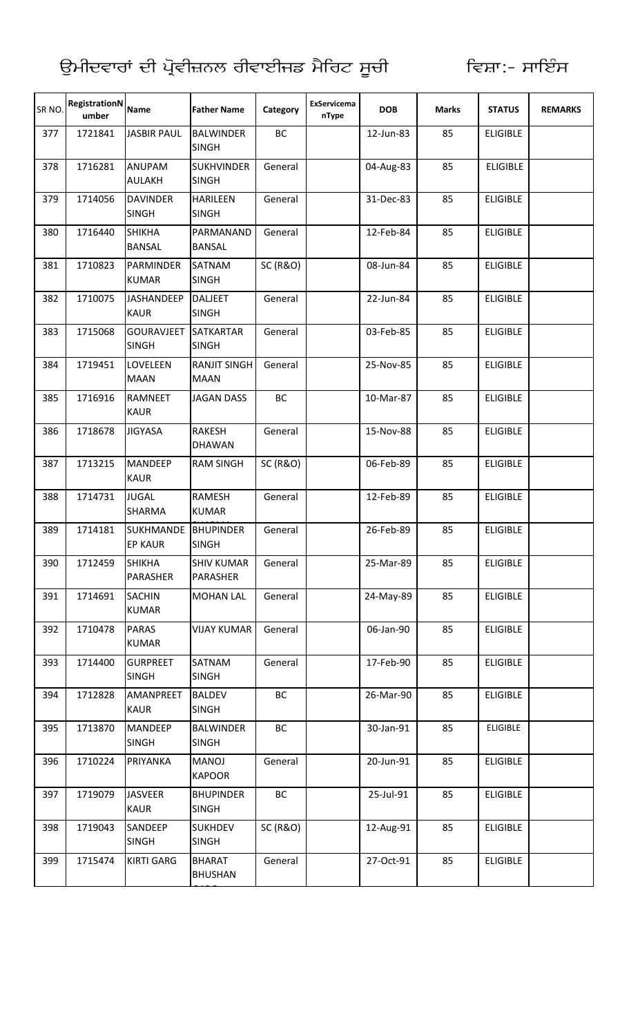GARG

| SR NO. | RegistrationN<br>umber | <b>Name</b>                        | <b>Father Name</b>                 | Category            | <b>ExServicema</b><br>nType | <b>DOB</b> | <b>Marks</b> | <b>STATUS</b>   | <b>REMARKS</b> |
|--------|------------------------|------------------------------------|------------------------------------|---------------------|-----------------------------|------------|--------------|-----------------|----------------|
| 377    | 1721841                | <b>JASBIR PAUL</b>                 | <b>BALWINDER</b><br><b>SINGH</b>   | BC                  |                             | 12-Jun-83  | 85           | <b>ELIGIBLE</b> |                |
| 378    | 1716281                | <b>ANUPAM</b><br><b>AULAKH</b>     | <b>SUKHVINDER</b><br><b>SINGH</b>  | General             |                             | 04-Aug-83  | 85           | <b>ELIGIBLE</b> |                |
| 379    | 1714056                | <b>DAVINDER</b><br><b>SINGH</b>    | <b>HARILEEN</b><br><b>SINGH</b>    | General             |                             | 31-Dec-83  | 85           | <b>ELIGIBLE</b> |                |
| 380    | 1716440                | <b>SHIKHA</b><br><b>BANSAL</b>     | PARMANAND<br><b>BANSAL</b>         | General             |                             | 12-Feb-84  | 85           | <b>ELIGIBLE</b> |                |
| 381    | 1710823                | PARMINDER<br><b>KUMAR</b>          | SATNAM<br><b>SINGH</b>             | <b>SC (R&amp;O)</b> |                             | 08-Jun-84  | 85           | <b>ELIGIBLE</b> |                |
| 382    | 1710075                | <b>JASHANDEEP</b><br><b>KAUR</b>   | <b>DALJEET</b><br><b>SINGH</b>     | General             |                             | 22-Jun-84  | 85           | <b>ELIGIBLE</b> |                |
| 383    | 1715068                | <b>GOURAVJEET</b><br><b>SINGH</b>  | <b>SATKARTAR</b><br><b>SINGH</b>   | General             |                             | 03-Feb-85  | 85           | <b>ELIGIBLE</b> |                |
| 384    | 1719451                | LOVELEEN<br><b>MAAN</b>            | <b>RANJIT SINGH</b><br><b>MAAN</b> | General             |                             | 25-Nov-85  | 85           | <b>ELIGIBLE</b> |                |
| 385    | 1716916                | <b>RAMNEET</b><br><b>KAUR</b>      | <b>JAGAN DASS</b>                  | BC                  |                             | 10-Mar-87  | 85           | <b>ELIGIBLE</b> |                |
| 386    | 1718678                | <b>JIGYASA</b>                     | <b>RAKESH</b><br><b>DHAWAN</b>     | General             |                             | 15-Nov-88  | 85           | <b>ELIGIBLE</b> |                |
| 387    | 1713215                | <b>MANDEEP</b><br><b>KAUR</b>      | <b>RAM SINGH</b>                   | <b>SC (R&amp;O)</b> |                             | 06-Feb-89  | 85           | <b>ELIGIBLE</b> |                |
| 388    | 1714731                | <b>JUGAL</b><br><b>SHARMA</b>      | <b>RAMESH</b><br><b>KUMAR</b>      | General             |                             | 12-Feb-89  | 85           | <b>ELIGIBLE</b> |                |
| 389    | 1714181                | <b>SUKHMANDE</b><br><b>EP KAUR</b> | <b>BHUPINDER</b><br><b>SINGH</b>   | General             |                             | 26-Feb-89  | 85           | <b>ELIGIBLE</b> |                |
| 390    | 1712459                | <b>SHIKHA</b><br>PARASHER          | <b>SHIV KUMAR</b><br>PARASHER      | General             |                             | 25-Mar-89  | 85           | <b>ELIGIBLE</b> |                |
| 391    | 1714691                | <b>SACHIN</b><br><b>KUMAR</b>      | <b>MOHAN LAL</b>                   | General             |                             | 24-May-89  | 85           | <b>ELIGIBLE</b> |                |
| 392    | 1710478                | <b>PARAS</b><br><b>KUMAR</b>       | <b>VIJAY KUMAR</b>                 | General             |                             | 06-Jan-90  | 85           | <b>ELIGIBLE</b> |                |
| 393    | 1714400                | <b>GURPREET</b><br><b>SINGH</b>    | SATNAM<br><b>SINGH</b>             | General             |                             | 17-Feb-90  | 85           | <b>ELIGIBLE</b> |                |
| 394    | 1712828                | AMANPREET<br><b>KAUR</b>           | <b>BALDEV</b><br><b>SINGH</b>      | ВC                  |                             | 26-Mar-90  | 85           | <b>ELIGIBLE</b> |                |
| 395    | 1713870                | <b>MANDEEP</b><br><b>SINGH</b>     | <b>BALWINDER</b><br><b>SINGH</b>   | BC                  |                             | 30-Jan-91  | 85           | <b>ELIGIBLE</b> |                |
| 396    | 1710224                | PRIYANKA                           | MANOJ<br><b>KAPOOR</b>             | General             |                             | 20-Jun-91  | 85           | <b>ELIGIBLE</b> |                |
| 397    | 1719079                | <b>JASVEER</b><br><b>KAUR</b>      | <b>BHUPINDER</b><br><b>SINGH</b>   | BC                  |                             | 25-Jul-91  | 85           | <b>ELIGIBLE</b> |                |
| 398    | 1719043                | SANDEEP<br><b>SINGH</b>            | <b>SUKHDEV</b><br><b>SINGH</b>     | <b>SC (R&amp;O)</b> |                             | 12-Aug-91  | 85           | <b>ELIGIBLE</b> |                |
| 399    | 1715474                | <b>KIRTI GARG</b>                  | <b>BHARAT</b><br><b>BHUSHAN</b>    | General             |                             | 27-Oct-91  | 85           | <b>ELIGIBLE</b> |                |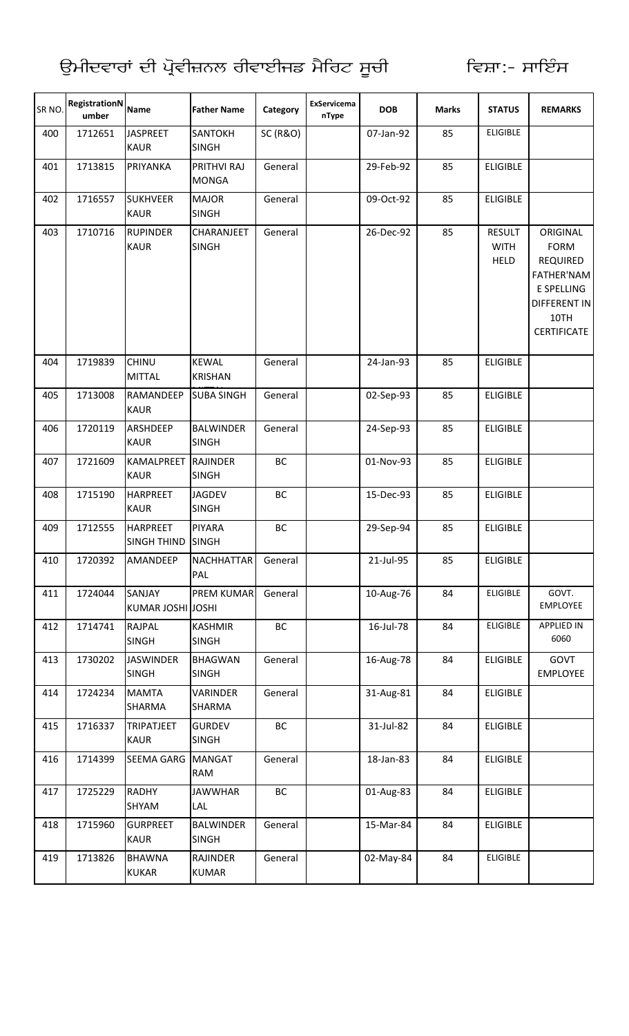| SR NO. | <b>RegistrationN</b><br>umber | <b>Name</b>                           | <b>Father Name</b>               | Category            | <b>ExServicema</b><br>nType | <b>DOB</b> | <b>Marks</b> | <b>STATUS</b>                               | <b>REMARKS</b>                                                                                                       |
|--------|-------------------------------|---------------------------------------|----------------------------------|---------------------|-----------------------------|------------|--------------|---------------------------------------------|----------------------------------------------------------------------------------------------------------------------|
| 400    | 1712651                       | <b>JASPREET</b><br><b>KAUR</b>        | SANTOKH<br><b>SINGH</b>          | <b>SC (R&amp;O)</b> |                             | 07-Jan-92  | 85           | <b>ELIGIBLE</b>                             |                                                                                                                      |
| 401    | 1713815                       | PRIYANKA                              | PRITHVI RAJ<br><b>MONGA</b>      | General             |                             | 29-Feb-92  | 85           | <b>ELIGIBLE</b>                             |                                                                                                                      |
| 402    | 1716557                       | <b>SUKHVEER</b><br><b>KAUR</b>        | <b>MAJOR</b><br><b>SINGH</b>     | General             |                             | 09-Oct-92  | 85           | <b>ELIGIBLE</b>                             |                                                                                                                      |
| 403    | 1710716                       | <b>RUPINDER</b><br><b>KAUR</b>        | CHARANJEET<br><b>SINGH</b>       | General             |                             | 26-Dec-92  | 85           | <b>RESULT</b><br><b>WITH</b><br><b>HELD</b> | ORIGINAL<br><b>FORM</b><br><b>REQUIRED</b><br><b>FATHER'NAM</b><br>E SPELLING<br>DIFFERENT IN<br>10TH<br>CERTIFICATE |
| 404    | 1719839                       | <b>CHINU</b><br><b>MITTAL</b>         | <b>KEWAL</b><br><b>KRISHAN</b>   | General             |                             | 24-Jan-93  | 85           | <b>ELIGIBLE</b>                             |                                                                                                                      |
| 405    | 1713008                       | RAMANDEEP<br><b>KAUR</b>              | <b>SUBA SINGH</b>                | General             |                             | 02-Sep-93  | 85           | <b>ELIGIBLE</b>                             |                                                                                                                      |
| 406    | 1720119                       | ARSHDEEP<br><b>KAUR</b>               | <b>BALWINDER</b><br><b>SINGH</b> | General             |                             | 24-Sep-93  | 85           | <b>ELIGIBLE</b>                             |                                                                                                                      |
| 407    | 1721609                       | <b>KAMALPREET</b><br><b>KAUR</b>      | <b>RAJINDER</b><br><b>SINGH</b>  | BC                  |                             | 01-Nov-93  | 85           | <b>ELIGIBLE</b>                             |                                                                                                                      |
| 408    | 1715190                       | <b>HARPREET</b><br><b>KAUR</b>        | <b>JAGDEV</b><br><b>SINGH</b>    | BC                  |                             | 15-Dec-93  | 85           | <b>ELIGIBLE</b>                             |                                                                                                                      |
| 409    | 1712555                       | <b>HARPREET</b><br><b>SINGH THIND</b> | <b>PIYARA</b><br><b>SINGH</b>    | <b>BC</b>           |                             | 29-Sep-94  | 85           | <b>ELIGIBLE</b>                             |                                                                                                                      |
| 410    | 1720392                       | AMANDEEP                              | <b>NACHHATTAR</b><br>PAL         | General             |                             | 21-Jul-95  | 85           | <b>ELIGIBLE</b>                             |                                                                                                                      |
| 411    | 1724044                       | SANJAY<br>KUMAR JOSHI JOSHI           | PREM KUMAR                       | General             |                             | 10-Aug-76  | 84           | <b>ELIGIBLE</b>                             | GOVT.<br>EMPLOYEE                                                                                                    |
| 412    | 1714741                       | <b>RAJPAL</b><br><b>SINGH</b>         | <b>KASHMIR</b><br><b>SINGH</b>   | BC                  |                             | 16-Jul-78  | 84           | <b>ELIGIBLE</b>                             | <b>APPLIED IN</b><br>6060                                                                                            |
| 413    | 1730202                       | <b>JASWINDER</b><br><b>SINGH</b>      | <b>BHAGWAN</b><br><b>SINGH</b>   | General             |                             | 16-Aug-78  | 84           | <b>ELIGIBLE</b>                             | GOVT<br><b>EMPLOYEE</b>                                                                                              |
| 414    | 1724234                       | <b>MAMTA</b><br>SHARMA                | <b>VARINDER</b><br>SHARMA        | General             |                             | 31-Aug-81  | 84           | <b>ELIGIBLE</b>                             |                                                                                                                      |
| 415    | 1716337                       | <b>TRIPATJEET</b><br><b>KAUR</b>      | <b>GURDEV</b><br><b>SINGH</b>    | BC                  |                             | 31-Jul-82  | 84           | <b>ELIGIBLE</b>                             |                                                                                                                      |
| 416    | 1714399                       | <b>SEEMA GARG</b>                     | <b>MANGAT</b><br><b>RAM</b>      | General             |                             | 18-Jan-83  | 84           | <b>ELIGIBLE</b>                             |                                                                                                                      |
| 417    | 1725229                       | <b>RADHY</b><br>SHYAM                 | <b>JAWWHAR</b><br>LAL            | BC                  |                             | 01-Aug-83  | 84           | <b>ELIGIBLE</b>                             |                                                                                                                      |
| 418    | 1715960                       | <b>GURPREET</b><br><b>KAUR</b>        | <b>BALWINDER</b><br><b>SINGH</b> | General             |                             | 15-Mar-84  | 84           | <b>ELIGIBLE</b>                             |                                                                                                                      |
| 419    | 1713826                       | <b>BHAWNA</b><br><b>KUKAR</b>         | <b>RAJINDER</b><br><b>KUMAR</b>  | General             |                             | 02-May-84  | 84           | <b>ELIGIBLE</b>                             |                                                                                                                      |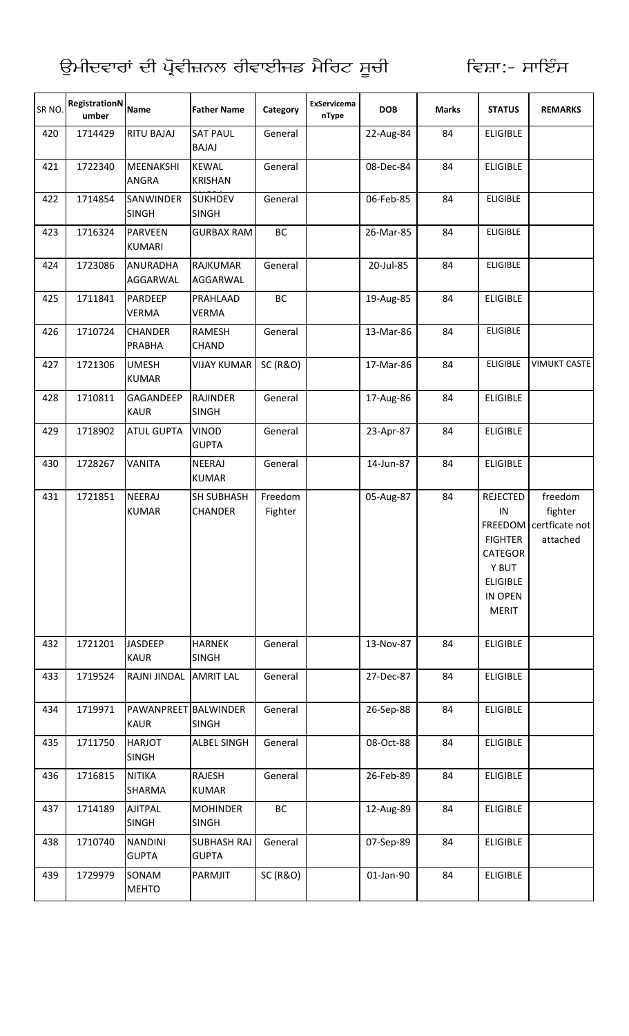| SR <sub>NO</sub> | RegistrationN<br>umber | <b>Name</b>                         | <b>Father Name</b>                 | Category            | <b>ExServicema</b><br>nType | <b>DOB</b> | <b>Marks</b> | <b>STATUS</b>                                                                                                               | <b>REMARKS</b>                                   |
|------------------|------------------------|-------------------------------------|------------------------------------|---------------------|-----------------------------|------------|--------------|-----------------------------------------------------------------------------------------------------------------------------|--------------------------------------------------|
| 420              | 1714429                | <b>RITU BAJAJ</b>                   | <b>SAT PAUL</b><br><b>BAJAJ</b>    | General             |                             | 22-Aug-84  | 84           | <b>ELIGIBLE</b>                                                                                                             |                                                  |
| 421              | 1722340                | <b>MEENAKSHI</b><br><b>ANGRA</b>    | <b>KEWAL</b><br><b>KRISHAN</b>     | General             |                             | 08-Dec-84  | 84           | <b>ELIGIBLE</b>                                                                                                             |                                                  |
| 422              | 1714854                | SANWINDER<br><b>SINGH</b>           | <b>SUKHDEV</b><br><b>SINGH</b>     | General             |                             | 06-Feb-85  | 84           | <b>ELIGIBLE</b>                                                                                                             |                                                  |
| 423              | 1716324                | <b>PARVEEN</b><br><b>KUMARI</b>     | <b>GURBAX RAM</b>                  | BC                  |                             | 26-Mar-85  | 84           | <b>ELIGIBLE</b>                                                                                                             |                                                  |
| 424              | 1723086                | <b>ANURADHA</b><br>AGGARWAL         | <b>RAJKUMAR</b><br>AGGARWAL        | General             |                             | 20-Jul-85  | 84           | <b>ELIGIBLE</b>                                                                                                             |                                                  |
| 425              | 1711841                | PARDEEP<br><b>VERMA</b>             | PRAHLAAD<br><b>VERMA</b>           | BC                  |                             | 19-Aug-85  | 84           | <b>ELIGIBLE</b>                                                                                                             |                                                  |
| 426              | 1710724                | <b>CHANDER</b><br><b>PRABHA</b>     | <b>RAMESH</b><br><b>CHAND</b>      | General             |                             | 13-Mar-86  | 84           | <b>ELIGIBLE</b>                                                                                                             |                                                  |
| 427              | 1721306                | <b>UMESH</b><br><b>KUMAR</b>        | <b>VIJAY KUMAR</b>                 | <b>SC (R&amp;O)</b> |                             | 17-Mar-86  | 84           | <b>ELIGIBLE</b>                                                                                                             | <b>VIMUKT CASTE</b>                              |
| 428              | 1710811                | GAGANDEEP<br><b>KAUR</b>            | <b>RAJINDER</b><br><b>SINGH</b>    | General             |                             | 17-Aug-86  | 84           | <b>ELIGIBLE</b>                                                                                                             |                                                  |
| 429              | 1718902                | <b>ATUL GUPTA</b>                   | <b>VINOD</b><br><b>GUPTA</b>       | General             |                             | 23-Apr-87  | 84           | <b>ELIGIBLE</b>                                                                                                             |                                                  |
| 430              | 1728267                | <b>VANITA</b>                       | <b>NEERAJ</b><br><b>KUMAR</b>      | General             |                             | 14-Jun-87  | 84           | <b>ELIGIBLE</b>                                                                                                             |                                                  |
| 431              | 1721851                | <b>NEERAJ</b><br><b>KUMAR</b>       | SH SUBHASH<br><b>CHANDER</b>       | Freedom<br>Fighter  |                             | 05-Aug-87  | 84           | <b>REJECTED</b><br>IN<br><b>FREEDOM</b><br><b>FIGHTER</b><br>CATEGOR<br>Y BUT<br><b>ELIGIBLE</b><br>IN OPEN<br><b>MERIT</b> | freedom<br>fighter<br>certficate not<br>attached |
| 432              | 1721201                | JASDEEP<br><b>KAUR</b>              | <b>HARNEK</b><br><b>SINGH</b>      | General             |                             | 13-Nov-87  | 84           | <b>ELIGIBLE</b>                                                                                                             |                                                  |
| 433              | 1719524                | RAJNI JINDAL                        | <b>AMRIT LAL</b>                   | General             |                             | 27-Dec-87  | 84           | <b>ELIGIBLE</b>                                                                                                             |                                                  |
| 434              | 1719971                | PAWANPREET BALWINDER<br><b>KAUR</b> | <b>SINGH</b>                       | General             |                             | 26-Sep-88  | 84           | <b>ELIGIBLE</b>                                                                                                             |                                                  |
| 435              | 1711750                | <b>HARJOT</b><br><b>SINGH</b>       | ALBEL SINGH                        | General             |                             | 08-Oct-88  | 84           | <b>ELIGIBLE</b>                                                                                                             |                                                  |
| 436              | 1716815                | <b>NITIKA</b><br>SHARMA             | RAJESH<br><b>KUMAR</b>             | General             |                             | 26-Feb-89  | 84           | <b>ELIGIBLE</b>                                                                                                             |                                                  |
| 437              | 1714189                | <b>AJITPAL</b><br><b>SINGH</b>      | <b>MOHINDER</b><br><b>SINGH</b>    | BC                  |                             | 12-Aug-89  | 84           | <b>ELIGIBLE</b>                                                                                                             |                                                  |
| 438              | 1710740                | <b>NANDINI</b><br><b>GUPTA</b>      | <b>SUBHASH RAJ</b><br><b>GUPTA</b> | General             |                             | 07-Sep-89  | 84           | <b>ELIGIBLE</b>                                                                                                             |                                                  |
| 439              | 1729979                | SONAM<br><b>MEHTO</b>               | PARMJIT                            | <b>SC (R&amp;O)</b> |                             | 01-Jan-90  | 84           | <b>ELIGIBLE</b>                                                                                                             |                                                  |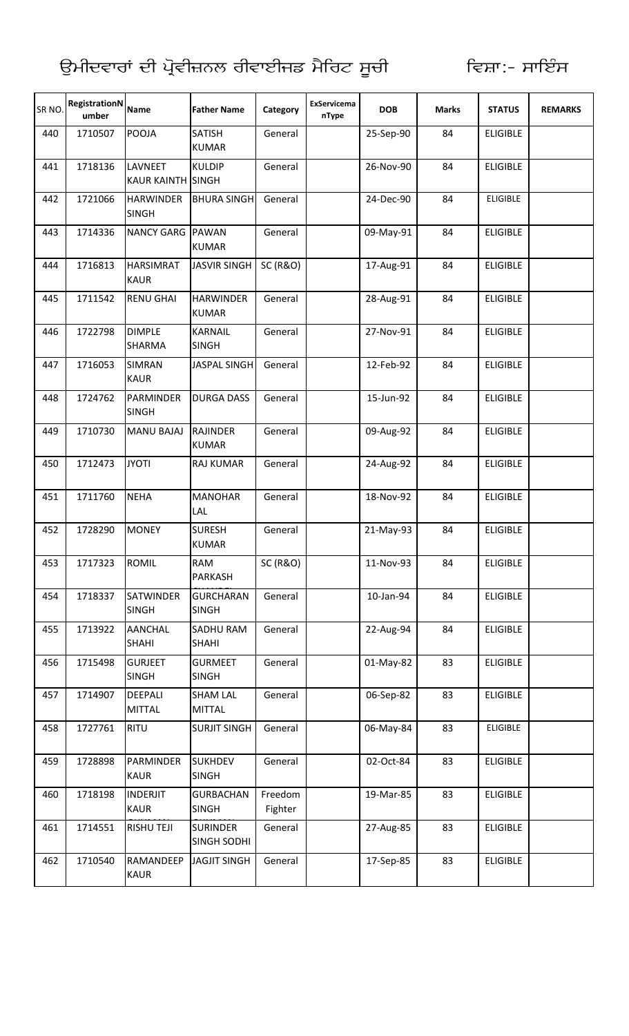| SR NO. | <b>RegistrationN</b><br>umber | <b>Name</b>                         | <b>Father Name</b>                    | Category            | <b>ExServicema</b><br>nType | <b>DOB</b> | <b>Marks</b> | <b>STATUS</b>   | <b>REMARKS</b> |
|--------|-------------------------------|-------------------------------------|---------------------------------------|---------------------|-----------------------------|------------|--------------|-----------------|----------------|
| 440    | 1710507                       | POOJA                               | <b>SATISH</b><br><b>KUMAR</b>         | General             |                             | 25-Sep-90  | 84           | <b>ELIGIBLE</b> |                |
| 441    | 1718136                       | LAVNEET<br><b>KAUR KAINTH SINGH</b> | <b>KULDIP</b>                         | General             |                             | 26-Nov-90  | 84           | <b>ELIGIBLE</b> |                |
| 442    | 1721066                       | <b>HARWINDER</b><br><b>SINGH</b>    | <b>BHURA SINGH</b>                    | General             |                             | 24-Dec-90  | 84           | <b>ELIGIBLE</b> |                |
| 443    | 1714336                       | NANCY GARG PAWAN                    | <b>KUMAR</b>                          | General             |                             | 09-May-91  | 84           | <b>ELIGIBLE</b> |                |
| 444    | 1716813                       | <b>HARSIMRAT</b><br><b>KAUR</b>     | <b>JASVIR SINGH</b>                   | <b>SC (R&amp;O)</b> |                             | 17-Aug-91  | 84           | <b>ELIGIBLE</b> |                |
| 445    | 1711542                       | <b>RENU GHAI</b>                    | <b>HARWINDER</b><br><b>KUMAR</b>      | General             |                             | 28-Aug-91  | 84           | <b>ELIGIBLE</b> |                |
| 446    | 1722798                       | <b>DIMPLE</b><br><b>SHARMA</b>      | <b>KARNAIL</b><br><b>SINGH</b>        | General             |                             | 27-Nov-91  | 84           | <b>ELIGIBLE</b> |                |
| 447    | 1716053                       | <b>SIMRAN</b><br><b>KAUR</b>        | JASPAL SINGH                          | General             |                             | 12-Feb-92  | 84           | <b>ELIGIBLE</b> |                |
| 448    | 1724762                       | PARMINDER<br><b>SINGH</b>           | <b>DURGA DASS</b>                     | General             |                             | 15-Jun-92  | 84           | <b>ELIGIBLE</b> |                |
| 449    | 1710730                       | <b>MANU BAJAJ</b>                   | <b>RAJINDER</b><br><b>KUMAR</b>       | General             |                             | 09-Aug-92  | 84           | <b>ELIGIBLE</b> |                |
| 450    | 1712473                       | <b>JYOTI</b>                        | <b>RAJ KUMAR</b>                      | General             |                             | 24-Aug-92  | 84           | <b>ELIGIBLE</b> |                |
| 451    | 1711760                       | <b>NEHA</b>                         | <b>MANOHAR</b><br>LAL                 | General             |                             | 18-Nov-92  | 84           | <b>ELIGIBLE</b> |                |
| 452    | 1728290                       | <b>MONEY</b>                        | <b>SURESH</b><br><b>KUMAR</b>         | General             |                             | 21-May-93  | 84           | <b>ELIGIBLE</b> |                |
| 453    | 1717323                       | <b>ROMIL</b>                        | RAM<br>PARKASH                        | <b>SC (R&amp;O)</b> |                             | 11-Nov-93  | 84           | <b>ELIGIBLE</b> |                |
| 454    | 1718337                       | <b>SATWINDER</b><br><b>SINGH</b>    | <b>GURCHARAN</b><br><b>SINGH</b>      | General             |                             | 10-Jan-94  | 84           | <b>ELIGIBLE</b> |                |
| 455    | 1713922                       | <b>AANCHAL</b><br><b>SHAHI</b>      | <b>SADHU RAM</b><br><b>SHAHI</b>      | General             |                             | 22-Aug-94  | 84           | <b>ELIGIBLE</b> |                |
| 456    | 1715498                       | <b>GURJEET</b><br><b>SINGH</b>      | <b>GURMEET</b><br><b>SINGH</b>        | General             |                             | 01-May-82  | 83           | <b>ELIGIBLE</b> |                |
| 457    | 1714907                       | <b>DEEPALI</b><br><b>MITTAL</b>     | <b>SHAM LAL</b><br><b>MITTAL</b>      | General             |                             | 06-Sep-82  | 83           | <b>ELIGIBLE</b> |                |
| 458    | 1727761                       | <b>RITU</b>                         | <b>SURJIT SINGH</b>                   | General             |                             | 06-May-84  | 83           | <b>ELIGIBLE</b> |                |
| 459    | 1728898                       | PARMINDER<br><b>KAUR</b>            | <b>SUKHDEV</b><br><b>SINGH</b>        | General             |                             | 02-Oct-84  | 83           | <b>ELIGIBLE</b> |                |
| 460    | 1718198                       | <b>INDERJIT</b><br><b>KAUR</b>      | <b>GURBACHAN</b><br><b>SINGH</b>      | Freedom<br>Fighter  |                             | 19-Mar-85  | 83           | <b>ELIGIBLE</b> |                |
| 461    | 1714551                       | <b>RISHU TEJI</b>                   | <b>SURINDER</b><br><b>SINGH SODHI</b> | General             |                             | 27-Aug-85  | 83           | <b>ELIGIBLE</b> |                |
| 462    | 1710540                       | RAMANDEEP<br>KAUR                   | <b>JAGJIT SINGH</b>                   | General             |                             | 17-Sep-85  | 83           | <b>ELIGIBLE</b> |                |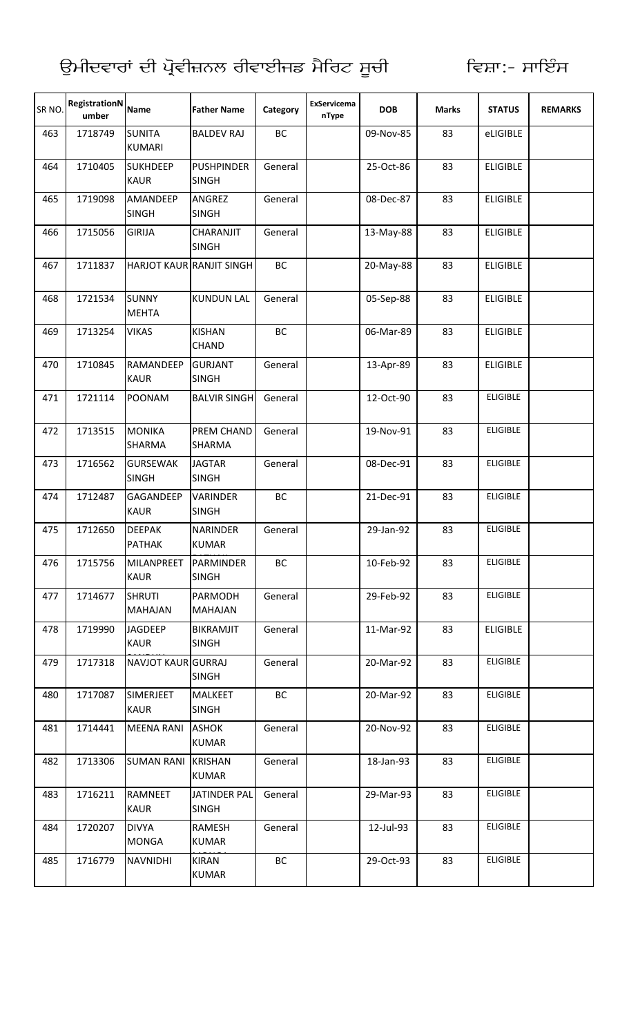| SR <sub>NO</sub> | RegistrationN<br>umber | <b>Name</b>                      | <b>Father Name</b>                 | Category | ExServicema<br>nType | <b>DOB</b> | <b>Marks</b> | <b>STATUS</b>   | <b>REMARKS</b> |
|------------------|------------------------|----------------------------------|------------------------------------|----------|----------------------|------------|--------------|-----------------|----------------|
| 463              | 1718749                | <b>SUNITA</b><br><b>KUMARI</b>   | <b>BALDEV RAJ</b>                  | BC       |                      | 09-Nov-85  | 83           | eLIGIBLE        |                |
| 464              | 1710405                | <b>SUKHDEEP</b><br><b>KAUR</b>   | <b>PUSHPINDER</b><br><b>SINGH</b>  | General  |                      | 25-Oct-86  | 83           | <b>ELIGIBLE</b> |                |
| 465              | 1719098                | AMANDEEP<br><b>SINGH</b>         | ANGREZ<br><b>SINGH</b>             | General  |                      | 08-Dec-87  | 83           | <b>ELIGIBLE</b> |                |
| 466              | 1715056                | <b>GIRIJA</b>                    | <b>CHARANJIT</b><br><b>SINGH</b>   | General  |                      | 13-May-88  | 83           | <b>ELIGIBLE</b> |                |
| 467              | 1711837                |                                  | HARJOT KAUR RANJIT SINGH           | BC       |                      | 20-May-88  | 83           | <b>ELIGIBLE</b> |                |
| 468              | 1721534                | <b>SUNNY</b><br><b>MEHTA</b>     | <b>KUNDUN LAL</b>                  | General  |                      | 05-Sep-88  | 83           | <b>ELIGIBLE</b> |                |
| 469              | 1713254                | <b>VIKAS</b>                     | <b>KISHAN</b><br>CHAND             | BC       |                      | 06-Mar-89  | 83           | <b>ELIGIBLE</b> |                |
| 470              | 1710845                | <b>RAMANDEEP</b><br><b>KAUR</b>  | <b>GURJANT</b><br><b>SINGH</b>     | General  |                      | 13-Apr-89  | 83           | <b>ELIGIBLE</b> |                |
| 471              | 1721114                | <b>POONAM</b>                    | <b>BALVIR SINGH</b>                | General  |                      | 12-Oct-90  | 83           | <b>ELIGIBLE</b> |                |
| 472              | 1713515                | <b>MONIKA</b><br>SHARMA          | <b>PREM CHAND</b><br><b>SHARMA</b> | General  |                      | 19-Nov-91  | 83           | <b>ELIGIBLE</b> |                |
| 473              | 1716562                | <b>GURSEWAK</b><br><b>SINGH</b>  | <b>JAGTAR</b><br><b>SINGH</b>      | General  |                      | 08-Dec-91  | 83           | <b>ELIGIBLE</b> |                |
| 474              | 1712487                | GAGANDEEP<br><b>KAUR</b>         | <b>VARINDER</b><br><b>SINGH</b>    | BC       |                      | 21-Dec-91  | 83           | <b>ELIGIBLE</b> |                |
| 475              | 1712650                | <b>DEEPAK</b><br><b>PATHAK</b>   | <b>NARINDER</b><br><b>KUMAR</b>    | General  |                      | 29-Jan-92  | 83           | <b>ELIGIBLE</b> |                |
| 476              | 1715756                | <b>MILANPREET</b><br><b>KAUR</b> | PARMINDER<br><b>SINGH</b>          | BC       |                      | 10-Feb-92  | 83           | <b>ELIGIBLE</b> |                |
| 477              | 1714677                | <b>SHRUTI</b><br><b>MAHAJAN</b>  | <b>PARMODH</b><br><b>MAHAJAN</b>   | General  |                      | 29-Feb-92  | 83           | <b>ELIGIBLE</b> |                |
| 478              | 1719990                | <b>JAGDEEP</b><br><b>KAUR</b>    | <b>BIKRAMJIT</b><br><b>SINGH</b>   | General  |                      | 11-Mar-92  | 83           | <b>ELIGIBLE</b> |                |
| 479              | 1717318                | NAVJOT KAUR GURRAJ               | <b>SINGH</b>                       | General  |                      | 20-Mar-92  | 83           | <b>ELIGIBLE</b> |                |
| 480              | 1717087                | <b>SIMERJEET</b><br><b>KAUR</b>  | <b>MALKEET</b><br><b>SINGH</b>     | BC       |                      | 20-Mar-92  | 83           | <b>ELIGIBLE</b> |                |
| 481              | 1714441                | <b>MEENA RANI</b>                | <b>ASHOK</b><br><b>KUMAR</b>       | General  |                      | 20-Nov-92  | 83           | <b>ELIGIBLE</b> |                |
| 482              | 1713306                | <b>SUMAN RANI</b>                | <b>KRISHAN</b><br><b>KUMAR</b>     | General  |                      | 18-Jan-93  | 83           | <b>ELIGIBLE</b> |                |
| 483              | 1716211                | <b>RAMNEET</b><br><b>KAUR</b>    | JATINDER PAL<br><b>SINGH</b>       | General  |                      | 29-Mar-93  | 83           | <b>ELIGIBLE</b> |                |
| 484              | 1720207                | <b>DIVYA</b><br><b>MONGA</b>     | <b>RAMESH</b><br><b>KUMAR</b>      | General  |                      | 12-Jul-93  | 83           | <b>ELIGIBLE</b> |                |
| 485              | 1716779                | <b>NAVNIDHI</b>                  | <b>KIRAN</b><br><b>KUMAR</b>       | BC       |                      | 29-Oct-93  | 83           | <b>ELIGIBLE</b> |                |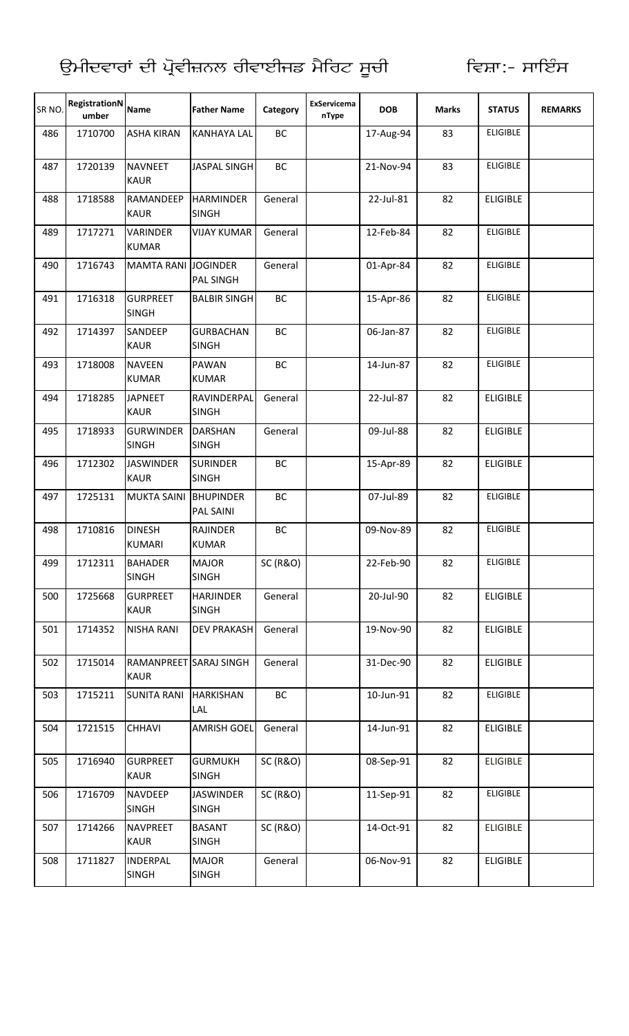| SR <sub>NO</sub> | RegistrationN<br>umber | <b>Name</b>                           | <b>Father Name</b>                   | Category            | ExServicema<br>nType | <b>DOB</b> | <b>Marks</b> | <b>STATUS</b>   | <b>REMARKS</b> |
|------------------|------------------------|---------------------------------------|--------------------------------------|---------------------|----------------------|------------|--------------|-----------------|----------------|
| 486              | 1710700                | <b>ASHA KIRAN</b>                     | <b>KANHAYA LAL</b>                   | BC                  |                      | 17-Aug-94  | 83           | <b>ELIGIBLE</b> |                |
| 487              | 1720139                | <b>NAVNEET</b><br><b>KAUR</b>         | <b>JASPAL SINGH</b>                  | BC                  |                      | 21-Nov-94  | 83           | <b>ELIGIBLE</b> |                |
| 488              | 1718588                | RAMANDEEP<br><b>KAUR</b>              | <b>HARMINDER</b><br><b>SINGH</b>     | General             |                      | 22-Jul-81  | 82           | <b>ELIGIBLE</b> |                |
| 489              | 1717271                | <b>VARINDER</b><br><b>KUMAR</b>       | <b>VIJAY KUMAR</b>                   | General             |                      | 12-Feb-84  | 82           | <b>ELIGIBLE</b> |                |
| 490              | 1716743                | <b>MAMTA RANI JOGINDER</b>            | <b>PAL SINGH</b>                     | General             |                      | 01-Apr-84  | 82           | <b>ELIGIBLE</b> |                |
| 491              | 1716318                | <b>GURPREET</b><br><b>SINGH</b>       | <b>BALBIR SINGH</b>                  | BC                  |                      | 15-Apr-86  | 82           | <b>ELIGIBLE</b> |                |
| 492              | 1714397                | <b>SANDEEP</b><br><b>KAUR</b>         | <b>GURBACHAN</b><br><b>SINGH</b>     | BC                  |                      | 06-Jan-87  | 82           | <b>ELIGIBLE</b> |                |
| 493              | 1718008                | <b>NAVEEN</b><br><b>KUMAR</b>         | <b>PAWAN</b><br><b>KUMAR</b>         | BC                  |                      | 14-Jun-87  | 82           | <b>ELIGIBLE</b> |                |
| 494              | 1718285                | <b>JAPNEET</b><br><b>KAUR</b>         | RAVINDERPAL<br><b>SINGH</b>          | General             |                      | 22-Jul-87  | 82           | <b>ELIGIBLE</b> |                |
| 495              | 1718933                | <b>GURWINDER</b><br><b>SINGH</b>      | <b>DARSHAN</b><br><b>SINGH</b>       | General             |                      | 09-Jul-88  | 82           | <b>ELIGIBLE</b> |                |
| 496              | 1712302                | <b>JASWINDER</b><br><b>KAUR</b>       | <b>SURINDER</b><br><b>SINGH</b>      | BC                  |                      | 15-Apr-89  | 82           | <b>ELIGIBLE</b> |                |
| 497              | 1725131                | <b>MUKTA SAINI</b>                    | <b>BHUPINDER</b><br><b>PAL SAINI</b> | BC                  |                      | 07-Jul-89  | 82           | <b>ELIGIBLE</b> |                |
| 498              | 1710816                | <b>DINESH</b><br><b>KUMARI</b>        | <b>RAJINDER</b><br><b>KUMAR</b>      | BC                  |                      | 09-Nov-89  | 82           | <b>ELIGIBLE</b> |                |
| 499              | 1712311                | <b>BAHADER</b><br><b>SINGH</b>        | <b>MAJOR</b><br><b>SINGH</b>         | <b>SC (R&amp;O)</b> |                      | 22-Feb-90  | 82           | <b>ELIGIBLE</b> |                |
| 500              | 1725668                | <b>GURPREET</b><br><b>KAUR</b>        | <b>HARJINDER</b><br><b>SINGH</b>     | General             |                      | 20-Jul-90  | 82           | <b>ELIGIBLE</b> |                |
| 501              | 1714352                | <b>NISHA RANI</b>                     | <b>DEV PRAKASH</b>                   | General             |                      | 19-Nov-90  | 82           | <b>ELIGIBLE</b> |                |
| 502              | 1715014                | RAMANPREET SARAJ SINGH<br><b>KAUR</b> |                                      | General             |                      | 31-Dec-90  | 82           | <b>ELIGIBLE</b> |                |
| 503              | 1715211                | <b>SUNITA RANI</b>                    | <b>HARKISHAN</b><br>LAL              | BC                  |                      | 10-Jun-91  | 82           | <b>ELIGIBLE</b> |                |
| 504              | 1721515                | <b>CHHAVI</b>                         | <b>AMRISH GOEL</b>                   | General             |                      | 14-Jun-91  | 82           | <b>ELIGIBLE</b> |                |
| 505              | 1716940                | <b>GURPREET</b><br><b>KAUR</b>        | <b>GURMUKH</b><br><b>SINGH</b>       | <b>SC (R&amp;O)</b> |                      | 08-Sep-91  | 82           | <b>ELIGIBLE</b> |                |
| 506              | 1716709                | <b>NAVDEEP</b><br><b>SINGH</b>        | <b>JASWINDER</b><br><b>SINGH</b>     | <b>SC (R&amp;O)</b> |                      | 11-Sep-91  | 82           | <b>ELIGIBLE</b> |                |
| 507              | 1714266                | <b>NAVPREET</b><br><b>KAUR</b>        | <b>BASANT</b><br><b>SINGH</b>        | <b>SC (R&amp;O)</b> |                      | 14-Oct-91  | 82           | <b>ELIGIBLE</b> |                |
| 508              | 1711827                | INDERPAL<br><b>SINGH</b>              | <b>MAJOR</b><br><b>SINGH</b>         | General             |                      | 06-Nov-91  | 82           | <b>ELIGIBLE</b> |                |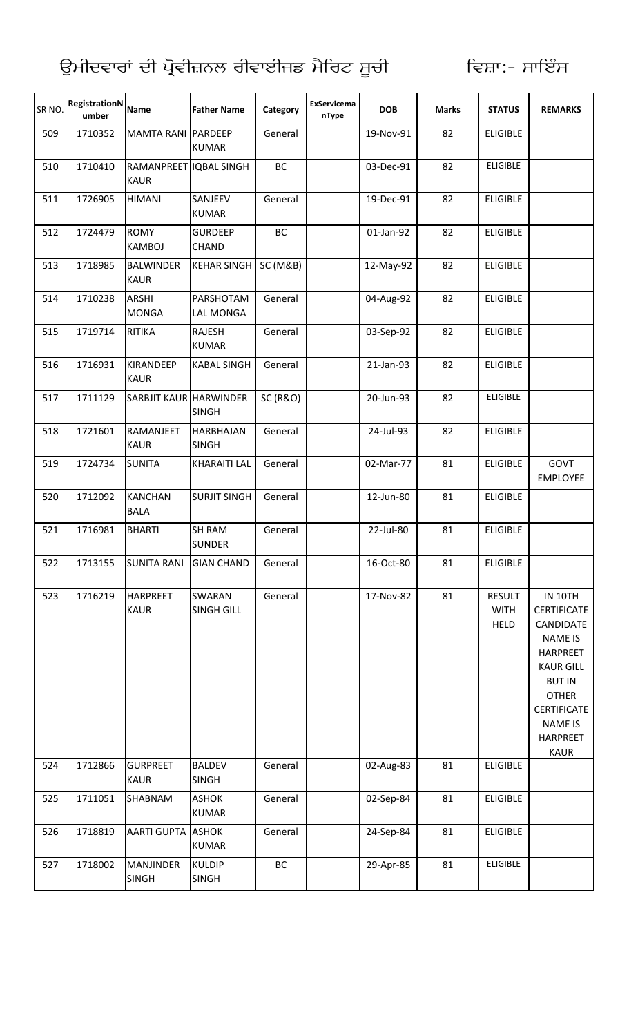| SR <sub>NO</sub> | RegistrationN<br>umber | <b>Name</b>                           | <b>Father Name</b>                 | Category            | ExServicema<br>nType | <b>DOB</b> | <b>Marks</b> | <b>STATUS</b>                               | <b>REMARKS</b>                                                                                                                                                                                                 |
|------------------|------------------------|---------------------------------------|------------------------------------|---------------------|----------------------|------------|--------------|---------------------------------------------|----------------------------------------------------------------------------------------------------------------------------------------------------------------------------------------------------------------|
| 509              | 1710352                | MAMTA RANI PARDEEP                    | <b>KUMAR</b>                       | General             |                      | 19-Nov-91  | 82           | <b>ELIGIBLE</b>                             |                                                                                                                                                                                                                |
| 510              | 1710410                | RAMANPREET IQBAL SINGH<br><b>KAUR</b> |                                    | BC                  |                      | 03-Dec-91  | 82           | <b>ELIGIBLE</b>                             |                                                                                                                                                                                                                |
| 511              | 1726905                | <b>HIMANI</b>                         | SANJEEV<br><b>KUMAR</b>            | General             |                      | 19-Dec-91  | 82           | <b>ELIGIBLE</b>                             |                                                                                                                                                                                                                |
| 512              | 1724479                | <b>ROMY</b><br><b>KAMBOJ</b>          | <b>GURDEEP</b><br><b>CHAND</b>     | BC                  |                      | 01-Jan-92  | 82           | <b>ELIGIBLE</b>                             |                                                                                                                                                                                                                |
| 513              | 1718985                | <b>BALWINDER</b><br><b>KAUR</b>       | <b>KEHAR SINGH</b>                 | SC (M&B)            |                      | 12-May-92  | 82           | <b>ELIGIBLE</b>                             |                                                                                                                                                                                                                |
| 514              | 1710238                | <b>ARSHI</b><br><b>MONGA</b>          | PARSHOTAM<br>LAL MONGA             | General             |                      | 04-Aug-92  | 82           | <b>ELIGIBLE</b>                             |                                                                                                                                                                                                                |
| 515              | 1719714                | <b>RITIKA</b>                         | RAJESH<br><b>KUMAR</b>             | General             |                      | 03-Sep-92  | 82           | <b>ELIGIBLE</b>                             |                                                                                                                                                                                                                |
| 516              | 1716931                | <b>KIRANDEEP</b><br><b>KAUR</b>       | <b>KABAL SINGH</b>                 | General             |                      | 21-Jan-93  | 82           | <b>ELIGIBLE</b>                             |                                                                                                                                                                                                                |
| 517              | 1711129                | <b>SARBJIT KAUR HARWINDER</b>         | <b>SINGH</b>                       | <b>SC (R&amp;O)</b> |                      | 20-Jun-93  | 82           | <b>ELIGIBLE</b>                             |                                                                                                                                                                                                                |
| 518              | 1721601                | RAMANJEET<br><b>KAUR</b>              | <b>HARBHAJAN</b><br><b>SINGH</b>   | General             |                      | 24-Jul-93  | 82           | <b>ELIGIBLE</b>                             |                                                                                                                                                                                                                |
| 519              | 1724734                | <b>SUNITA</b>                         | <b>KHARAITI LAL</b>                | General             |                      | 02-Mar-77  | 81           | <b>ELIGIBLE</b>                             | GOVT<br><b>EMPLOYEE</b>                                                                                                                                                                                        |
| 520              | 1712092                | <b>KANCHAN</b><br><b>BALA</b>         | <b>SURJIT SINGH</b>                | General             |                      | 12-Jun-80  | 81           | <b>ELIGIBLE</b>                             |                                                                                                                                                                                                                |
| 521              | 1716981                | <b>BHARTI</b>                         | <b>SH RAM</b><br><b>SUNDER</b>     | General             |                      | 22-Jul-80  | 81           | <b>ELIGIBLE</b>                             |                                                                                                                                                                                                                |
| 522              | 1713155                | <b>SUNITA RANI</b>                    | <b>GIAN CHAND</b>                  | General             |                      | 16-Oct-80  | 81           | <b>ELIGIBLE</b>                             |                                                                                                                                                                                                                |
| 523              | 1716219                | <b>HARPREET</b><br><b>KAUR</b>        | <b>SWARAN</b><br><b>SINGH GILL</b> | General             |                      | 17-Nov-82  | 81           | <b>RESULT</b><br><b>WITH</b><br><b>HELD</b> | <b>IN 10TH</b><br><b>CERTIFICATE</b><br>CANDIDATE<br><b>NAME IS</b><br><b>HARPREET</b><br><b>KAUR GILL</b><br><b>BUT IN</b><br><b>OTHER</b><br><b>CERTIFICATE</b><br><b>NAME IS</b><br><b>HARPREET</b><br>KAUR |
| 524              | 1712866                | <b>GURPREET</b><br><b>KAUR</b>        | <b>BALDEV</b><br><b>SINGH</b>      | General             |                      | 02-Aug-83  | 81           | <b>ELIGIBLE</b>                             |                                                                                                                                                                                                                |
| 525              | 1711051                | SHABNAM                               | <b>ASHOK</b><br><b>KUMAR</b>       | General             |                      | 02-Sep-84  | 81           | <b>ELIGIBLE</b>                             |                                                                                                                                                                                                                |
| 526              | 1718819                | <b>AARTI GUPTA</b>                    | <b>ASHOK</b><br><b>KUMAR</b>       | General             |                      | 24-Sep-84  | 81           | <b>ELIGIBLE</b>                             |                                                                                                                                                                                                                |
| 527              | 1718002                | <b>MANJINDER</b><br><b>SINGH</b>      | <b>KULDIP</b><br><b>SINGH</b>      | BC                  |                      | 29-Apr-85  | 81           | <b>ELIGIBLE</b>                             |                                                                                                                                                                                                                |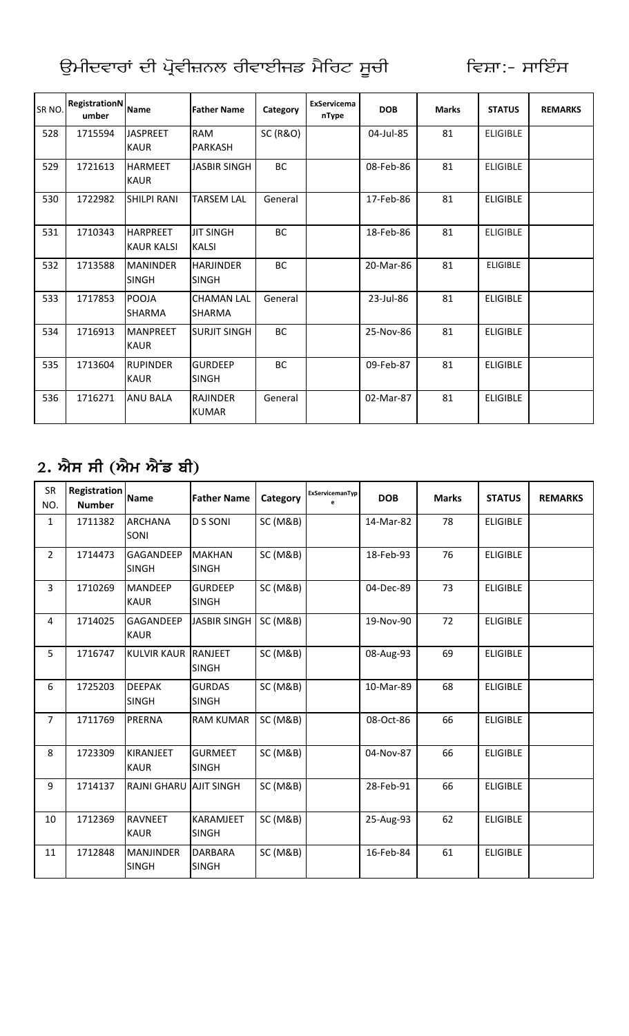| SR <sub>NO</sub> | <b>RegistrationN</b><br>umber | <b>Name</b>                          | <b>Father Name</b>                 | Category            | <b>ExServicema</b><br>nType | <b>DOB</b> | <b>Marks</b> | <b>STATUS</b>   | <b>REMARKS</b> |
|------------------|-------------------------------|--------------------------------------|------------------------------------|---------------------|-----------------------------|------------|--------------|-----------------|----------------|
| 528              | 1715594                       | <b>JASPREET</b><br><b>KAUR</b>       | <b>RAM</b><br><b>PARKASH</b>       | <b>SC (R&amp;O)</b> |                             | 04-Jul-85  | 81           | <b>ELIGIBLE</b> |                |
| 529              | 1721613                       | <b>HARMEET</b><br><b>KAUR</b>        | <b>JASBIR SINGH</b>                | BC                  |                             | 08-Feb-86  | 81           | <b>ELIGIBLE</b> |                |
| 530              | 1722982                       | <b>SHILPI RANI</b>                   | <b>TARSEM LAL</b>                  | General             |                             | 17-Feb-86  | 81           | <b>ELIGIBLE</b> |                |
| 531              | 1710343                       | <b>HARPREET</b><br><b>KAUR KALSI</b> | <b>JIT SINGH</b><br><b>KALSI</b>   | BC                  |                             | 18-Feb-86  | 81           | <b>ELIGIBLE</b> |                |
| 532              | 1713588                       | <b>MANINDER</b><br><b>SINGH</b>      | <b>HARJINDER</b><br><b>SINGH</b>   | BC                  |                             | 20-Mar-86  | 81           | <b>ELIGIBLE</b> |                |
| 533              | 1717853                       | <b>POOJA</b><br><b>SHARMA</b>        | <b>CHAMAN LAL</b><br><b>SHARMA</b> | General             |                             | 23-Jul-86  | 81           | <b>ELIGIBLE</b> |                |
| 534              | 1716913                       | <b>MANPREET</b><br><b>KAUR</b>       | <b>SURJIT SINGH</b>                | BC                  |                             | 25-Nov-86  | 81           | <b>ELIGIBLE</b> |                |
| 535              | 1713604                       | <b>RUPINDER</b><br><b>KAUR</b>       | <b>GURDEEP</b><br><b>SINGH</b>     | BC                  |                             | 09-Feb-87  | 81           | <b>ELIGIBLE</b> |                |
| 536              | 1716271                       | <b>ANU BALA</b>                      | <b>RAJINDER</b><br><b>KUMAR</b>    | General             |                             | 02-Mar-87  | 81           | <b>ELIGIBLE</b> |                |

## 2. ਐਸ ਸੀ (ਐਮ ਐਂਡ ਬੀ)

| SR<br>NO.      | <b>Registration</b><br><b>Number</b> | <b>Name</b>                   | <b>Father Name</b>               | Category            | ExServicemanTyp<br>e | <b>DOB</b> | <b>Marks</b> | <b>STATUS</b>   | <b>REMARKS</b> |
|----------------|--------------------------------------|-------------------------------|----------------------------------|---------------------|----------------------|------------|--------------|-----------------|----------------|
| $\mathbf{1}$   | 1711382                              | <b>ARCHANA</b><br>SONI        | <b>D S SONI</b>                  | SC (M&B)            |                      | 14-Mar-82  | 78           | <b>ELIGIBLE</b> |                |
| $\overline{2}$ | 1714473                              | GAGANDEEP<br><b>SINGH</b>     | <b>MAKHAN</b><br><b>SINGH</b>    | <b>SC (M&amp;B)</b> |                      | 18-Feb-93  | 76           | <b>ELIGIBLE</b> |                |
| $\overline{3}$ | 1710269                              | <b>MANDEEP</b><br><b>KAUR</b> | <b>GURDEEP</b><br><b>SINGH</b>   | <b>SC (M&amp;B)</b> |                      | 04-Dec-89  | 73           | <b>ELIGIBLE</b> |                |
| $\overline{4}$ | 1714025                              | GAGANDEEP<br><b>KAUR</b>      | <b>JASBIR SINGH</b>              | <b>SC (M&amp;B)</b> |                      | 19-Nov-90  | 72           | <b>ELIGIBLE</b> |                |
| 5              | 1716747                              | <b>KULVIR KAUR</b>            | <b>RANJEET</b><br><b>SINGH</b>   | SC (M&B)            |                      | 08-Aug-93  | 69           | <b>ELIGIBLE</b> |                |
| 6              | 1725203                              | <b>DEEPAK</b><br><b>SINGH</b> | <b>GURDAS</b><br><b>SINGH</b>    | SC (M&B)            |                      | 10-Mar-89  | 68           | <b>ELIGIBLE</b> |                |
| $\overline{7}$ | 1711769                              | PRERNA                        | <b>RAM KUMAR</b>                 | <b>SC (M&amp;B)</b> |                      | 08-Oct-86  | 66           | <b>ELIGIBLE</b> |                |
| 8              | 1723309                              | KIRANJEET<br><b>KAUR</b>      | <b>GURMEET</b><br><b>SINGH</b>   | <b>SC (M&amp;B)</b> |                      | 04-Nov-87  | 66           | <b>ELIGIBLE</b> |                |
| 9              | 1714137                              | <b>RAJNI GHARU</b>            | <b>AJIT SINGH</b>                | <b>SC (M&amp;B)</b> |                      | 28-Feb-91  | 66           | <b>ELIGIBLE</b> |                |
| 10             | 1712369                              | <b>RAVNEET</b><br><b>KAUR</b> | <b>KARAMJEET</b><br><b>SINGH</b> | SC (M&B)            |                      | 25-Aug-93  | 62           | <b>ELIGIBLE</b> |                |
| 11             | 1712848                              | MANJINDER<br><b>SINGH</b>     | <b>DARBARA</b><br><b>SINGH</b>   | <b>SC (M&amp;B)</b> |                      | 16-Feb-84  | 61           | <b>ELIGIBLE</b> |                |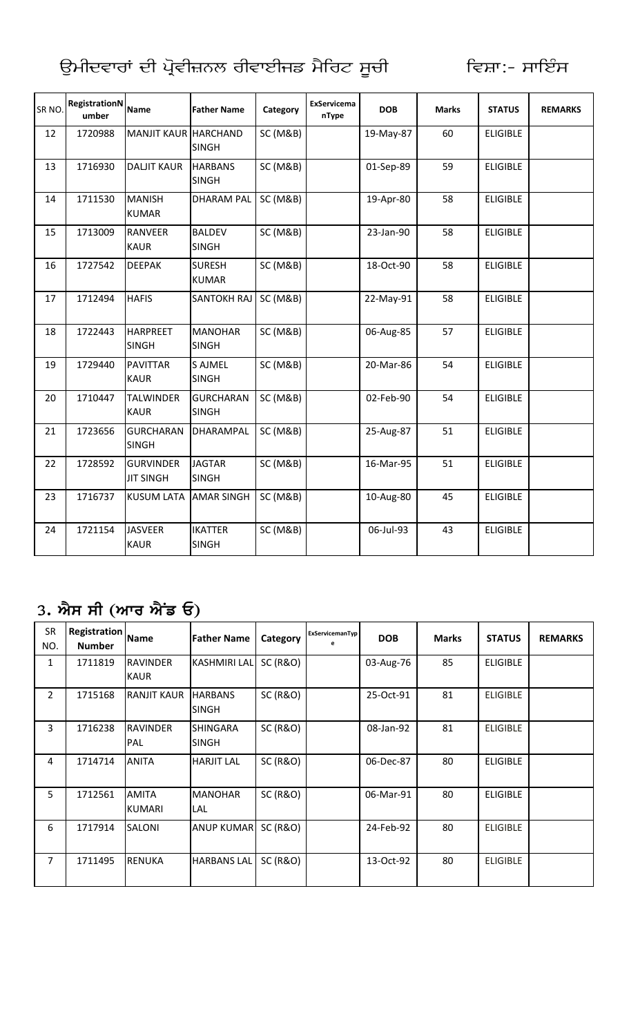| SR NO. | <b>RegistrationN</b><br>umber | <b>Name</b>                          | <b>Father Name</b>               | Category | ExServicema<br>nType | <b>DOB</b> | <b>Marks</b> | <b>STATUS</b>   | <b>REMARKS</b> |
|--------|-------------------------------|--------------------------------------|----------------------------------|----------|----------------------|------------|--------------|-----------------|----------------|
| 12     | 1720988                       | MANJIT KAUR HARCHAND                 | <b>SINGH</b>                     | SC (M&B) |                      | 19-May-87  | 60           | <b>ELIGIBLE</b> |                |
| 13     | 1716930                       | <b>DALJIT KAUR</b>                   | <b>HARBANS</b><br><b>SINGH</b>   | SC (M&B) |                      | 01-Sep-89  | 59           | <b>ELIGIBLE</b> |                |
| 14     | 1711530                       | <b>MANISH</b><br><b>KUMAR</b>        | <b>DHARAM PAL</b>                | SC (M&B) |                      | 19-Apr-80  | 58           | <b>ELIGIBLE</b> |                |
| 15     | 1713009                       | <b>RANVEER</b><br><b>KAUR</b>        | <b>BALDEV</b><br><b>SINGH</b>    | SC (M&B) |                      | 23-Jan-90  | 58           | <b>ELIGIBLE</b> |                |
| 16     | 1727542                       | <b>DEEPAK</b>                        | <b>SURESH</b><br><b>KUMAR</b>    | SC (M&B) |                      | 18-Oct-90  | 58           | <b>ELIGIBLE</b> |                |
| 17     | 1712494                       | <b>HAFIS</b>                         | <b>SANTOKH RAJ</b>               | SC (M&B) |                      | 22-May-91  | 58           | <b>ELIGIBLE</b> |                |
| 18     | 1722443                       | <b>HARPREET</b><br><b>SINGH</b>      | <b>MANOHAR</b><br><b>SINGH</b>   | SC (M&B) |                      | 06-Aug-85  | 57           | <b>ELIGIBLE</b> |                |
| 19     | 1729440                       | <b>PAVITTAR</b><br><b>KAUR</b>       | <b>S AJMEL</b><br><b>SINGH</b>   | SC (M&B) |                      | 20-Mar-86  | 54           | <b>ELIGIBLE</b> |                |
| 20     | 1710447                       | <b>TALWINDER</b><br><b>KAUR</b>      | <b>GURCHARAN</b><br><b>SINGH</b> | SC (M&B) |                      | 02-Feb-90  | 54           | <b>ELIGIBLE</b> |                |
| 21     | 1723656                       | <b>GURCHARAN</b><br><b>SINGH</b>     | DHARAMPAL                        | SC (M&B) |                      | 25-Aug-87  | 51           | <b>ELIGIBLE</b> |                |
| 22     | 1728592                       | <b>GURVINDER</b><br><b>JIT SINGH</b> | <b>JAGTAR</b><br><b>SINGH</b>    | SC (M&B) |                      | 16-Mar-95  | 51           | <b>ELIGIBLE</b> |                |
| 23     | 1716737                       | <b>KUSUM LATA</b>                    | <b>AMAR SINGH</b>                | SC (M&B) |                      | 10-Aug-80  | 45           | <b>ELIGIBLE</b> |                |
| 24     | 1721154                       | <b>JASVEER</b><br><b>KAUR</b>        | <b>IKATTER</b><br><b>SINGH</b>   | SC (M&B) |                      | 06-Jul-93  | 43           | <b>ELIGIBLE</b> |                |

## 3. ਐਸ ਸੀ (ਆਰ ਐਂਡ ਓ)

| <b>SR</b><br>NO. | <b>Registration</b><br><b>Number</b> | <b>Name</b>                    | <b>Father Name</b>              | Category            | ExServicemanTyp | <b>DOB</b> | <b>Marks</b> | <b>STATUS</b>   | <b>REMARKS</b> |
|------------------|--------------------------------------|--------------------------------|---------------------------------|---------------------|-----------------|------------|--------------|-----------------|----------------|
| 1                | 1711819                              | <b>RAVINDER</b><br><b>KAUR</b> | <b>KASHMIRI LAL</b>             | <b>SC (R&amp;O)</b> |                 | 03-Aug-76  | 85           | <b>ELIGIBLE</b> |                |
| $\overline{2}$   | 1715168                              | <b>RANJIT KAUR</b>             | <b>HARBANS</b><br><b>SINGH</b>  | <b>SC (R&amp;O)</b> |                 | 25-Oct-91  | 81           | <b>ELIGIBLE</b> |                |
| 3                | 1716238                              | <b>RAVINDER</b><br>PAL         | <b>SHINGARA</b><br><b>SINGH</b> | <b>SC (R&amp;O)</b> |                 | 08-Jan-92  | 81           | <b>ELIGIBLE</b> |                |
| 4                | 1714714                              | <b>ANITA</b>                   | <b>HARJIT LAL</b>               | <b>SC (R&amp;O)</b> |                 | 06-Dec-87  | 80           | <b>ELIGIBLE</b> |                |
| 5                | 1712561                              | <b>AMITA</b><br><b>KUMARI</b>  | <b>MANOHAR</b><br>LAL           | <b>SC (R&amp;O)</b> |                 | 06-Mar-91  | 80           | <b>ELIGIBLE</b> |                |
| 6                | 1717914                              | SALONI                         | <b>ANUP KUMAR</b>               | <b>SC (R&amp;O)</b> |                 | 24-Feb-92  | 80           | <b>ELIGIBLE</b> |                |
| 7                | 1711495                              | <b>RENUKA</b>                  | <b>HARBANS LAL</b>              | <b>SC (R&amp;O)</b> |                 | 13-Oct-92  | 80           | <b>ELIGIBLE</b> |                |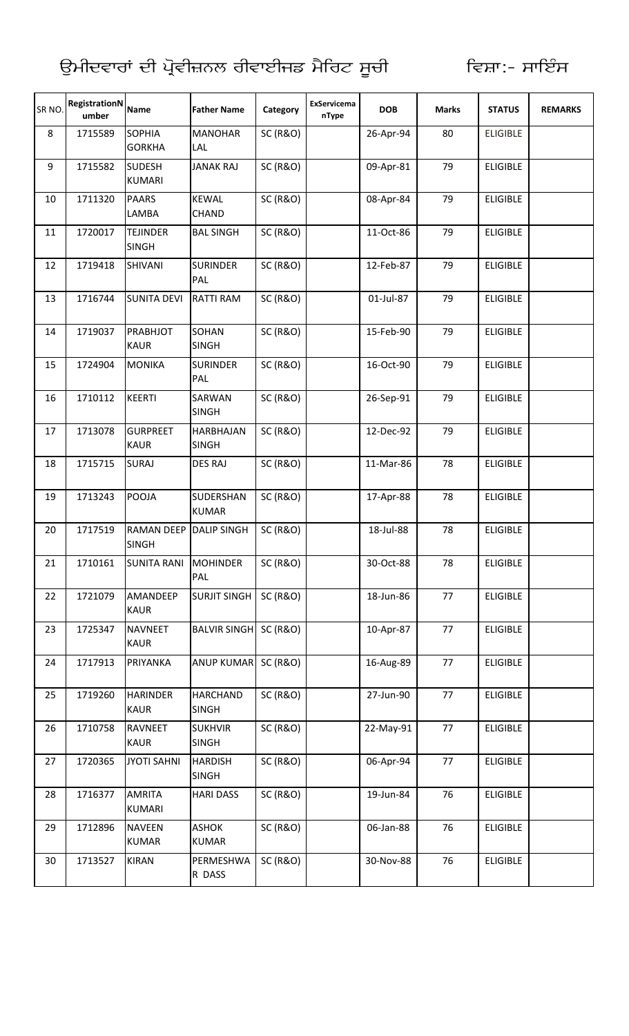| SR <sub>NO</sub> | RegistrationN<br>umber | <b>Name</b>                       | <b>Father Name</b>               | Category            | ExServicema<br>nType | <b>DOB</b> | <b>Marks</b> | <b>STATUS</b>   | <b>REMARKS</b> |
|------------------|------------------------|-----------------------------------|----------------------------------|---------------------|----------------------|------------|--------------|-----------------|----------------|
| 8                | 1715589                | SOPHIA<br><b>GORKHA</b>           | <b>MANOHAR</b><br>LAL            | <b>SC (R&amp;O)</b> |                      | 26-Apr-94  | 80           | <b>ELIGIBLE</b> |                |
| 9                | 1715582                | <b>SUDESH</b><br><b>KUMARI</b>    | <b>JANAK RAJ</b>                 | <b>SC (R&amp;O)</b> |                      | 09-Apr-81  | 79           | <b>ELIGIBLE</b> |                |
| 10               | 1711320                | <b>PAARS</b><br>LAMBA             | <b>KEWAL</b><br>CHAND            | <b>SC (R&amp;O)</b> |                      | 08-Apr-84  | 79           | <b>ELIGIBLE</b> |                |
| 11               | 1720017                | <b>TEJINDER</b><br><b>SINGH</b>   | <b>BAL SINGH</b>                 | <b>SC (R&amp;O)</b> |                      | 11-Oct-86  | 79           | <b>ELIGIBLE</b> |                |
| 12               | 1719418                | SHIVANI                           | <b>SURINDER</b><br>PAL           | <b>SC (R&amp;O)</b> |                      | 12-Feb-87  | 79           | <b>ELIGIBLE</b> |                |
| 13               | 1716744                | <b>SUNITA DEVI</b>                | <b>RATTI RAM</b>                 | <b>SC (R&amp;O)</b> |                      | 01-Jul-87  | 79           | <b>ELIGIBLE</b> |                |
| 14               | 1719037                | PRABHJOT<br><b>KAUR</b>           | SOHAN<br><b>SINGH</b>            | <b>SC (R&amp;O)</b> |                      | 15-Feb-90  | 79           | <b>ELIGIBLE</b> |                |
| 15               | 1724904                | <b>MONIKA</b>                     | <b>SURINDER</b><br>PAL           | <b>SC (R&amp;O)</b> |                      | 16-Oct-90  | 79           | <b>ELIGIBLE</b> |                |
| 16               | 1710112                | <b>KEERTI</b>                     | SARWAN<br><b>SINGH</b>           | <b>SC (R&amp;O)</b> |                      | 26-Sep-91  | 79           | <b>ELIGIBLE</b> |                |
| 17               | 1713078                | <b>GURPREET</b><br><b>KAUR</b>    | <b>HARBHAJAN</b><br><b>SINGH</b> | <b>SC (R&amp;O)</b> |                      | 12-Dec-92  | 79           | <b>ELIGIBLE</b> |                |
| 18               | 1715715                | <b>SURAJ</b>                      | <b>DES RAJ</b>                   | <b>SC (R&amp;O)</b> |                      | 11-Mar-86  | 78           | <b>ELIGIBLE</b> |                |
| 19               | 1713243                | POOJA                             | SUDERSHAN<br><b>KUMAR</b>        | <b>SC (R&amp;O)</b> |                      | 17-Apr-88  | 78           | <b>ELIGIBLE</b> |                |
| 20               | 1717519                | <b>RAMAN DEEP</b><br><b>SINGH</b> | <b>DALIP SINGH</b>               | <b>SC (R&amp;O)</b> |                      | 18-Jul-88  | 78           | <b>ELIGIBLE</b> |                |
| 21               | 1710161                | <b>SUNITA RANI</b>                | <b>MOHINDER</b><br>PAL           | <b>SC (R&amp;O)</b> |                      | 30-Oct-88  | 78           | <b>ELIGIBLE</b> |                |
| 22               | 1721079                | AMANDEEP<br><b>KAUR</b>           | <b>SURJIT SINGH</b>              | <b>SC (R&amp;O)</b> |                      | 18-Jun-86  | 77           | <b>ELIGIBLE</b> |                |
| 23               | 1725347                | <b>NAVNEET</b><br><b>KAUR</b>     | BALVIR SINGH SC (R&O)            |                     |                      | 10-Apr-87  | 77           | <b>ELIGIBLE</b> |                |
| 24               | 1717913                | PRIYANKA                          | <b>ANUP KUMAR</b>                | <b>SC (R&amp;O)</b> |                      | 16-Aug-89  | 77           | <b>ELIGIBLE</b> |                |
| 25               | 1719260                | <b>HARINDER</b><br><b>KAUR</b>    | <b>HARCHAND</b><br><b>SINGH</b>  | <b>SC (R&amp;O)</b> |                      | 27-Jun-90  | 77           | <b>ELIGIBLE</b> |                |
| 26               | 1710758                | RAVNEET<br><b>KAUR</b>            | <b>SUKHVIR</b><br><b>SINGH</b>   | <b>SC (R&amp;O)</b> |                      | 22-May-91  | 77           | <b>ELIGIBLE</b> |                |
| 27               | 1720365                | <b>JYOTI SAHNI</b>                | <b>HARDISH</b><br><b>SINGH</b>   | <b>SC (R&amp;O)</b> |                      | 06-Apr-94  | 77           | <b>ELIGIBLE</b> |                |
| 28               | 1716377                | <b>AMRITA</b><br>KUMARI           | <b>HARI DASS</b>                 | <b>SC (R&amp;O)</b> |                      | 19-Jun-84  | 76           | <b>ELIGIBLE</b> |                |
| 29               | 1712896                | <b>NAVEEN</b><br><b>KUMAR</b>     | <b>ASHOK</b><br><b>KUMAR</b>     | <b>SC (R&amp;O)</b> |                      | 06-Jan-88  | 76           | <b>ELIGIBLE</b> |                |
| 30               | 1713527                | <b>KIRAN</b>                      | PERMESHWA<br>R DASS              | <b>SC (R&amp;O)</b> |                      | 30-Nov-88  | 76           | <b>ELIGIBLE</b> |                |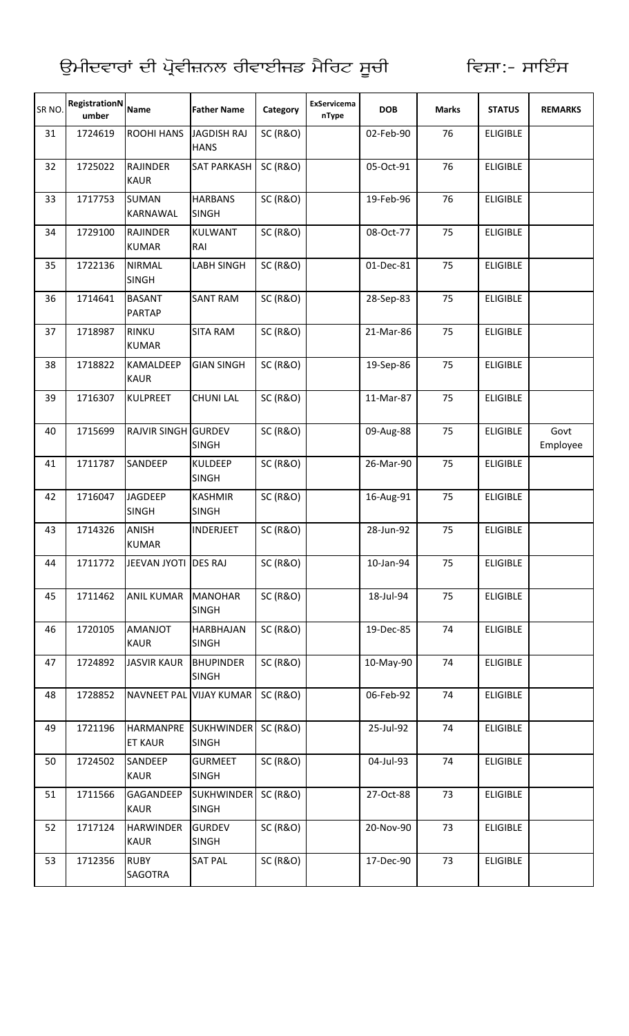| SR <sub>NO</sub> | RegistrationN<br>umber | <b>Name</b>                        | <b>Father Name</b>                | Category            | ExServicema<br>nType | <b>DOB</b> | <b>Marks</b> | <b>STATUS</b>   | <b>REMARKS</b>   |
|------------------|------------------------|------------------------------------|-----------------------------------|---------------------|----------------------|------------|--------------|-----------------|------------------|
| 31               | 1724619                | <b>ROOHI HANS</b>                  | <b>JAGDISH RAJ</b><br><b>HANS</b> | <b>SC (R&amp;O)</b> |                      | 02-Feb-90  | 76           | <b>ELIGIBLE</b> |                  |
| 32               | 1725022                | <b>RAJINDER</b><br><b>KAUR</b>     | <b>SAT PARKASH</b>                | <b>SC (R&amp;O)</b> |                      | 05-Oct-91  | 76           | <b>ELIGIBLE</b> |                  |
| 33               | 1717753                | <b>SUMAN</b><br><b>KARNAWAL</b>    | <b>HARBANS</b><br><b>SINGH</b>    | <b>SC (R&amp;O)</b> |                      | 19-Feb-96  | 76           | <b>ELIGIBLE</b> |                  |
| 34               | 1729100                | <b>RAJINDER</b><br><b>KUMAR</b>    | <b>KULWANT</b><br>RAI             | <b>SC (R&amp;O)</b> |                      | 08-Oct-77  | 75           | <b>ELIGIBLE</b> |                  |
| 35               | 1722136                | <b>NIRMAL</b><br><b>SINGH</b>      | LABH SINGH                        | <b>SC (R&amp;O)</b> |                      | 01-Dec-81  | 75           | <b>ELIGIBLE</b> |                  |
| 36               | 1714641                | <b>BASANT</b><br><b>PARTAP</b>     | <b>SANT RAM</b>                   | <b>SC (R&amp;O)</b> |                      | 28-Sep-83  | 75           | <b>ELIGIBLE</b> |                  |
| 37               | 1718987                | <b>RINKU</b><br><b>KUMAR</b>       | <b>SITA RAM</b>                   | <b>SC (R&amp;O)</b> |                      | 21-Mar-86  | 75           | <b>ELIGIBLE</b> |                  |
| 38               | 1718822                | <b>KAMALDEEP</b><br><b>KAUR</b>    | <b>GIAN SINGH</b>                 | <b>SC (R&amp;O)</b> |                      | 19-Sep-86  | 75           | <b>ELIGIBLE</b> |                  |
| 39               | 1716307                | <b>KULPREET</b>                    | <b>CHUNI LAL</b>                  | <b>SC (R&amp;O)</b> |                      | 11-Mar-87  | 75           | <b>ELIGIBLE</b> |                  |
| 40               | 1715699                | <b>RAJVIR SINGH GURDEV</b>         | <b>SINGH</b>                      | <b>SC (R&amp;O)</b> |                      | 09-Aug-88  | 75           | <b>ELIGIBLE</b> | Govt<br>Employee |
| 41               | 1711787                | SANDEEP                            | <b>KULDEEP</b><br><b>SINGH</b>    | <b>SC (R&amp;O)</b> |                      | 26-Mar-90  | 75           | <b>ELIGIBLE</b> |                  |
| 42               | 1716047                | <b>JAGDEEP</b><br><b>SINGH</b>     | <b>KASHMIR</b><br><b>SINGH</b>    | <b>SC (R&amp;O)</b> |                      | 16-Aug-91  | 75           | <b>ELIGIBLE</b> |                  |
| 43               | 1714326                | ANISH<br><b>KUMAR</b>              | <b>INDERJEET</b>                  | <b>SC (R&amp;O)</b> |                      | 28-Jun-92  | 75           | <b>ELIGIBLE</b> |                  |
| 44               | 1711772                | JEEVAN JYOTI DES RAJ               |                                   | <b>SC (R&amp;O)</b> |                      | 10-Jan-94  | 75           | <b>ELIGIBLE</b> |                  |
| 45               | 1711462                | <b>ANIL KUMAR</b>                  | <b>MANOHAR</b><br><b>SINGH</b>    | <b>SC (R&amp;O)</b> |                      | 18-Jul-94  | 75           | <b>ELIGIBLE</b> |                  |
| 46               | 1720105                | <b>TOLIANMA</b><br><b>KAUR</b>     | <b>HARBHAJAN</b><br><b>SINGH</b>  | <b>SC (R&amp;O)</b> |                      | 19-Dec-85  | 74           | <b>ELIGIBLE</b> |                  |
| 47               | 1724892                | <b>JASVIR KAUR</b>                 | <b>BHUPINDER</b><br><b>SINGH</b>  | <b>SC (R&amp;O)</b> |                      | 10-May-90  | 74           | <b>ELIGIBLE</b> |                  |
| 48               | 1728852                |                                    | NAVNEET PAL VIJAY KUMAR           | <b>SC (R&amp;O)</b> |                      | 06-Feb-92  | 74           | <b>ELIGIBLE</b> |                  |
| 49               | 1721196                | <b>HARMANPRE</b><br><b>ET KAUR</b> | <b>SUKHWINDER</b><br><b>SINGH</b> | <b>SC (R&amp;O)</b> |                      | 25-Jul-92  | 74           | <b>ELIGIBLE</b> |                  |
| 50               | 1724502                | SANDEEP<br><b>KAUR</b>             | <b>GURMEET</b><br><b>SINGH</b>    | <b>SC (R&amp;O)</b> |                      | 04-Jul-93  | 74           | <b>ELIGIBLE</b> |                  |
| 51               | 1711566                | GAGANDEEP<br><b>KAUR</b>           | <b>SUKHWINDER</b><br><b>SINGH</b> | <b>SC (R&amp;O)</b> |                      | 27-Oct-88  | 73           | <b>ELIGIBLE</b> |                  |
| 52               | 1717124                | <b>HARWINDER</b><br><b>KAUR</b>    | <b>GURDEV</b><br><b>SINGH</b>     | <b>SC (R&amp;O)</b> |                      | 20-Nov-90  | 73           | <b>ELIGIBLE</b> |                  |
| 53               | 1712356                | <b>RUBY</b><br>SAGOTRA             | <b>SAT PAL</b>                    | <b>SC (R&amp;O)</b> |                      | 17-Dec-90  | 73           | <b>ELIGIBLE</b> |                  |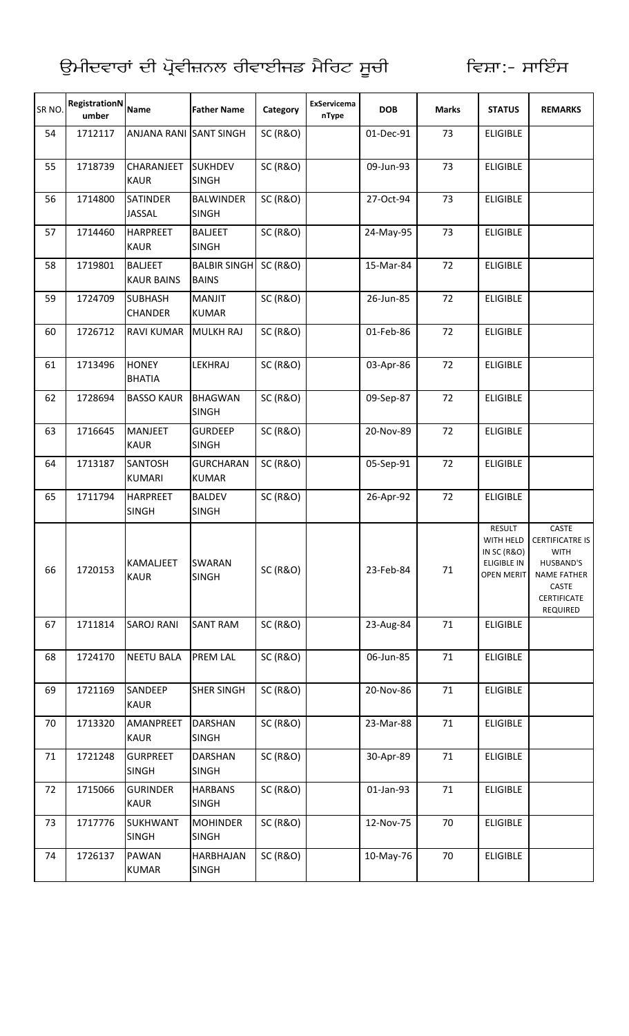| SR <sub>NO</sub> | RegistrationN<br>umber | <b>Name</b>                         | <b>Father Name</b>                  | Category            | ExServicema<br>nType | <b>DOB</b> | <b>Marks</b> | <b>STATUS</b>                                                                 | <b>REMARKS</b>                                                                                                               |
|------------------|------------------------|-------------------------------------|-------------------------------------|---------------------|----------------------|------------|--------------|-------------------------------------------------------------------------------|------------------------------------------------------------------------------------------------------------------------------|
| 54               | 1712117                | ANJANA RANI SANT SINGH              |                                     | <b>SC (R&amp;O)</b> |                      | 01-Dec-91  | 73           | <b>ELIGIBLE</b>                                                               |                                                                                                                              |
| 55               | 1718739                | CHARANJEET<br><b>KAUR</b>           | <b>SUKHDEV</b><br><b>SINGH</b>      | <b>SC (R&amp;O)</b> |                      | 09-Jun-93  | 73           | <b>ELIGIBLE</b>                                                               |                                                                                                                              |
| 56               | 1714800                | <b>SATINDER</b><br>JASSAL           | <b>BALWINDER</b><br><b>SINGH</b>    | <b>SC (R&amp;O)</b> |                      | 27-Oct-94  | 73           | <b>ELIGIBLE</b>                                                               |                                                                                                                              |
| 57               | 1714460                | <b>HARPREET</b><br><b>KAUR</b>      | <b>BALJEET</b><br><b>SINGH</b>      | <b>SC (R&amp;O)</b> |                      | 24-May-95  | 73           | <b>ELIGIBLE</b>                                                               |                                                                                                                              |
| 58               | 1719801                | <b>BALJEET</b><br><b>KAUR BAINS</b> | <b>BALBIR SINGH</b><br><b>BAINS</b> | <b>SC (R&amp;O)</b> |                      | 15-Mar-84  | 72           | <b>ELIGIBLE</b>                                                               |                                                                                                                              |
| 59               | 1724709                | <b>SUBHASH</b><br>CHANDER           | <b>MANJIT</b><br><b>KUMAR</b>       | <b>SC (R&amp;O)</b> |                      | 26-Jun-85  | 72           | <b>ELIGIBLE</b>                                                               |                                                                                                                              |
| 60               | 1726712                | <b>RAVI KUMAR</b>                   | <b>MULKH RAJ</b>                    | <b>SC (R&amp;O)</b> |                      | 01-Feb-86  | 72           | <b>ELIGIBLE</b>                                                               |                                                                                                                              |
| 61               | 1713496                | <b>HONEY</b><br><b>BHATIA</b>       | LEKHRAJ                             | <b>SC (R&amp;O)</b> |                      | 03-Apr-86  | 72           | <b>ELIGIBLE</b>                                                               |                                                                                                                              |
| 62               | 1728694                | <b>BASSO KAUR</b>                   | <b>BHAGWAN</b><br><b>SINGH</b>      | <b>SC (R&amp;O)</b> |                      | 09-Sep-87  | 72           | <b>ELIGIBLE</b>                                                               |                                                                                                                              |
| 63               | 1716645                | <b>MANJEET</b><br><b>KAUR</b>       | <b>GURDEEP</b><br><b>SINGH</b>      | <b>SC (R&amp;O)</b> |                      | 20-Nov-89  | 72           | <b>ELIGIBLE</b>                                                               |                                                                                                                              |
| 64               | 1713187                | <b>SANTOSH</b><br><b>KUMARI</b>     | <b>GURCHARAN</b><br><b>KUMAR</b>    | <b>SC (R&amp;O)</b> |                      | 05-Sep-91  | 72           | <b>ELIGIBLE</b>                                                               |                                                                                                                              |
| 65               | 1711794                | <b>HARPREET</b><br><b>SINGH</b>     | <b>BALDEV</b><br><b>SINGH</b>       | <b>SC (R&amp;O)</b> |                      | 26-Apr-92  | 72           | <b>ELIGIBLE</b>                                                               |                                                                                                                              |
| 66               | 1720153                | <b>KAMALJEET</b><br><b>KAUR</b>     | <b>SWARAN</b><br><b>SINGH</b>       | <b>SC (R&amp;O)</b> |                      | 23-Feb-84  | 71           | RESULT<br>WITH HELD<br>IN SC (R&O)<br><b>ELIGIBLE IN</b><br><b>OPEN MERIT</b> | CASTE<br><b>CERTIFICATRE IS</b><br><b>WITH</b><br>HUSBAND'S<br><b>NAME FATHER</b><br>CASTE<br><b>CERTIFICATE</b><br>REQUIRED |
| 67               | 1711814                | <b>SAROJ RANI</b>                   | <b>SANT RAM</b>                     | <b>SC (R&amp;O)</b> |                      | 23-Aug-84  | 71           | <b>ELIGIBLE</b>                                                               |                                                                                                                              |
| 68               | 1724170                | <b>NEETU BALA</b>                   | <b>PREM LAL</b>                     | <b>SC (R&amp;O)</b> |                      | 06-Jun-85  | 71           | <b>ELIGIBLE</b>                                                               |                                                                                                                              |
| 69               | 1721169                | SANDEEP<br><b>KAUR</b>              | <b>SHER SINGH</b>                   | <b>SC (R&amp;O)</b> |                      | 20-Nov-86  | 71           | <b>ELIGIBLE</b>                                                               |                                                                                                                              |
| 70               | 1713320                | AMANPREET<br><b>KAUR</b>            | <b>DARSHAN</b><br><b>SINGH</b>      | <b>SC (R&amp;O)</b> |                      | 23-Mar-88  | 71           | <b>ELIGIBLE</b>                                                               |                                                                                                                              |
| 71               | 1721248                | <b>GURPREET</b><br><b>SINGH</b>     | <b>DARSHAN</b><br><b>SINGH</b>      | <b>SC (R&amp;O)</b> |                      | 30-Apr-89  | 71           | <b>ELIGIBLE</b>                                                               |                                                                                                                              |
| 72               | 1715066                | <b>GURINDER</b><br><b>KAUR</b>      | <b>HARBANS</b><br><b>SINGH</b>      | <b>SC (R&amp;O)</b> |                      | 01-Jan-93  | 71           | <b>ELIGIBLE</b>                                                               |                                                                                                                              |
| 73               | 1717776                | <b>SUKHWANT</b><br><b>SINGH</b>     | <b>MOHINDER</b><br><b>SINGH</b>     | <b>SC (R&amp;O)</b> |                      | 12-Nov-75  | 70           | <b>ELIGIBLE</b>                                                               |                                                                                                                              |
| 74               | 1726137                | <b>PAWAN</b><br><b>KUMAR</b>        | HARBHAJAN<br><b>SINGH</b>           | <b>SC (R&amp;O)</b> |                      | 10-May-76  | 70           | <b>ELIGIBLE</b>                                                               |                                                                                                                              |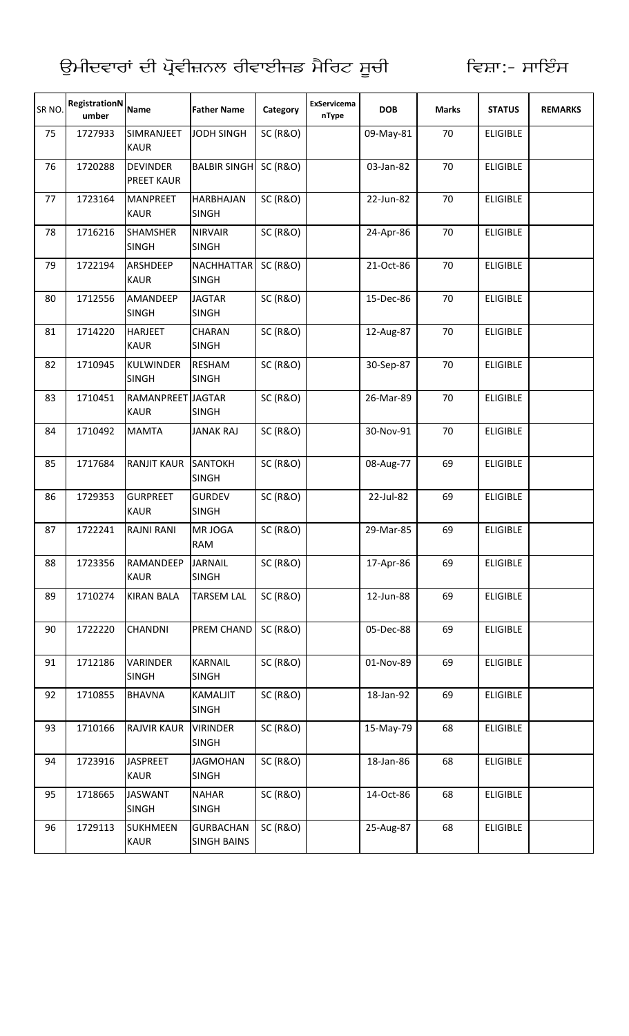| SR <sub>NO</sub> | <b>RegistrationN</b><br>umber | <b>Name</b>                          | <b>Father Name</b>                     | Category            | <b>ExServicema</b><br>nType | <b>DOB</b> | <b>Marks</b> | <b>STATUS</b>   | <b>REMARKS</b> |
|------------------|-------------------------------|--------------------------------------|----------------------------------------|---------------------|-----------------------------|------------|--------------|-----------------|----------------|
| 75               | 1727933                       | SIMRANJEET<br><b>KAUR</b>            | <b>JODH SINGH</b>                      | <b>SC (R&amp;O)</b> |                             | 09-May-81  | 70           | <b>ELIGIBLE</b> |                |
| 76               | 1720288                       | <b>DEVINDER</b><br><b>PREET KAUR</b> | <b>BALBIR SINGH</b>                    | <b>SC (R&amp;O)</b> |                             | 03-Jan-82  | 70           | <b>ELIGIBLE</b> |                |
| 77               | 1723164                       | <b>MANPREET</b><br><b>KAUR</b>       | <b>HARBHAJAN</b><br><b>SINGH</b>       | <b>SC (R&amp;O)</b> |                             | 22-Jun-82  | 70           | <b>ELIGIBLE</b> |                |
| 78               | 1716216                       | <b>SHAMSHER</b><br><b>SINGH</b>      | <b>NIRVAIR</b><br><b>SINGH</b>         | <b>SC (R&amp;O)</b> |                             | 24-Apr-86  | 70           | <b>ELIGIBLE</b> |                |
| 79               | 1722194                       | <b>ARSHDEEP</b><br><b>KAUR</b>       | <b>NACHHATTAR</b><br><b>SINGH</b>      | <b>SC (R&amp;O)</b> |                             | 21-Oct-86  | 70           | <b>ELIGIBLE</b> |                |
| 80               | 1712556                       | AMANDEEP<br><b>SINGH</b>             | <b>JAGTAR</b><br><b>SINGH</b>          | <b>SC (R&amp;O)</b> |                             | 15-Dec-86  | 70           | <b>ELIGIBLE</b> |                |
| 81               | 1714220                       | <b>HARJEET</b><br><b>KAUR</b>        | <b>CHARAN</b><br><b>SINGH</b>          | <b>SC (R&amp;O)</b> |                             | 12-Aug-87  | 70           | <b>ELIGIBLE</b> |                |
| 82               | 1710945                       | <b>KULWINDER</b><br><b>SINGH</b>     | <b>RESHAM</b><br><b>SINGH</b>          | <b>SC (R&amp;O)</b> |                             | 30-Sep-87  | 70           | <b>ELIGIBLE</b> |                |
| 83               | 1710451                       | RAMANPREET JAGTAR<br><b>KAUR</b>     | <b>SINGH</b>                           | <b>SC (R&amp;O)</b> |                             | 26-Mar-89  | 70           | <b>ELIGIBLE</b> |                |
| 84               | 1710492                       | <b>MAMTA</b>                         | <b>JANAK RAJ</b>                       | <b>SC (R&amp;O)</b> |                             | 30-Nov-91  | 70           | <b>ELIGIBLE</b> |                |
| 85               | 1717684                       | <b>RANJIT KAUR</b>                   | <b>SANTOKH</b><br><b>SINGH</b>         | <b>SC (R&amp;O)</b> |                             | 08-Aug-77  | 69           | <b>ELIGIBLE</b> |                |
| 86               | 1729353                       | <b>GURPREET</b><br><b>KAUR</b>       | <b>GURDEV</b><br><b>SINGH</b>          | <b>SC (R&amp;O)</b> |                             | 22-Jul-82  | 69           | <b>ELIGIBLE</b> |                |
| 87               | 1722241                       | <b>RAJNI RANI</b>                    | MR JOGA<br><b>RAM</b>                  | <b>SC (R&amp;O)</b> |                             | 29-Mar-85  | 69           | <b>ELIGIBLE</b> |                |
| 88               | 1723356                       | RAMANDEEP<br><b>KAUR</b>             | <b>JARNAIL</b><br><b>SINGH</b>         | <b>SC (R&amp;O)</b> |                             | 17-Apr-86  | 69           | <b>ELIGIBLE</b> |                |
| 89               | 1710274                       | <b>KIRAN BALA</b>                    | <b>TARSEM LAL</b>                      | <b>SC (R&amp;O)</b> |                             | 12-Jun-88  | 69           | <b>ELIGIBLE</b> |                |
| 90               | 1722220                       | <b>CHANDNI</b>                       | PREM CHAND                             | <b>SC (R&amp;O)</b> |                             | 05-Dec-88  | 69           | <b>ELIGIBLE</b> |                |
| 91               | 1712186                       | VARINDER<br><b>SINGH</b>             | <b>KARNAIL</b><br><b>SINGH</b>         | <b>SC (R&amp;O)</b> |                             | 01-Nov-89  | 69           | <b>ELIGIBLE</b> |                |
| 92               | 1710855                       | <b>BHAVNA</b>                        | KAMALJIT<br><b>SINGH</b>               | <b>SC (R&amp;O)</b> |                             | 18-Jan-92  | 69           | <b>ELIGIBLE</b> |                |
| 93               | 1710166                       | <b>RAJVIR KAUR</b>                   | <b>VIRINDER</b><br><b>SINGH</b>        | <b>SC (R&amp;O)</b> |                             | 15-May-79  | 68           | <b>ELIGIBLE</b> |                |
| 94               | 1723916                       | <b>JASPREET</b><br><b>KAUR</b>       | <b>JAGMOHAN</b><br><b>SINGH</b>        | <b>SC (R&amp;O)</b> |                             | 18-Jan-86  | 68           | <b>ELIGIBLE</b> |                |
| 95               | 1718665                       | <b>JASWANT</b><br><b>SINGH</b>       | <b>NAHAR</b><br><b>SINGH</b>           | <b>SC (R&amp;O)</b> |                             | 14-Oct-86  | 68           | <b>ELIGIBLE</b> |                |
| 96               | 1729113                       | <b>SUKHMEEN</b><br><b>KAUR</b>       | <b>GURBACHAN</b><br><b>SINGH BAINS</b> | <b>SC (R&amp;O)</b> |                             | 25-Aug-87  | 68           | <b>ELIGIBLE</b> |                |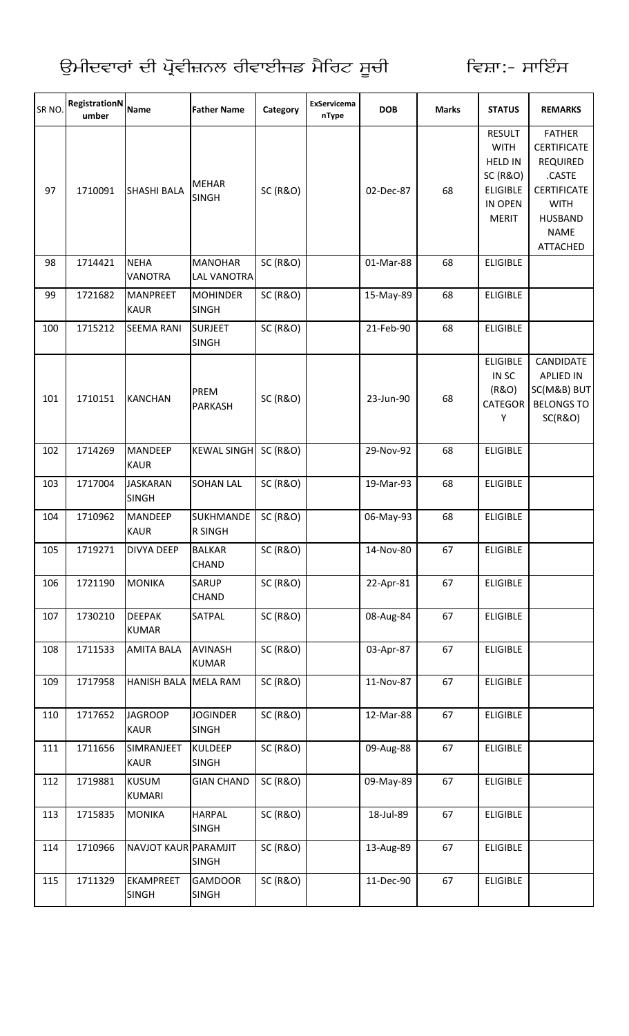| SR NO. | <b>RegistrationN</b><br>umber | <b>Name</b>                      | <b>Father Name</b>                   | Category            | ExServicema<br>nType | <b>DOB</b> | <b>Marks</b> | <b>STATUS</b>                                                                                                       | <b>REMARKS</b>                                                                                                                                            |
|--------|-------------------------------|----------------------------------|--------------------------------------|---------------------|----------------------|------------|--------------|---------------------------------------------------------------------------------------------------------------------|-----------------------------------------------------------------------------------------------------------------------------------------------------------|
| 97     | 1710091                       | <b>SHASHI BALA</b>               | <b>MEHAR</b><br><b>SINGH</b>         | <b>SC (R&amp;O)</b> |                      | 02-Dec-87  | 68           | <b>RESULT</b><br><b>WITH</b><br><b>HELD IN</b><br><b>SC (R&amp;O)</b><br><b>ELIGIBLE</b><br>IN OPEN<br><b>MERIT</b> | <b>FATHER</b><br><b>CERTIFICATE</b><br><b>REQUIRED</b><br>.CASTE<br><b>CERTIFICATE</b><br><b>WITH</b><br><b>HUSBAND</b><br><b>NAME</b><br><b>ATTACHED</b> |
| 98     | 1714421                       | <b>NEHA</b><br><b>VANOTRA</b>    | <b>MANOHAR</b><br><b>LAL VANOTRA</b> | <b>SC (R&amp;O)</b> |                      | 01-Mar-88  | 68           | <b>ELIGIBLE</b>                                                                                                     |                                                                                                                                                           |
| 99     | 1721682                       | <b>MANPREET</b><br><b>KAUR</b>   | <b>MOHINDER</b><br><b>SINGH</b>      | <b>SC (R&amp;O)</b> |                      | 15-May-89  | 68           | <b>ELIGIBLE</b>                                                                                                     |                                                                                                                                                           |
| 100    | 1715212                       | <b>SEEMA RANI</b>                | <b>SURJEET</b><br><b>SINGH</b>       | <b>SC (R&amp;O)</b> |                      | 21-Feb-90  | 68           | <b>ELIGIBLE</b>                                                                                                     |                                                                                                                                                           |
| 101    | 1710151                       | <b>KANCHAN</b>                   | PREM<br><b>PARKASH</b>               | <b>SC (R&amp;O)</b> |                      | 23-Jun-90  | 68           | <b>ELIGIBLE</b><br>IN SC<br>(R&O)<br>CATEGOR<br>Υ                                                                   | <b>CANDIDATE</b><br><b>APLIED IN</b><br>SC(M&B) BUT<br><b>BELONGS TO</b><br><b>SC(R&amp;O)</b>                                                            |
| 102    | 1714269                       | <b>MANDEEP</b><br><b>KAUR</b>    | KEWAL SINGH SC (R&O)                 |                     |                      | 29-Nov-92  | 68           | <b>ELIGIBLE</b>                                                                                                     |                                                                                                                                                           |
| 103    | 1717004                       | <b>JASKARAN</b><br><b>SINGH</b>  | <b>SOHAN LAL</b>                     | <b>SC (R&amp;O)</b> |                      | 19-Mar-93  | 68           | <b>ELIGIBLE</b>                                                                                                     |                                                                                                                                                           |
| 104    | 1710962                       | <b>MANDEEP</b><br><b>KAUR</b>    | <b>SUKHMANDE</b><br><b>R SINGH</b>   | <b>SC (R&amp;O)</b> |                      | 06-May-93  | 68           | <b>ELIGIBLE</b>                                                                                                     |                                                                                                                                                           |
| 105    | 1719271                       | <b>DIVYA DEEP</b>                | <b>BALKAR</b><br><b>CHAND</b>        | <b>SC (R&amp;O)</b> |                      | 14-Nov-80  | 67           | <b>ELIGIBLE</b>                                                                                                     |                                                                                                                                                           |
| 106    | 1721190                       | <b>MONIKA</b>                    | SARUP<br><b>CHAND</b>                | <b>SC (R&amp;O)</b> |                      | 22-Apr-81  | 67           | <b>ELIGIBLE</b>                                                                                                     |                                                                                                                                                           |
| 107    | 1730210                       | <b>DEEPAK</b><br><b>KUMAR</b>    | SATPAL                               | <b>SC (R&amp;O)</b> |                      | 08-Aug-84  | 67           | <b>ELIGIBLE</b>                                                                                                     |                                                                                                                                                           |
| 108    | 1711533                       | <b>AMITA BALA</b>                | <b>AVINASH</b><br><b>KUMAR</b>       | <b>SC (R&amp;O)</b> |                      | 03-Apr-87  | 67           | <b>ELIGIBLE</b>                                                                                                     |                                                                                                                                                           |
| 109    | 1717958                       | HANISH BALA MELA RAM             |                                      | <b>SC (R&amp;O)</b> |                      | 11-Nov-87  | 67           | <b>ELIGIBLE</b>                                                                                                     |                                                                                                                                                           |
| 110    | 1717652                       | <b>JAGROOP</b><br><b>KAUR</b>    | <b>JOGINDER</b><br><b>SINGH</b>      | <b>SC (R&amp;O)</b> |                      | 12-Mar-88  | 67           | <b>ELIGIBLE</b>                                                                                                     |                                                                                                                                                           |
| 111    | 1711656                       | SIMRANJEET<br><b>KAUR</b>        | <b>KULDEEP</b><br><b>SINGH</b>       | <b>SC (R&amp;O)</b> |                      | 09-Aug-88  | 67           | <b>ELIGIBLE</b>                                                                                                     |                                                                                                                                                           |
| 112    | 1719881                       | <b>KUSUM</b><br><b>KUMARI</b>    | <b>GIAN CHAND</b>                    | <b>SC (R&amp;O)</b> |                      | 09-May-89  | 67           | <b>ELIGIBLE</b>                                                                                                     |                                                                                                                                                           |
| 113    | 1715835                       | <b>MONIKA</b>                    | <b>HARPAL</b><br><b>SINGH</b>        | <b>SC (R&amp;O)</b> |                      | 18-Jul-89  | 67           | <b>ELIGIBLE</b>                                                                                                     |                                                                                                                                                           |
| 114    | 1710966                       | NAVJOT KAUR PARAMJIT             | <b>SINGH</b>                         | <b>SC (R&amp;O)</b> |                      | 13-Aug-89  | 67           | <b>ELIGIBLE</b>                                                                                                     |                                                                                                                                                           |
| 115    | 1711329                       | <b>EKAMPREET</b><br><b>SINGH</b> | <b>GAMDOOR</b><br><b>SINGH</b>       | <b>SC (R&amp;O)</b> |                      | 11-Dec-90  | 67           | <b>ELIGIBLE</b>                                                                                                     |                                                                                                                                                           |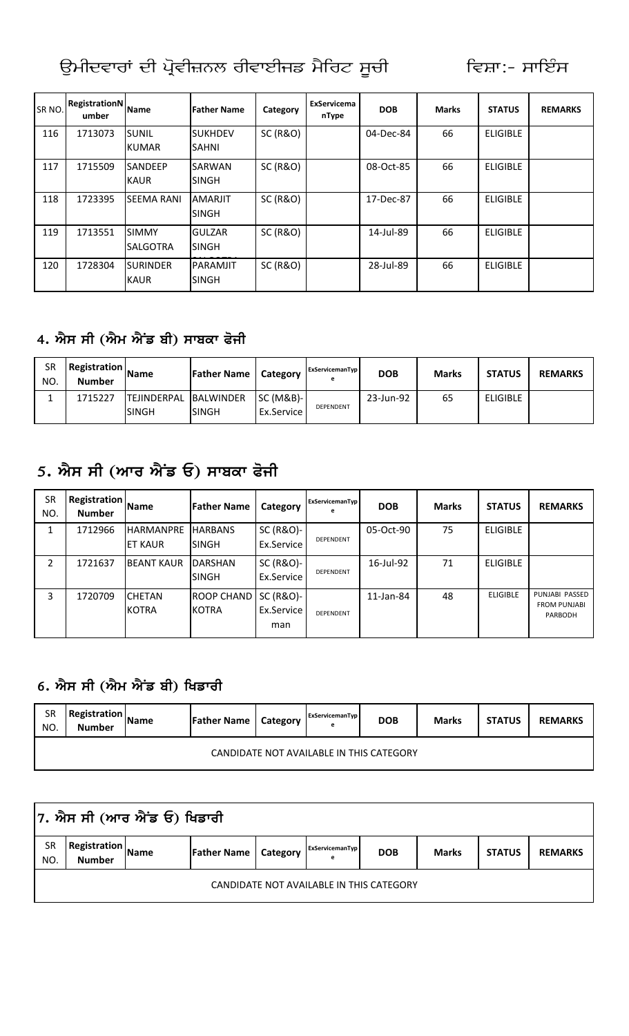| ਉਮੀਦਵਾਰਾਂ ਦੀ ਪ੍ਰੋਵੀਜ਼ਨਲ ਰੀਵਾਈਜਡ ਮੈਰਿਟ ਸੂਚੀ |  |  |  |
|--------------------------------------------|--|--|--|
|                                            |  |  |  |

| SR <sub>NO</sub> | <b>RegistrationN</b><br>umber | <b>Name</b>                     | <b>Father Name</b>             | Category            | ExServicema<br>nType | <b>DOB</b> | <b>Marks</b> | <b>STATUS</b>   | <b>REMARKS</b> |
|------------------|-------------------------------|---------------------------------|--------------------------------|---------------------|----------------------|------------|--------------|-----------------|----------------|
| 116              | 1713073                       | <b>SUNIL</b><br><b>KUMAR</b>    | <b>SUKHDEV</b><br><b>SAHNI</b> | <b>SC (R&amp;O)</b> |                      | 04-Dec-84  | 66           | <b>ELIGIBLE</b> |                |
| 117              | 1715509                       | <b>SANDEEP</b><br><b>KAUR</b>   | <b>SARWAN</b><br><b>SINGH</b>  | <b>SC (R&amp;O)</b> |                      | 08-Oct-85  | 66           | <b>ELIGIBLE</b> |                |
| 118              | 1723395                       | <b>SEEMA RANI</b>               | <b>AMARJIT</b><br><b>SINGH</b> | <b>SC (R&amp;O)</b> |                      | 17-Dec-87  | 66           | <b>ELIGIBLE</b> |                |
| 119              | 1713551                       | <b>SIMMY</b><br><b>SALGOTRA</b> | <b>GULZAR</b><br><b>SINGH</b>  | <b>SC (R&amp;O)</b> |                      | 14-Jul-89  | 66           | <b>ELIGIBLE</b> |                |
| 120              | 1728304                       | <b>SURINDER</b><br><b>KAUR</b>  | PARAMJIT<br><b>SINGH</b>       | <b>SC (R&amp;O)</b> |                      | 28-Jul-89  | 66           | <b>ELIGIBLE</b> |                |

#### 4. ਐਸ ਸੀ (ਐਮ ਐਂਡ ਬੀ) ਸਾਬਕਾ ਫੋਜੀ

| SR<br>NO. | <b>Registration</b><br><b>Number</b> | <b>Name</b>                        | <b>Father Name</b>                | Category                  | ExServicemanTyp | <b>DOB</b> | <b>Marks</b> | <b>STATUS</b>   | <b>REMARKS</b> |
|-----------|--------------------------------------|------------------------------------|-----------------------------------|---------------------------|-----------------|------------|--------------|-----------------|----------------|
|           | 1715227                              | <b>TEJINDERPAL</b><br><b>SINGH</b> | <b>BALWINDER</b><br><b>ISINGH</b> | $ISC(M&B)-$<br>Ex.Service | DEPENDENT       | 23-Jun-92  | 65           | <b>ELIGIBLE</b> |                |

## 5. ਐਸ ਸੀ (ਆਰ ਐਂਡ ਓ) ਸਾਬਕਾ ਫੋਜੀ

| <b>SR</b><br>NO. | Registration<br><b>Number</b> | <b>Name</b>                         | <b>Father Name</b>                 | Category                       | ExServicemanTyp  | <b>DOB</b> | <b>Marks</b> | <b>STATUS</b>   | <b>REMARKS</b>                                   |
|------------------|-------------------------------|-------------------------------------|------------------------------------|--------------------------------|------------------|------------|--------------|-----------------|--------------------------------------------------|
|                  | 1712966                       | <b>HARMANPRE</b><br><b>IET KAUR</b> | <b>HARBANS</b><br><b>ISINGH</b>    | SC (R&O)-<br>Ex.Service        | <b>DEPENDENT</b> | 05-Oct-90  | 75           | <b>ELIGIBLE</b> |                                                  |
| 2                | 1721637                       | <b>BEANT KAUR</b>                   | <b>DARSHAN</b><br><b>SINGH</b>     | SC (R&O)-<br>Ex.Service        | <b>DEPENDENT</b> | 16-Jul-92  | 71           | <b>ELIGIBLE</b> |                                                  |
| 3                | 1720709                       | <b>CHETAN</b><br>KOTRA              | <b>ROOP CHAND</b><br><b>IKOTRA</b> | SC (R&O)-<br>Ex.Service<br>man | <b>DEPENDENT</b> | 11-Jan-84  | 48           | <b>ELIGIBLE</b> | PUNJABI PASSED<br><b>FROM PUNJABI</b><br>PARBODH |

#### 6. ਐਸ ਸੀ (ਐਮ ਐਂਡ ਬੀ) ਖਿਡਾਰੀ

| SR<br>NO. | <b>Registration</b><br>Number | <b>Name</b> | <b>Father Name</b> | <b>Category</b> | ExServicemanTyp<br>е | <b>DOB</b>                               | <b>Marks</b> | <b>STATUS</b> | <b>REMARKS</b> |
|-----------|-------------------------------|-------------|--------------------|-----------------|----------------------|------------------------------------------|--------------|---------------|----------------|
|           |                               |             |                    |                 |                      | CANDIDATE NOT AVAILABLE IN THIS CATEGORY |              |               |                |

|                  | $ 7$ . ਐਸ ਸੀ (ਆਰ ਐਂਡ ਓ) ਖਿਡਾਰੀ           |             |                    |          |                      |            |              |               |                |  |  |  |
|------------------|------------------------------------------|-------------|--------------------|----------|----------------------|------------|--------------|---------------|----------------|--|--|--|
| <b>SR</b><br>NO. | <b>Registration</b><br><b>Number</b>     | <b>Name</b> | <b>Father Name</b> | Category | ExServicemanTyp<br>e | <b>DOB</b> | <b>Marks</b> | <b>STATUS</b> | <b>REMARKS</b> |  |  |  |
|                  | CANDIDATE NOT AVAILABLE IN THIS CATEGORY |             |                    |          |                      |            |              |               |                |  |  |  |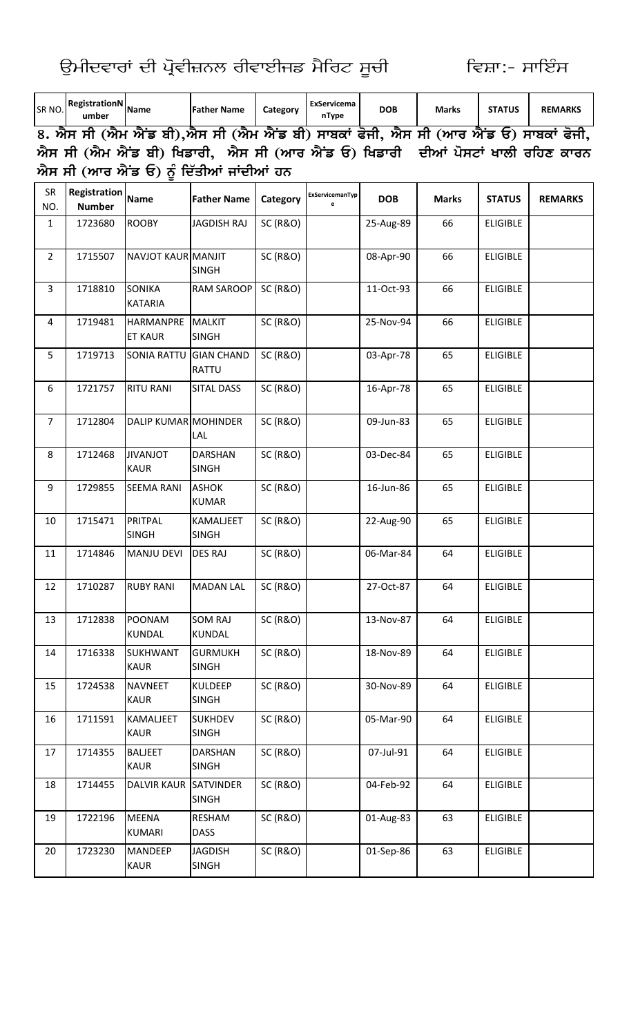ਉਮੀਦਵਾਰਾਂ ਦੀ ਪ੍ਰੋਵੀਜ਼ਨਲ ਰੀਵਾਈਜਡ ਮੈਰਿਟ ਸੂਚੀ

KAUR

**SINGH** 

| SR NO.                  | RegistrationN Name<br>umber          |                                | <b>Father Name</b>                                                                | Category            | ExServicema<br>nType | <b>DOB</b> | <b>Marks</b> | <b>STATUS</b>   | <b>REMARKS</b> |
|-------------------------|--------------------------------------|--------------------------------|-----------------------------------------------------------------------------------|---------------------|----------------------|------------|--------------|-----------------|----------------|
|                         |                                      |                                | 8. ਐਸ ਸੀ (ਐਮ ਐਂਡ ਬੀ),ਐਸ ਸੀ (ਐਮ ਐਂਡ ਬੀ) ਸਾਬਕਾਂ ਫੋਜੀ, ਐਸ ਸੀ (ਆਰ ਐਂਡ ਓ) ਸਾਬਕਾਂ ਫੋਜੀ, |                     |                      |            |              |                 |                |
|                         |                                      |                                | ਐਸ ਸੀ (ਐਮ ਐਂਡ ਬੀ) ਖਿਡਾਰੀ,  ਐਸ ਸੀ (ਆਰ ਐਂਡ ਓ) ਖਿਡਾਰੀ  ਦੀਆਂ ਪੋਸਟਾਂ ਖਾਲੀ ਰਹਿਣ ਕਾਰਨ    |                     |                      |            |              |                 |                |
|                         |                                      |                                | ਐਸ ਸੀ (ਆਰ ਐਂਡ ਓ) ਨੂੰ ਦਿੱਤੀਆਂ ਜਾਂਦੀਆਂ ਹਨ                                           |                     |                      |            |              |                 |                |
| SR<br>NO.               | <b>Registration</b><br><b>Number</b> | <b>Name</b>                    | <b>Father Name</b>                                                                | Category            | ExServicemanTyp      | <b>DOB</b> | <b>Marks</b> | <b>STATUS</b>   | <b>REMARKS</b> |
| 1                       | 1723680                              | <b>ROOBY</b>                   | <b>JAGDISH RAJ</b>                                                                | <b>SC (R&amp;O)</b> |                      | 25-Aug-89  | 66           | <b>ELIGIBLE</b> |                |
| $\overline{2}$          | 1715507                              | NAVJOT KAUR MANJIT             | <b>SINGH</b>                                                                      | <b>SC (R&amp;O)</b> |                      | 08-Apr-90  | 66           | <b>ELIGIBLE</b> |                |
| $\overline{3}$          | 1718810                              | SONIKA<br><b>KATARIA</b>       | RAM SAROOP                                                                        | <b>SC (R&amp;O)</b> |                      | 11-Oct-93  | 66           | <b>ELIGIBLE</b> |                |
| $\overline{\mathbf{4}}$ | 1719481                              | HARMANPRE<br><b>ET KAUR</b>    | <b>MALKIT</b><br><b>SINGH</b>                                                     | <b>SC (R&amp;O)</b> |                      | 25-Nov-94  | 66           | <b>ELIGIBLE</b> |                |
| 5                       | 1719713                              | <b>SONIA RATTU</b>             | <b>GIAN CHAND</b><br><b>RATTU</b>                                                 | <b>SC (R&amp;O)</b> |                      | 03-Apr-78  | 65           | <b>ELIGIBLE</b> |                |
| 6                       | 1721757                              | <b>RITU RANI</b>               | <b>SITAL DASS</b>                                                                 | <b>SC (R&amp;O)</b> |                      | 16-Apr-78  | 65           | <b>ELIGIBLE</b> |                |
| $\overline{7}$          | 1712804                              | <b>DALIP KUMAR MOHINDER</b>    | LAL                                                                               | <b>SC (R&amp;O)</b> |                      | 09-Jun-83  | 65           | <b>ELIGIBLE</b> |                |
| 8                       | 1712468                              | <b>JIVANJOT</b><br><b>KAUR</b> | <b>DARSHAN</b><br><b>SINGH</b>                                                    | <b>SC (R&amp;O)</b> |                      | 03-Dec-84  | 65           | <b>ELIGIBLE</b> |                |
| 9                       | 1729855                              | <b>SEEMA RANI</b>              | <b>ASHOK</b><br><b>KUMAR</b>                                                      | <b>SC (R&amp;O)</b> |                      | 16-Jun-86  | 65           | <b>ELIGIBLE</b> |                |
| 10                      | 1715471                              | PRITPAL<br><b>SINGH</b>        | <b>KAMALJEET</b><br><b>SINGH</b>                                                  | <b>SC (R&amp;O)</b> |                      | 22-Aug-90  | 65           | <b>ELIGIBLE</b> |                |
| 11                      | 1714846                              | MANJU DEVI                     | <b>DES RAJ</b>                                                                    | <b>SC (R&amp;O)</b> |                      | 06-Mar-84  | 64           | ELIGIBLE        |                |
| 12                      | 1710287                              | <b>RUBY RANI</b>               | <b>MADAN LAL</b>                                                                  | <b>SC (R&amp;O)</b> |                      | 27-Oct-87  | 64           | <b>ELIGIBLE</b> |                |
| 13                      | 1712838                              | POONAM<br><b>KUNDAL</b>        | <b>SOM RAJ</b><br>KUNDAL                                                          | <b>SC (R&amp;O)</b> |                      | 13-Nov-87  | 64           | <b>ELIGIBLE</b> |                |
| 14                      | 1716338                              | SUKHWANT<br><b>KAUR</b>        | <b>GURMUKH</b><br><b>SINGH</b>                                                    | <b>SC (R&amp;O)</b> |                      | 18-Nov-89  | 64           | <b>ELIGIBLE</b> |                |
| 15                      | 1724538                              | <b>NAVNEET</b><br><b>KAUR</b>  | <b>KULDEEP</b><br><b>SINGH</b>                                                    | <b>SC (R&amp;O)</b> |                      | 30-Nov-89  | 64           | <b>ELIGIBLE</b> |                |
| 16                      | 1711591                              | KAMALJEET<br><b>KAUR</b>       | <b>SUKHDEV</b><br><b>SINGH</b>                                                    | <b>SC (R&amp;O)</b> |                      | 05-Mar-90  | 64           | <b>ELIGIBLE</b> |                |
| 17                      | 1714355                              | <b>BALJEET</b><br><b>KAUR</b>  | <b>DARSHAN</b><br><b>SINGH</b>                                                    | <b>SC (R&amp;O)</b> |                      | 07-Jul-91  | 64           | <b>ELIGIBLE</b> |                |
| 18                      | 1714455                              | <b>DALVIR KAUR</b>             | <b>SATVINDER</b><br><b>SINGH</b>                                                  | <b>SC (R&amp;O)</b> |                      | 04-Feb-92  | 64           | <b>ELIGIBLE</b> |                |
| 19                      | 1722196                              | MEENA<br>KUMARI                | RESHAM<br><b>DASS</b>                                                             | <b>SC (R&amp;O)</b> |                      | 01-Aug-83  | 63           | <b>ELIGIBLE</b> |                |
| 20                      | 1723230                              | MANDEEP                        | <b>JAGDISH</b>                                                                    | <b>SC (R&amp;O)</b> |                      | 01-Sep-86  | 63           | <b>ELIGIBLE</b> |                |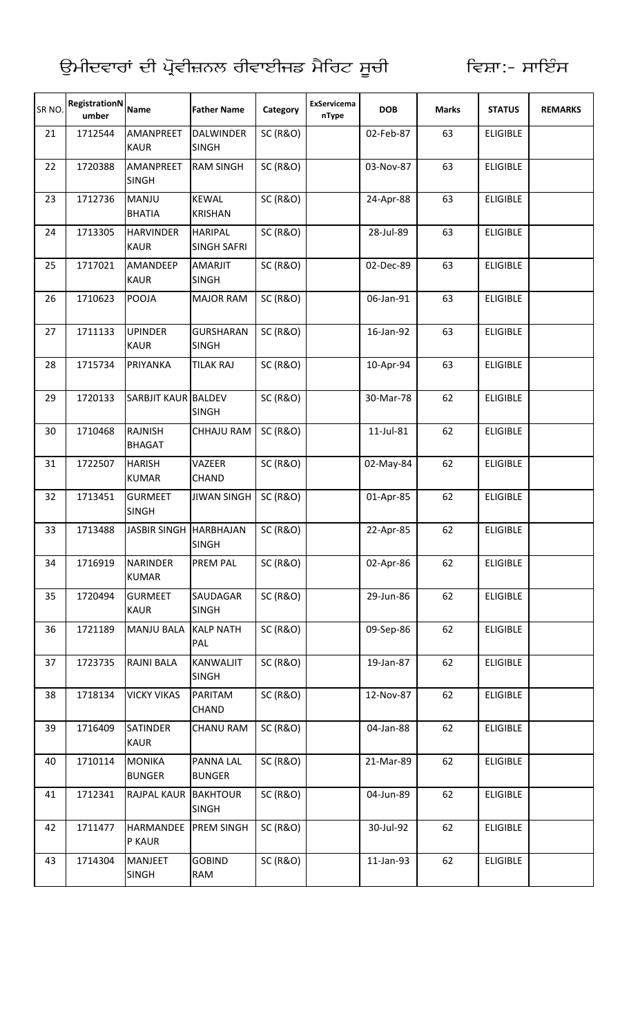| SR <sub>NO</sub> | RegistrationN<br>umber | <b>Name</b>                      | <b>Father Name</b>                   | Category            | ExServicema<br>nType | <b>DOB</b> | <b>Marks</b> | <b>STATUS</b>   | <b>REMARKS</b> |
|------------------|------------------------|----------------------------------|--------------------------------------|---------------------|----------------------|------------|--------------|-----------------|----------------|
| 21               | 1712544                | <b>AMANPREET</b><br><b>KAUR</b>  | <b>DALWINDER</b><br><b>SINGH</b>     | <b>SC (R&amp;O)</b> |                      | 02-Feb-87  | 63           | <b>ELIGIBLE</b> |                |
| 22               | 1720388                | <b>AMANPREET</b><br><b>SINGH</b> | <b>RAM SINGH</b>                     | <b>SC (R&amp;O)</b> |                      | 03-Nov-87  | 63           | <b>ELIGIBLE</b> |                |
| 23               | 1712736                | MANJU<br><b>BHATIA</b>           | <b>KEWAL</b><br><b>KRISHAN</b>       | <b>SC (R&amp;O)</b> |                      | 24-Apr-88  | 63           | <b>ELIGIBLE</b> |                |
| 24               | 1713305                | <b>HARVINDER</b><br><b>KAUR</b>  | <b>HARIPAL</b><br><b>SINGH SAFRI</b> | <b>SC (R&amp;O)</b> |                      | 28-Jul-89  | 63           | <b>ELIGIBLE</b> |                |
| 25               | 1717021                | AMANDEEP<br><b>KAUR</b>          | <b>AMARJIT</b><br><b>SINGH</b>       | <b>SC (R&amp;O)</b> |                      | 02-Dec-89  | 63           | <b>ELIGIBLE</b> |                |
| 26               | 1710623                | <b>POOJA</b>                     | <b>MAJOR RAM</b>                     | <b>SC (R&amp;O)</b> |                      | 06-Jan-91  | 63           | <b>ELIGIBLE</b> |                |
| 27               | 1711133                | <b>UPINDER</b><br><b>KAUR</b>    | <b>GURSHARAN</b><br><b>SINGH</b>     | <b>SC (R&amp;O)</b> |                      | 16-Jan-92  | 63           | <b>ELIGIBLE</b> |                |
| 28               | 1715734                | PRIYANKA                         | <b>TILAK RAJ</b>                     | <b>SC (R&amp;O)</b> |                      | 10-Apr-94  | 63           | <b>ELIGIBLE</b> |                |
| 29               | 1720133                | SARBJIT KAUR BALDEV              | <b>SINGH</b>                         | <b>SC (R&amp;O)</b> |                      | 30-Mar-78  | 62           | <b>ELIGIBLE</b> |                |
| 30               | 1710468                | <b>RAJNISH</b><br><b>BHAGAT</b>  | <b>CHHAJU RAM</b>                    | <b>SC (R&amp;O)</b> |                      | 11-Jul-81  | 62           | <b>ELIGIBLE</b> |                |
| 31               | 1722507                | <b>HARISH</b><br><b>KUMAR</b>    | VAZEER<br><b>CHAND</b>               | <b>SC (R&amp;O)</b> |                      | 02-May-84  | 62           | <b>ELIGIBLE</b> |                |
| 32               | 1713451                | <b>GURMEET</b><br><b>SINGH</b>   | <b>JIWAN SINGH</b>                   | <b>SC (R&amp;O)</b> |                      | 01-Apr-85  | 62           | <b>ELIGIBLE</b> |                |
| 33               | 1713488                | JASBIR SINGH HARBHAJAN           | <b>SINGH</b>                         | <b>SC (R&amp;O)</b> |                      | 22-Apr-85  | 62           | <b>ELIGIBLE</b> |                |
| 34               | 1716919                | <b>NARINDER</b><br><b>KUMAR</b>  | <b>PREM PAL</b>                      | <b>SC (R&amp;O)</b> |                      | 02-Apr-86  | 62           | <b>ELIGIBLE</b> |                |
| 35               | 1720494                | <b>GURMEET</b><br><b>KAUR</b>    | SAUDAGAR<br><b>SINGH</b>             | <b>SC (R&amp;O)</b> |                      | 29-Jun-86  | 62           | <b>ELIGIBLE</b> |                |
| 36               | 1721189                | <b>MANJU BALA</b>                | <b>KALP NATH</b><br>PAL              | <b>SC (R&amp;O)</b> |                      | 09-Sep-86  | 62           | <b>ELIGIBLE</b> |                |
| 37               | 1723735                | <b>RAJNI BALA</b>                | KANWALJIT<br><b>SINGH</b>            | <b>SC (R&amp;O)</b> |                      | 19-Jan-87  | 62           | <b>ELIGIBLE</b> |                |
| 38               | 1718134                | <b>VICKY VIKAS</b>               | PARITAM<br><b>CHAND</b>              | <b>SC (R&amp;O)</b> |                      | 12-Nov-87  | 62           | <b>ELIGIBLE</b> |                |
| 39               | 1716409                | <b>SATINDER</b><br><b>KAUR</b>   | <b>CHANU RAM</b>                     | <b>SC (R&amp;O)</b> |                      | 04-Jan-88  | 62           | <b>ELIGIBLE</b> |                |
| 40               | 1710114                | <b>MONIKA</b><br><b>BUNGER</b>   | <b>PANNA LAL</b><br><b>BUNGER</b>    | <b>SC (R&amp;O)</b> |                      | 21-Mar-89  | 62           | <b>ELIGIBLE</b> |                |
| 41               | 1712341                | <b>RAJPAL KAUR</b>               | <b>BAKHTOUR</b><br><b>SINGH</b>      | <b>SC (R&amp;O)</b> |                      | 04-Jun-89  | 62           | <b>ELIGIBLE</b> |                |
| 42               | 1711477                | <b>HARMANDEE</b><br>P KAUR       | <b>PREM SINGH</b>                    | <b>SC (R&amp;O)</b> |                      | 30-Jul-92  | 62           | <b>ELIGIBLE</b> |                |
| 43               | 1714304                | <b>MANJEET</b><br><b>SINGH</b>   | <b>GOBIND</b><br>RAM                 | <b>SC (R&amp;O)</b> |                      | 11-Jan-93  | 62           | <b>ELIGIBLE</b> |                |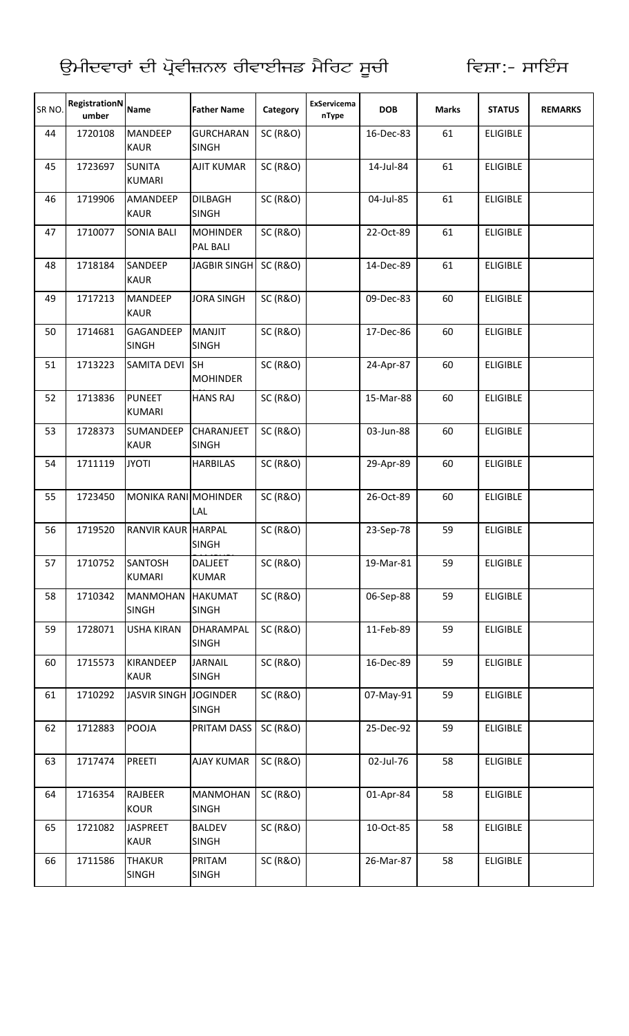| SR <sub>NO</sub> | RegistrationN<br>umber | <b>Name</b>                     | <b>Father Name</b>                 | Category            | ExServicema<br>nType | <b>DOB</b> | <b>Marks</b> | <b>STATUS</b>   | <b>REMARKS</b> |
|------------------|------------------------|---------------------------------|------------------------------------|---------------------|----------------------|------------|--------------|-----------------|----------------|
| 44               | 1720108                | <b>MANDEEP</b><br><b>KAUR</b>   | <b>GURCHARAN</b><br><b>SINGH</b>   | <b>SC (R&amp;O)</b> |                      | 16-Dec-83  | 61           | <b>ELIGIBLE</b> |                |
| 45               | 1723697                | <b>SUNITA</b><br><b>KUMARI</b>  | <b>AJIT KUMAR</b>                  | <b>SC (R&amp;O)</b> |                      | 14-Jul-84  | 61           | <b>ELIGIBLE</b> |                |
| 46               | 1719906                | AMANDEEP<br><b>KAUR</b>         | <b>DILBAGH</b><br><b>SINGH</b>     | <b>SC (R&amp;O)</b> |                      | 04-Jul-85  | 61           | <b>ELIGIBLE</b> |                |
| 47               | 1710077                | <b>SONIA BALI</b>               | <b>MOHINDER</b><br><b>PAL BALI</b> | <b>SC (R&amp;O)</b> |                      | 22-Oct-89  | 61           | <b>ELIGIBLE</b> |                |
| 48               | 1718184                | SANDEEP<br><b>KAUR</b>          | JAGBIR SINGH SC (R&O)              |                     |                      | 14-Dec-89  | 61           | <b>ELIGIBLE</b> |                |
| 49               | 1717213                | <b>MANDEEP</b><br><b>KAUR</b>   | <b>JORA SINGH</b>                  | <b>SC (R&amp;O)</b> |                      | 09-Dec-83  | 60           | <b>ELIGIBLE</b> |                |
| 50               | 1714681                | GAGANDEEP<br><b>SINGH</b>       | <b>MANJIT</b><br><b>SINGH</b>      | <b>SC (R&amp;O)</b> |                      | 17-Dec-86  | 60           | <b>ELIGIBLE</b> |                |
| 51               | 1713223                | <b>SAMITA DEVI</b>              | <b>SH</b><br><b>MOHINDER</b>       | <b>SC (R&amp;O)</b> |                      | 24-Apr-87  | 60           | <b>ELIGIBLE</b> |                |
| 52               | 1713836                | <b>PUNEET</b><br><b>KUMARI</b>  | <b>HANS RAJ</b>                    | <b>SC (R&amp;O)</b> |                      | 15-Mar-88  | 60           | <b>ELIGIBLE</b> |                |
| 53               | 1728373                | <b>SUMANDEEP</b><br><b>KAUR</b> | <b>CHARANJEET</b><br><b>SINGH</b>  | <b>SC (R&amp;O)</b> |                      | 03-Jun-88  | 60           | <b>ELIGIBLE</b> |                |
| 54               | 1711119                | <b>JYOTI</b>                    | <b>HARBILAS</b>                    | <b>SC (R&amp;O)</b> |                      | 29-Apr-89  | 60           | <b>ELIGIBLE</b> |                |
| 55               | 1723450                | MONIKA RANI MOHINDER            | LAL                                | <b>SC (R&amp;O)</b> |                      | 26-Oct-89  | 60           | <b>ELIGIBLE</b> |                |
| 56               | 1719520                | <b>RANVIR KAUR HARPAL</b>       | <b>SINGH</b>                       | <b>SC (R&amp;O)</b> |                      | 23-Sep-78  | 59           | <b>ELIGIBLE</b> |                |
| 57               | 1710752                | <b>SANTOSH</b><br><b>KUMARI</b> | <b>DALJEET</b><br><b>KUMAR</b>     | <b>SC (R&amp;O)</b> |                      | 19-Mar-81  | 59           | <b>ELIGIBLE</b> |                |
| 58               | 1710342                | <b>MANMOHAN</b><br><b>SINGH</b> | <b>HAKUMAT</b><br><b>SINGH</b>     | <b>SC (R&amp;O)</b> |                      | 06-Sep-88  | 59           | <b>ELIGIBLE</b> |                |
| 59               | 1728071                | <b>USHA KIRAN</b>               | <b>DHARAMPAL</b><br><b>SINGH</b>   | <b>SC (R&amp;O)</b> |                      | 11-Feb-89  | 59           | <b>ELIGIBLE</b> |                |
| 60               | 1715573                | <b>KIRANDEEP</b><br><b>KAUR</b> | <b>JARNAIL</b><br><b>SINGH</b>     | <b>SC (R&amp;O)</b> |                      | 16-Dec-89  | 59           | <b>ELIGIBLE</b> |                |
| 61               | 1710292                | JASVIR SINGH JOGINDER           | <b>SINGH</b>                       | <b>SC (R&amp;O)</b> |                      | 07-May-91  | 59           | <b>ELIGIBLE</b> |                |
| 62               | 1712883                | POOJA                           | PRITAM DASS                        | <b>SC (R&amp;O)</b> |                      | 25-Dec-92  | 59           | <b>ELIGIBLE</b> |                |
| 63               | 1717474                | <b>PREETI</b>                   | <b>AJAY KUMAR</b>                  | <b>SC (R&amp;O)</b> |                      | 02-Jul-76  | 58           | <b>ELIGIBLE</b> |                |
| 64               | 1716354                | <b>RAJBEER</b><br><b>KOUR</b>   | <b>MANMOHAN</b><br><b>SINGH</b>    | <b>SC (R&amp;O)</b> |                      | 01-Apr-84  | 58           | <b>ELIGIBLE</b> |                |
| 65               | 1721082                | <b>JASPREET</b><br><b>KAUR</b>  | <b>BALDEV</b><br><b>SINGH</b>      | <b>SC (R&amp;O)</b> |                      | 10-Oct-85  | 58           | <b>ELIGIBLE</b> |                |
| 66               | 1711586                | <b>THAKUR</b><br><b>SINGH</b>   | PRITAM<br><b>SINGH</b>             | <b>SC (R&amp;O)</b> |                      | 26-Mar-87  | 58           | <b>ELIGIBLE</b> |                |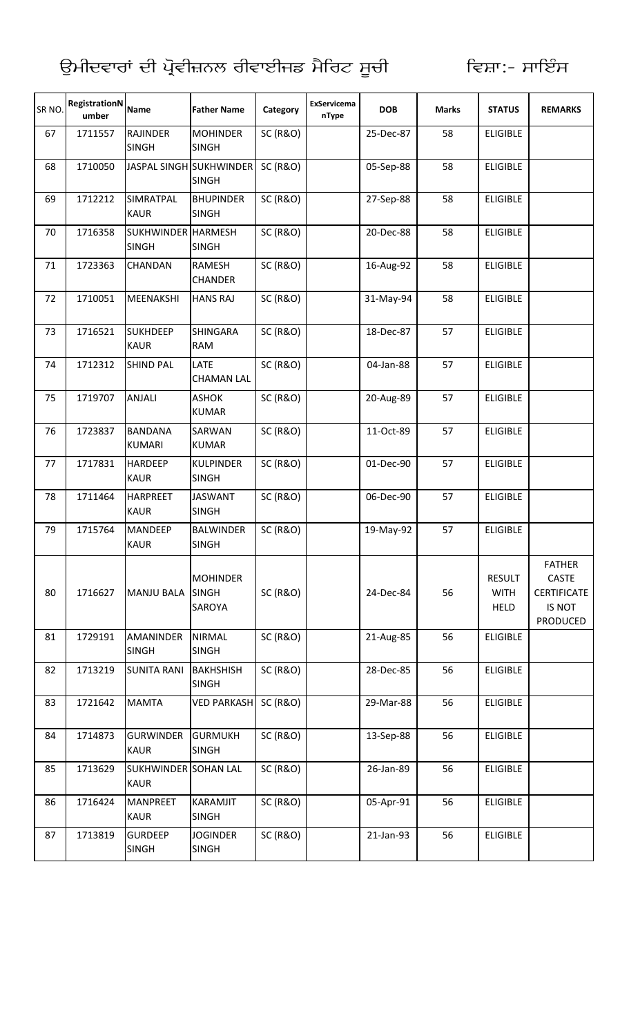| SR <sub>NO</sub> | RegistrationN<br>umber | <b>Name</b>                         | <b>Father Name</b>                        | Category            | ExServicema<br>nType | <b>DOB</b> | <b>Marks</b> | <b>STATUS</b>                               | <b>REMARKS</b>                                                                   |
|------------------|------------------------|-------------------------------------|-------------------------------------------|---------------------|----------------------|------------|--------------|---------------------------------------------|----------------------------------------------------------------------------------|
| 67               | 1711557                | <b>RAJINDER</b><br><b>SINGH</b>     | <b>MOHINDER</b><br><b>SINGH</b>           | <b>SC (R&amp;O)</b> |                      | 25-Dec-87  | 58           | <b>ELIGIBLE</b>                             |                                                                                  |
| 68               | 1710050                |                                     | JASPAL SINGH SUKHWINDER<br><b>SINGH</b>   | <b>SC (R&amp;O)</b> |                      | 05-Sep-88  | 58           | <b>ELIGIBLE</b>                             |                                                                                  |
| 69               | 1712212                | <b>SIMRATPAL</b><br><b>KAUR</b>     | <b>BHUPINDER</b><br><b>SINGH</b>          | <b>SC (R&amp;O)</b> |                      | 27-Sep-88  | 58           | <b>ELIGIBLE</b>                             |                                                                                  |
| 70               | 1716358                | SUKHWINDER HARMESH<br><b>SINGH</b>  | <b>SINGH</b>                              | <b>SC (R&amp;O)</b> |                      | 20-Dec-88  | 58           | <b>ELIGIBLE</b>                             |                                                                                  |
| 71               | 1723363                | CHANDAN                             | <b>RAMESH</b><br><b>CHANDER</b>           | <b>SC (R&amp;O)</b> |                      | 16-Aug-92  | 58           | <b>ELIGIBLE</b>                             |                                                                                  |
| 72               | 1710051                | <b>MEENAKSHI</b>                    | <b>HANS RAJ</b>                           | <b>SC (R&amp;O)</b> |                      | 31-May-94  | 58           | <b>ELIGIBLE</b>                             |                                                                                  |
| 73               | 1716521                | <b>SUKHDEEP</b><br><b>KAUR</b>      | <b>SHINGARA</b><br><b>RAM</b>             | <b>SC (R&amp;O)</b> |                      | 18-Dec-87  | 57           | <b>ELIGIBLE</b>                             |                                                                                  |
| 74               | 1712312                | <b>SHIND PAL</b>                    | LATE<br><b>CHAMAN LAL</b>                 | <b>SC (R&amp;O)</b> |                      | 04-Jan-88  | 57           | <b>ELIGIBLE</b>                             |                                                                                  |
| 75               | 1719707                | ANJALI                              | <b>ASHOK</b><br><b>KUMAR</b>              | <b>SC (R&amp;O)</b> |                      | 20-Aug-89  | 57           | <b>ELIGIBLE</b>                             |                                                                                  |
| 76               | 1723837                | <b>BANDANA</b><br><b>KUMARI</b>     | SARWAN<br><b>KUMAR</b>                    | <b>SC (R&amp;O)</b> |                      | 11-Oct-89  | 57           | <b>ELIGIBLE</b>                             |                                                                                  |
| 77               | 1717831                | <b>HARDEEP</b><br><b>KAUR</b>       | <b>KULPINDER</b><br><b>SINGH</b>          | <b>SC (R&amp;O)</b> |                      | 01-Dec-90  | 57           | <b>ELIGIBLE</b>                             |                                                                                  |
| 78               | 1711464                | <b>HARPREET</b><br><b>KAUR</b>      | <b>JASWANT</b><br><b>SINGH</b>            | <b>SC (R&amp;O)</b> |                      | 06-Dec-90  | 57           | <b>ELIGIBLE</b>                             |                                                                                  |
| 79               | 1715764                | <b>MANDEEP</b><br><b>KAUR</b>       | <b>BALWINDER</b><br><b>SINGH</b>          | <b>SC (R&amp;O)</b> |                      | 19-May-92  | 57           | <b>ELIGIBLE</b>                             |                                                                                  |
| 80               | 1716627                | <b>MANJU BALA</b>                   | <b>MOHINDER</b><br><b>SINGH</b><br>SAROYA | <b>SC (R&amp;O)</b> |                      | 24-Dec-84  | 56           | <b>RESULT</b><br><b>WITH</b><br><b>HELD</b> | <b>FATHER</b><br><b>CASTE</b><br><b>CERTIFICATE</b><br>IS NOT<br><b>PRODUCED</b> |
| 81               | 1729191                | <b>AMANINDER</b><br><b>SINGH</b>    | <b>NIRMAL</b><br><b>SINGH</b>             | <b>SC (R&amp;O)</b> |                      | 21-Aug-85  | 56           | <b>ELIGIBLE</b>                             |                                                                                  |
| 82               | 1713219                | <b>SUNITA RANI</b>                  | <b>BAKHSHISH</b><br><b>SINGH</b>          | <b>SC (R&amp;O)</b> |                      | 28-Dec-85  | 56           | <b>ELIGIBLE</b>                             |                                                                                  |
| 83               | 1721642                | <b>MAMTA</b>                        | <b>VED PARKASH</b>                        | <b>SC (R&amp;O)</b> |                      | 29-Mar-88  | 56           | <b>ELIGIBLE</b>                             |                                                                                  |
| 84               | 1714873                | <b>GURWINDER</b><br><b>KAUR</b>     | <b>GURMUKH</b><br><b>SINGH</b>            | <b>SC (R&amp;O)</b> |                      | 13-Sep-88  | 56           | <b>ELIGIBLE</b>                             |                                                                                  |
| 85               | 1713629                | SUKHWINDER SOHAN LAL<br><b>KAUR</b> |                                           | <b>SC (R&amp;O)</b> |                      | 26-Jan-89  | 56           | <b>ELIGIBLE</b>                             |                                                                                  |
| 86               | 1716424                | <b>MANPREET</b><br><b>KAUR</b>      | KARAMJIT<br><b>SINGH</b>                  | <b>SC (R&amp;O)</b> |                      | 05-Apr-91  | 56           | <b>ELIGIBLE</b>                             |                                                                                  |
| 87               | 1713819                | <b>GURDEEP</b><br><b>SINGH</b>      | <b>JOGINDER</b><br><b>SINGH</b>           | <b>SC (R&amp;O)</b> |                      | 21-Jan-93  | 56           | <b>ELIGIBLE</b>                             |                                                                                  |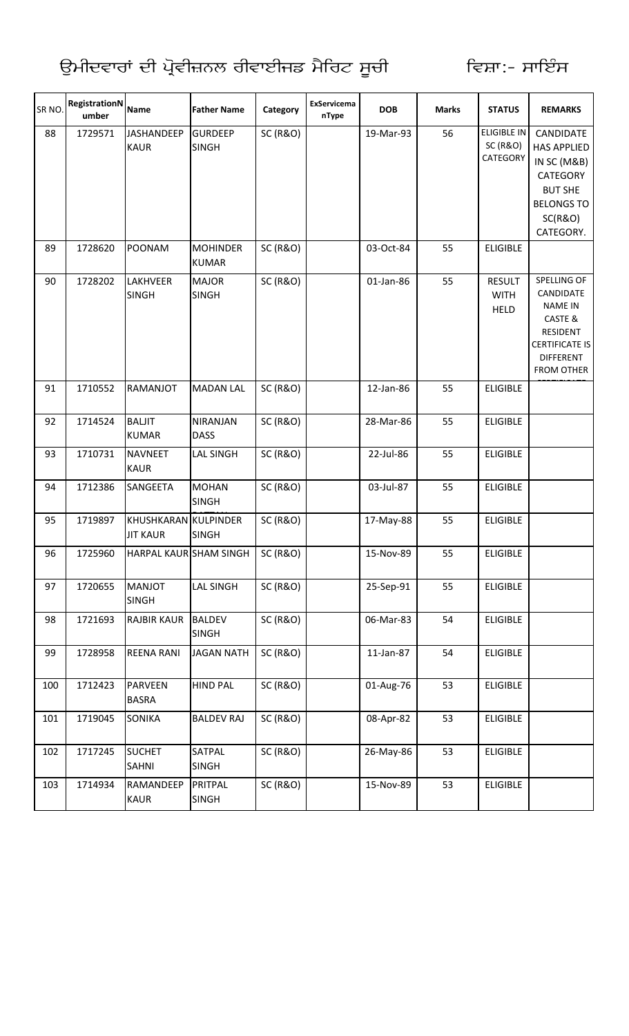| SR NO. | <b>RegistrationN</b><br>umber | <b>Name</b>                             | <b>Father Name</b>              | Category            | ExServicema<br>nType | <b>DOB</b> | <b>Marks</b> | <b>STATUS</b>                                         | <b>REMARKS</b>                                                                                                                             |
|--------|-------------------------------|-----------------------------------------|---------------------------------|---------------------|----------------------|------------|--------------|-------------------------------------------------------|--------------------------------------------------------------------------------------------------------------------------------------------|
| 88     | 1729571                       | <b>JASHANDEEP</b><br><b>KAUR</b>        | <b>GURDEEP</b><br><b>SINGH</b>  | <b>SC (R&amp;O)</b> |                      | 19-Mar-93  | 56           | <b>ELIGIBLE IN</b><br><b>SC (R&amp;O)</b><br>CATEGORY | CANDIDATE<br><b>HAS APPLIED</b><br>IN SC (M&B)<br><b>CATEGORY</b><br><b>BUT SHE</b><br><b>BELONGS TO</b><br>SC(R&O)<br>CATEGORY.           |
| 89     | 1728620                       | POONAM                                  | <b>MOHINDER</b><br><b>KUMAR</b> | <b>SC (R&amp;O)</b> |                      | 03-Oct-84  | 55           | <b>ELIGIBLE</b>                                       |                                                                                                                                            |
| 90     | 1728202                       | LAKHVEER<br><b>SINGH</b>                | <b>MAJOR</b><br><b>SINGH</b>    | <b>SC (R&amp;O)</b> |                      | 01-Jan-86  | 55           | <b>RESULT</b><br><b>WITH</b><br><b>HELD</b>           | SPELLING OF<br>CANDIDATE<br><b>NAME IN</b><br>CASTE &<br><b>RESIDENT</b><br><b>CERTIFICATE IS</b><br><b>DIFFERENT</b><br><b>FROM OTHER</b> |
| 91     | 1710552                       | RAMANJOT                                | <b>MADAN LAL</b>                | <b>SC (R&amp;O)</b> |                      | 12-Jan-86  | 55           | <b>ELIGIBLE</b>                                       |                                                                                                                                            |
| 92     | 1714524                       | <b>BALJIT</b><br><b>KUMAR</b>           | <b>NIRANJAN</b><br><b>DASS</b>  | <b>SC (R&amp;O)</b> |                      | 28-Mar-86  | 55           | <b>ELIGIBLE</b>                                       |                                                                                                                                            |
| 93     | 1710731                       | <b>NAVNEET</b><br><b>KAUR</b>           | <b>LAL SINGH</b>                | <b>SC (R&amp;O)</b> |                      | 22-Jul-86  | 55           | <b>ELIGIBLE</b>                                       |                                                                                                                                            |
| 94     | 1712386                       | SANGEETA                                | <b>MOHAN</b><br><b>SINGH</b>    | <b>SC (R&amp;O)</b> |                      | 03-Jul-87  | 55           | <b>ELIGIBLE</b>                                       |                                                                                                                                            |
| 95     | 1719897                       | KHUSHKARAN KULPINDER<br><b>JIT KAUR</b> | <b>SINGH</b>                    | <b>SC (R&amp;O)</b> |                      | 17-May-88  | 55           | <b>ELIGIBLE</b>                                       |                                                                                                                                            |
| 96     |                               | 1725960 HARPAL KAUR SHAM SINGH SC (R&O) |                                 |                     |                      | 15-Nov-89  | 55           | <b>ELIGIBLE</b>                                       |                                                                                                                                            |
| 97     | 1720655                       | <b>MANJOT</b><br><b>SINGH</b>           | <b>LAL SINGH</b>                | <b>SC (R&amp;O)</b> |                      | 25-Sep-91  | 55           | <b>ELIGIBLE</b>                                       |                                                                                                                                            |
| 98     | 1721693                       | <b>RAJBIR KAUR</b>                      | <b>BALDEV</b><br><b>SINGH</b>   | <b>SC (R&amp;O)</b> |                      | 06-Mar-83  | 54           | <b>ELIGIBLE</b>                                       |                                                                                                                                            |
| 99     | 1728958                       | <b>REENA RANI</b>                       | <b>JAGAN NATH</b>               | <b>SC (R&amp;O)</b> |                      | 11-Jan-87  | 54           | <b>ELIGIBLE</b>                                       |                                                                                                                                            |
| 100    | 1712423                       | PARVEEN<br><b>BASRA</b>                 | <b>HIND PAL</b>                 | <b>SC (R&amp;O)</b> |                      | 01-Aug-76  | 53           | <b>ELIGIBLE</b>                                       |                                                                                                                                            |
| 101    | 1719045                       | <b>SONIKA</b>                           | <b>BALDEV RAJ</b>               | <b>SC (R&amp;O)</b> |                      | 08-Apr-82  | 53           | <b>ELIGIBLE</b>                                       |                                                                                                                                            |
| 102    | 1717245                       | <b>SUCHET</b><br>SAHNI                  | SATPAL<br><b>SINGH</b>          | <b>SC (R&amp;O)</b> |                      | 26-May-86  | 53           | <b>ELIGIBLE</b>                                       |                                                                                                                                            |
| 103    | 1714934                       | RAMANDEEP<br><b>KAUR</b>                | PRITPAL<br><b>SINGH</b>         | <b>SC (R&amp;O)</b> |                      | 15-Nov-89  | 53           | <b>ELIGIBLE</b>                                       |                                                                                                                                            |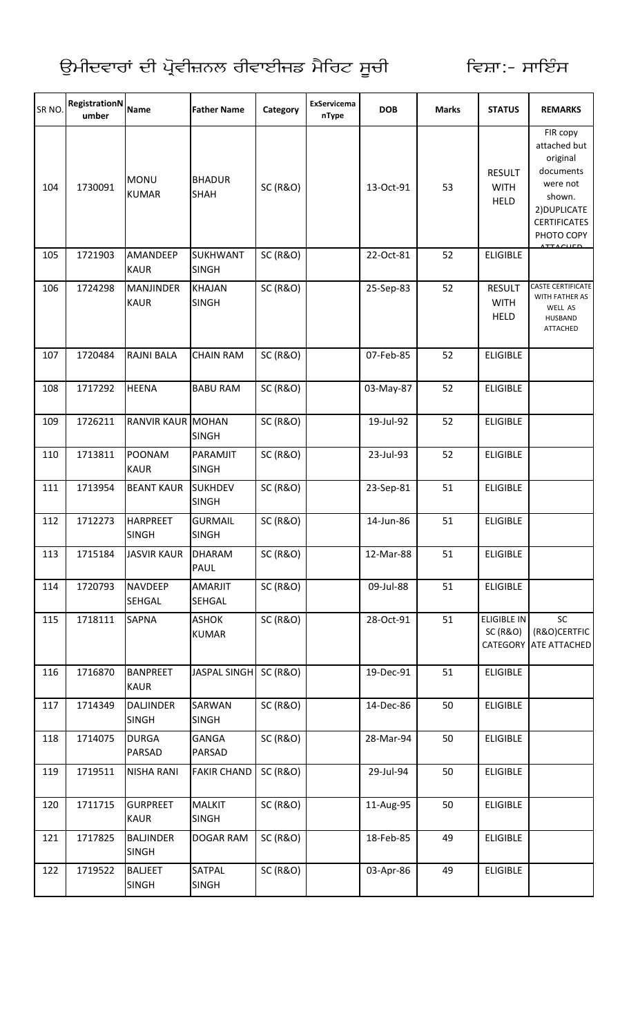| SR NO. | <b>RegistrationN</b><br>umber | <b>Name</b>                      | <b>Father Name</b>              | Category            | ExServicema<br>nType | <b>DOB</b> | <b>Marks</b> | <b>STATUS</b>                                         | <b>REMARKS</b>                                                                                                               |
|--------|-------------------------------|----------------------------------|---------------------------------|---------------------|----------------------|------------|--------------|-------------------------------------------------------|------------------------------------------------------------------------------------------------------------------------------|
| 104    | 1730091                       | <b>MONU</b><br><b>KUMAR</b>      | <b>BHADUR</b><br><b>SHAH</b>    | <b>SC (R&amp;O)</b> |                      | 13-Oct-91  | 53           | <b>RESULT</b><br><b>WITH</b><br><b>HELD</b>           | FIR copy<br>attached but<br>original<br>documents<br>were not<br>shown.<br>2) DUPLICATE<br><b>CERTIFICATES</b><br>PHOTO COPY |
| 105    | 1721903                       | AMANDEEP<br><b>KAUR</b>          | <b>SUKHWANT</b><br><b>SINGH</b> | <b>SC (R&amp;O)</b> |                      | 22-Oct-81  | 52           | <b>ELIGIBLE</b>                                       | <b>ATTACUED</b>                                                                                                              |
| 106    | 1724298                       | <b>MANJINDER</b><br><b>KAUR</b>  | <b>KHAJAN</b><br><b>SINGH</b>   | <b>SC (R&amp;O)</b> |                      | 25-Sep-83  | 52           | <b>RESULT</b><br><b>WITH</b><br><b>HELD</b>           | <b>CASTE CERTIFICATE</b><br>WITH FATHER AS<br>WELL AS<br><b>HUSBAND</b><br>ATTACHED                                          |
| 107    | 1720484                       | <b>RAJNI BALA</b>                | <b>CHAIN RAM</b>                | <b>SC (R&amp;O)</b> |                      | 07-Feb-85  | 52           | <b>ELIGIBLE</b>                                       |                                                                                                                              |
| 108    | 1717292                       | <b>HEENA</b>                     | <b>BABU RAM</b>                 | <b>SC (R&amp;O)</b> |                      | 03-May-87  | 52           | <b>ELIGIBLE</b>                                       |                                                                                                                              |
| 109    | 1726211                       | <b>RANVIR KAUR MOHAN</b>         | <b>SINGH</b>                    | <b>SC (R&amp;O)</b> |                      | 19-Jul-92  | 52           | <b>ELIGIBLE</b>                                       |                                                                                                                              |
| 110    | 1713811                       | POONAM<br><b>KAUR</b>            | PARAMJIT<br><b>SINGH</b>        | <b>SC (R&amp;O)</b> |                      | 23-Jul-93  | 52           | <b>ELIGIBLE</b>                                       |                                                                                                                              |
| 111    | 1713954                       | <b>BEANT KAUR</b>                | <b>SUKHDEV</b><br><b>SINGH</b>  | <b>SC (R&amp;O)</b> |                      | 23-Sep-81  | 51           | <b>ELIGIBLE</b>                                       |                                                                                                                              |
| 112    | 1712273                       | <b>HARPREET</b><br><b>SINGH</b>  | <b>GURMAIL</b><br><b>SINGH</b>  | <b>SC (R&amp;O)</b> |                      | 14-Jun-86  | 51           | <b>ELIGIBLE</b>                                       |                                                                                                                              |
| 113    | 1715184                       | <b>JASVIR KAUR</b>               | <b>DHARAM</b><br><b>PAUL</b>    | <b>SC (R&amp;O)</b> |                      | 12-Mar-88  | 51           | ELIGIBLE                                              |                                                                                                                              |
| 114    | 1720793                       | <b>NAVDEEP</b><br><b>SEHGAL</b>  | AMARJIT<br>SEHGAL               | <b>SC (R&amp;O)</b> |                      | 09-Jul-88  | 51           | <b>ELIGIBLE</b>                                       |                                                                                                                              |
| 115    | 1718111                       | <b>SAPNA</b>                     | <b>ASHOK</b><br><b>KUMAR</b>    | <b>SC (R&amp;O)</b> |                      | 28-Oct-91  | 51           | <b>ELIGIBLE IN</b><br><b>SC (R&amp;O)</b><br>CATEGORY | SC<br>(R&O)CERTFIC<br>ATE ATTACHED                                                                                           |
| 116    | 1716870                       | <b>BANPREET</b><br><b>KAUR</b>   | <b>JASPAL SINGH</b>             | <b>SC (R&amp;O)</b> |                      | 19-Dec-91  | 51           | <b>ELIGIBLE</b>                                       |                                                                                                                              |
| 117    | 1714349                       | <b>DALJINDER</b><br><b>SINGH</b> | SARWAN<br><b>SINGH</b>          | <b>SC (R&amp;O)</b> |                      | 14-Dec-86  | 50           | <b>ELIGIBLE</b>                                       |                                                                                                                              |
| 118    | 1714075                       | <b>DURGA</b><br><b>PARSAD</b>    | GANGA<br><b>PARSAD</b>          | <b>SC (R&amp;O)</b> |                      | 28-Mar-94  | 50           | <b>ELIGIBLE</b>                                       |                                                                                                                              |
| 119    | 1719511                       | <b>NISHA RANI</b>                | <b>FAKIR CHAND</b>              | <b>SC (R&amp;O)</b> |                      | 29-Jul-94  | 50           | <b>ELIGIBLE</b>                                       |                                                                                                                              |
| 120    | 1711715                       | <b>GURPREET</b><br><b>KAUR</b>   | <b>MALKIT</b><br><b>SINGH</b>   | <b>SC (R&amp;O)</b> |                      | 11-Aug-95  | 50           | <b>ELIGIBLE</b>                                       |                                                                                                                              |
| 121    | 1717825                       | <b>BALJINDER</b><br><b>SINGH</b> | <b>DOGAR RAM</b>                | <b>SC (R&amp;O)</b> |                      | 18-Feb-85  | 49           | <b>ELIGIBLE</b>                                       |                                                                                                                              |
| 122    | 1719522                       | <b>BALJEET</b><br><b>SINGH</b>   | SATPAL<br><b>SINGH</b>          | <b>SC (R&amp;O)</b> |                      | 03-Apr-86  | 49           | <b>ELIGIBLE</b>                                       |                                                                                                                              |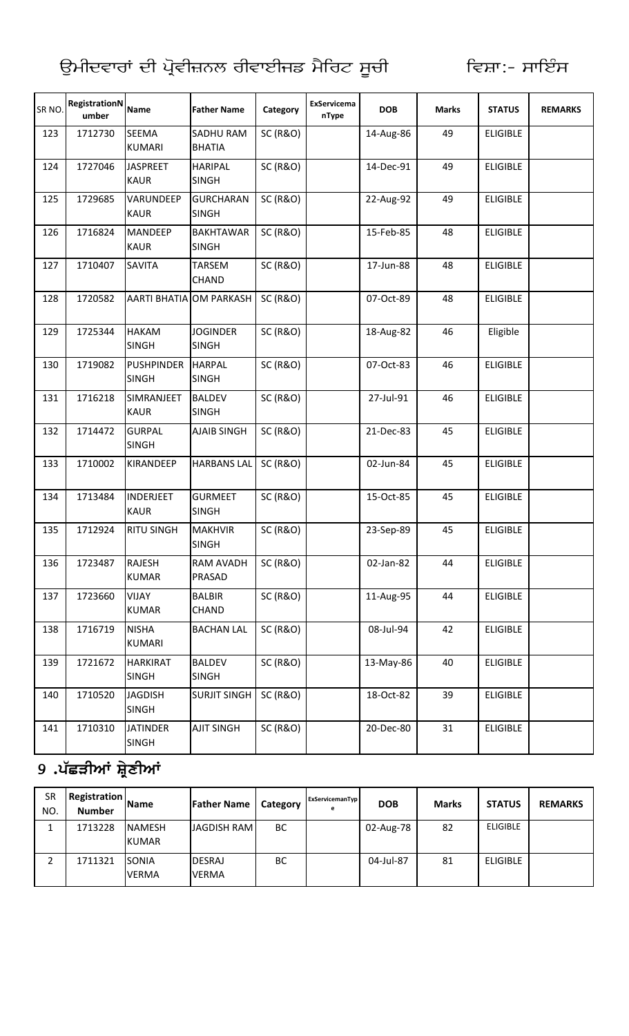| SR NO. | RegistrationN<br>umber | <b>Name</b>                       | <b>Father Name</b>                | Category            | ExServicema<br>nType | <b>DOB</b> | <b>Marks</b> | <b>STATUS</b>   | <b>REMARKS</b> |
|--------|------------------------|-----------------------------------|-----------------------------------|---------------------|----------------------|------------|--------------|-----------------|----------------|
| 123    | 1712730                | <b>SEEMA</b><br><b>KUMARI</b>     | <b>SADHU RAM</b><br><b>BHATIA</b> | <b>SC (R&amp;O)</b> |                      | 14-Aug-86  | 49           | <b>ELIGIBLE</b> |                |
| 124    | 1727046                | <b>JASPREET</b><br><b>KAUR</b>    | <b>HARIPAL</b><br><b>SINGH</b>    | <b>SC (R&amp;O)</b> |                      | 14-Dec-91  | 49           | <b>ELIGIBLE</b> |                |
| 125    | 1729685                | VARUNDEEP<br><b>KAUR</b>          | <b>GURCHARAN</b><br><b>SINGH</b>  | <b>SC (R&amp;O)</b> |                      | 22-Aug-92  | 49           | <b>ELIGIBLE</b> |                |
| 126    | 1716824                | <b>MANDEEP</b><br><b>KAUR</b>     | <b>BAKHTAWAR</b><br><b>SINGH</b>  | <b>SC (R&amp;O)</b> |                      | 15-Feb-85  | 48           | <b>ELIGIBLE</b> |                |
| 127    | 1710407                | <b>SAVITA</b>                     | TARSEM<br><b>CHAND</b>            | <b>SC (R&amp;O)</b> |                      | 17-Jun-88  | 48           | <b>ELIGIBLE</b> |                |
| 128    | 1720582                | AARTI BHATIA OM PARKASH           |                                   | <b>SC (R&amp;O)</b> |                      | 07-Oct-89  | 48           | <b>ELIGIBLE</b> |                |
| 129    | 1725344                | <b>HAKAM</b><br><b>SINGH</b>      | <b>JOGINDER</b><br><b>SINGH</b>   | <b>SC (R&amp;O)</b> |                      | 18-Aug-82  | 46           | Eligible        |                |
| 130    | 1719082                | <b>PUSHPINDER</b><br><b>SINGH</b> | <b>HARPAL</b><br><b>SINGH</b>     | <b>SC (R&amp;O)</b> |                      | 07-Oct-83  | 46           | <b>ELIGIBLE</b> |                |
| 131    | 1716218                | SIMRANJEET<br><b>KAUR</b>         | <b>BALDEV</b><br><b>SINGH</b>     | <b>SC (R&amp;O)</b> |                      | 27-Jul-91  | 46           | <b>ELIGIBLE</b> |                |
| 132    | 1714472                | <b>GURPAL</b><br><b>SINGH</b>     | <b>AJAIB SINGH</b>                | <b>SC (R&amp;O)</b> |                      | 21-Dec-83  | 45           | <b>ELIGIBLE</b> |                |
| 133    | 1710002                | KIRANDEEP                         | <b>HARBANS LAL</b>                | <b>SC (R&amp;O)</b> |                      | 02-Jun-84  | 45           | <b>ELIGIBLE</b> |                |
| 134    | 1713484                | <b>INDERJEET</b><br><b>KAUR</b>   | <b>GURMEET</b><br><b>SINGH</b>    | <b>SC (R&amp;O)</b> |                      | 15-Oct-85  | 45           | <b>ELIGIBLE</b> |                |
| 135    | 1712924                | <b>RITU SINGH</b>                 | <b>MAKHVIR</b><br><b>SINGH</b>    | <b>SC (R&amp;O)</b> |                      | 23-Sep-89  | 45           | <b>ELIGIBLE</b> |                |
| 136    | 1723487                | <b>RAJESH</b><br><b>KUMAR</b>     | RAM AVADH<br>PRASAD               | <b>SC (R&amp;O)</b> |                      | 02-Jan-82  | 44           | <b>ELIGIBLE</b> |                |
| 137    | 1723660                | <b>VIJAY</b><br><b>KUMAR</b>      | <b>BALBIR</b><br>CHAND            | <b>SC (R&amp;O)</b> |                      | 11-Aug-95  | 44           | <b>ELIGIBLE</b> |                |
| 138    | 1716719                | <b>NISHA</b><br>KUMARI            | <b>BACHAN LAL</b>                 | <b>SC (R&amp;O)</b> |                      | 08-Jul-94  | 42           | <b>ELIGIBLE</b> |                |
| 139    | 1721672                | <b>HARKIRAT</b><br><b>SINGH</b>   | <b>BALDEV</b><br><b>SINGH</b>     | <b>SC (R&amp;O)</b> |                      | 13-May-86  | 40           | <b>ELIGIBLE</b> |                |
| 140    | 1710520                | <b>JAGDISH</b><br><b>SINGH</b>    | <b>SURJIT SINGH</b>               | <b>SC (R&amp;O)</b> |                      | 18-Oct-82  | 39           | <b>ELIGIBLE</b> |                |
| 141    | 1710310                | <b>JATINDER</b><br><b>SINGH</b>   | <b>AJIT SINGH</b>                 | <b>SC (R&amp;O)</b> |                      | 20-Dec-80  | 31           | <b>ELIGIBLE</b> |                |

## 9 .ਪੱਛੜੀਆਂ ਸ਼੍ਰੇਣੀਆਂ

| <b>SR</b><br>NO. | <b>Registration</b><br><b>Number</b> | <b>Name</b>                   | <b>Father Name</b>            | Category  | ExServicemanTyp<br>е | <b>DOB</b> | <b>Marks</b> | <b>STATUS</b>   | <b>REMARKS</b> |
|------------------|--------------------------------------|-------------------------------|-------------------------------|-----------|----------------------|------------|--------------|-----------------|----------------|
|                  | 1713228                              | <b>NAMESH</b><br><b>KUMAR</b> | <b>JAGDISH RAMI</b>           | <b>BC</b> |                      | 02-Aug-78  | 82           | <b>ELIGIBLE</b> |                |
|                  | 1711321                              | <b>SONIA</b><br><b>VERMA</b>  | <b>DESRAJ</b><br><b>VERMA</b> | BC        |                      | 04-Jul-87  | 81           | <b>ELIGIBLE</b> |                |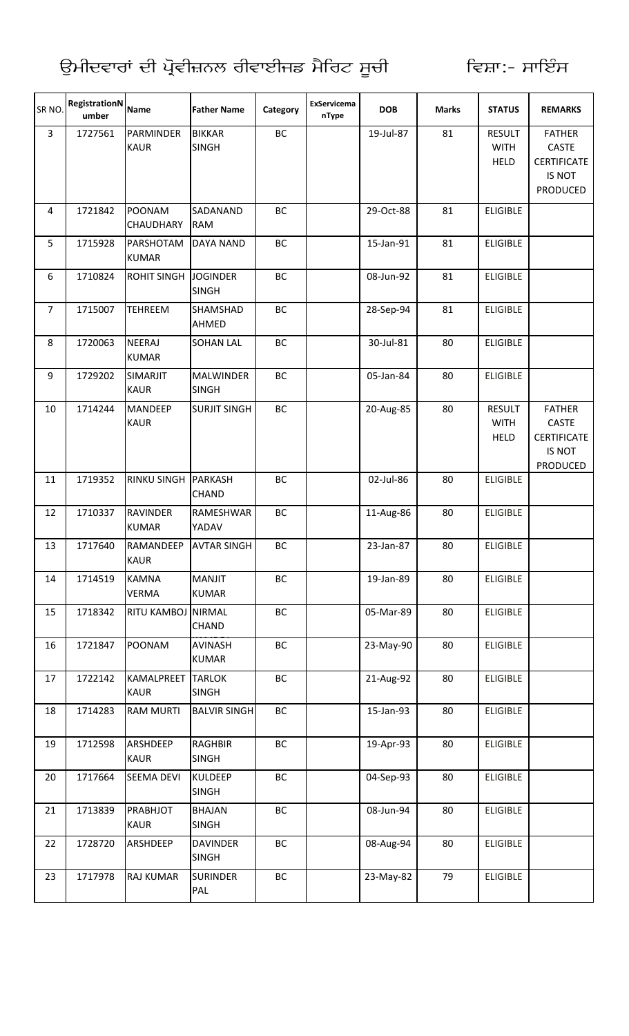| SR NO.         | RegistrationN<br>umber | <b>Name</b>                     | <b>Father Name</b>               | Category  | ExServicema<br>nType | <b>DOB</b> | <b>Marks</b> | <b>STATUS</b>                               | <b>REMARKS</b>                                                            |
|----------------|------------------------|---------------------------------|----------------------------------|-----------|----------------------|------------|--------------|---------------------------------------------|---------------------------------------------------------------------------|
| $\overline{3}$ | 1727561                | PARMINDER<br><b>KAUR</b>        | <b>BIKKAR</b><br><b>SINGH</b>    | BC        |                      | 19-Jul-87  | 81           | <b>RESULT</b><br><b>WITH</b><br><b>HELD</b> | <b>FATHER</b><br><b>CASTE</b><br><b>CERTIFICATE</b><br>IS NOT<br>PRODUCED |
| $\overline{4}$ | 1721842                | <b>POONAM</b><br>CHAUDHARY      | SADANAND<br><b>RAM</b>           | BC        |                      | 29-Oct-88  | 81           | <b>ELIGIBLE</b>                             |                                                                           |
| 5              | 1715928                | PARSHOTAM<br><b>KUMAR</b>       | <b>DAYA NAND</b>                 | BC        |                      | 15-Jan-91  | 81           | <b>ELIGIBLE</b>                             |                                                                           |
| 6              | 1710824                | <b>ROHIT SINGH</b>              | <b>JOGINDER</b><br><b>SINGH</b>  | BC        |                      | 08-Jun-92  | 81           | <b>ELIGIBLE</b>                             |                                                                           |
| $\overline{7}$ | 1715007                | <b>TEHREEM</b>                  | SHAMSHAD<br>AHMED                | BC        |                      | 28-Sep-94  | 81           | <b>ELIGIBLE</b>                             |                                                                           |
| 8              | 1720063                | <b>NEERAJ</b><br><b>KUMAR</b>   | <b>SOHAN LAL</b>                 | BC        |                      | 30-Jul-81  | 80           | <b>ELIGIBLE</b>                             |                                                                           |
| 9              | 1729202                | SIMARJIT<br><b>KAUR</b>         | <b>MALWINDER</b><br><b>SINGH</b> | BC        |                      | 05-Jan-84  | 80           | <b>ELIGIBLE</b>                             |                                                                           |
| 10             | 1714244                | <b>MANDEEP</b><br><b>KAUR</b>   | <b>SURJIT SINGH</b>              | <b>BC</b> |                      | 20-Aug-85  | 80           | <b>RESULT</b><br><b>WITH</b><br><b>HELD</b> | <b>FATHER</b><br>CASTE<br><b>CERTIFICATE</b><br>IS NOT<br><b>PRODUCED</b> |
| 11             | 1719352                | <b>RINKU SINGH</b>              | <b>PARKASH</b><br><b>CHAND</b>   | BC        |                      | 02-Jul-86  | 80           | <b>ELIGIBLE</b>                             |                                                                           |
| 12             | 1710337                | <b>RAVINDER</b><br><b>KUMAR</b> | <b>RAMESHWAR</b><br>YADAV        | BC        |                      | 11-Aug-86  | 80           | <b>ELIGIBLE</b>                             |                                                                           |
| 13             | 1717640                | <b>RAMANDEEP</b><br><b>KAUR</b> | <b>AVTAR SINGH</b>               | BC        |                      | 23-Jan-87  | 80           | <b>ELIGIBLE</b>                             |                                                                           |
| 14             | 1714519                | <b>KAMNA</b><br><b>VERMA</b>    | <b>MANJIT</b><br><b>KUMAR</b>    | BC        |                      | 19-Jan-89  | 80           | <b>ELIGIBLE</b>                             |                                                                           |
| 15             | 1718342                | RITU KAMBOJ NIRMAL              | <b>CHAND</b>                     | BC        |                      | 05-Mar-89  | 80           | <b>ELIGIBLE</b>                             |                                                                           |
| 16             | 1721847                | POONAM                          | <b>AVINASH</b><br><b>KUMAR</b>   | BC        |                      | 23-May-90  | 80           | <b>ELIGIBLE</b>                             |                                                                           |
| 17             | 1722142                | KAMALPREET<br><b>KAUR</b>       | <b>TARLOK</b><br><b>SINGH</b>    | BC        |                      | 21-Aug-92  | 80           | <b>ELIGIBLE</b>                             |                                                                           |
| 18             | 1714283                | <b>RAM MURTI</b>                | <b>BALVIR SINGH</b>              | BC        |                      | 15-Jan-93  | 80           | <b>ELIGIBLE</b>                             |                                                                           |
| 19             | 1712598                | ARSHDEEP<br><b>KAUR</b>         | <b>RAGHBIR</b><br><b>SINGH</b>   | ВC        |                      | 19-Apr-93  | 80           | <b>ELIGIBLE</b>                             |                                                                           |
| 20             | 1717664                | <b>SEEMA DEVI</b>               | <b>KULDEEP</b><br><b>SINGH</b>   | BC        |                      | 04-Sep-93  | 80           | <b>ELIGIBLE</b>                             |                                                                           |
| 21             | 1713839                | PRABHJOT<br><b>KAUR</b>         | <b>BHAJAN</b><br><b>SINGH</b>    | BC        |                      | 08-Jun-94  | 80           | <b>ELIGIBLE</b>                             |                                                                           |
| 22             | 1728720                | ARSHDEEP                        | <b>DAVINDER</b><br><b>SINGH</b>  | ВC        |                      | 08-Aug-94  | 80           | <b>ELIGIBLE</b>                             |                                                                           |
| 23             | 1717978                | <b>RAJ KUMAR</b>                | <b>SURINDER</b><br>PAL           | ВC        |                      | 23-May-82  | 79           | <b>ELIGIBLE</b>                             |                                                                           |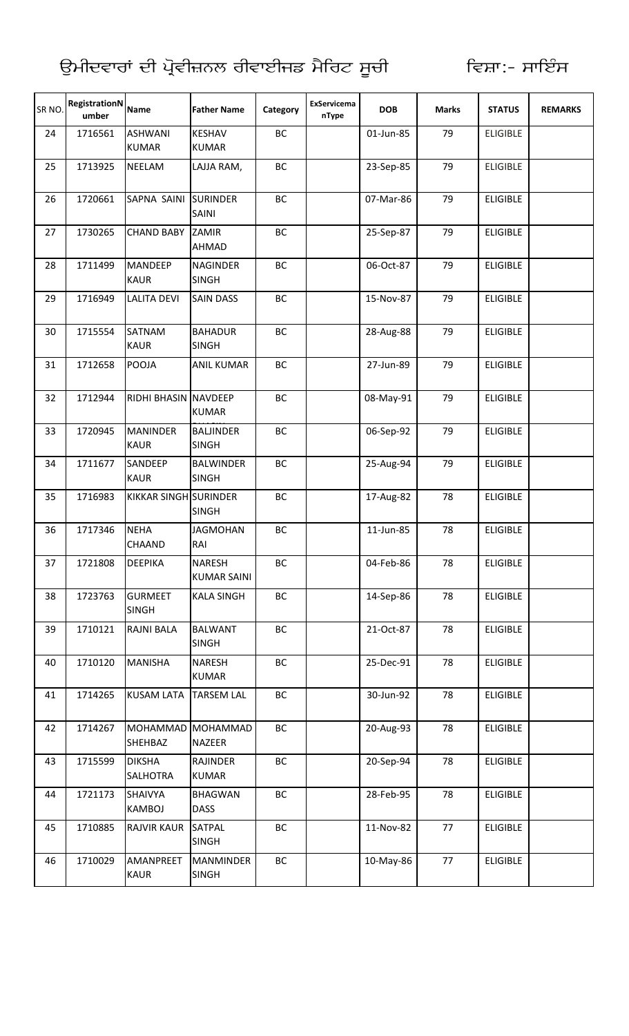| SR NO. | <b>RegistrationN</b><br>umber | <b>Name</b>                    | <b>Father Name</b>               | Category  | ExServicema<br>nType | <b>DOB</b> | <b>Marks</b> | <b>STATUS</b>   | <b>REMARKS</b> |
|--------|-------------------------------|--------------------------------|----------------------------------|-----------|----------------------|------------|--------------|-----------------|----------------|
| 24     | 1716561                       | <b>ASHWANI</b><br><b>KUMAR</b> | <b>KESHAV</b><br><b>KUMAR</b>    | BC        |                      | 01-Jun-85  | 79           | <b>ELIGIBLE</b> |                |
| 25     | 1713925                       | <b>NEELAM</b>                  | LAJJA RAM,                       | BC        |                      | 23-Sep-85  | 79           | <b>ELIGIBLE</b> |                |
| 26     | 1720661                       | SAPNA SAINI                    | <b>SURINDER</b><br>SAINI         | <b>BC</b> |                      | 07-Mar-86  | 79           | <b>ELIGIBLE</b> |                |
| 27     | 1730265                       | <b>CHAND BABY</b>              | ZAMIR<br>AHMAD                   | BC        |                      | 25-Sep-87  | 79           | <b>ELIGIBLE</b> |                |
| 28     | 1711499                       | <b>MANDEEP</b><br><b>KAUR</b>  | <b>NAGINDER</b><br><b>SINGH</b>  | BC        |                      | 06-Oct-87  | 79           | <b>ELIGIBLE</b> |                |
| 29     | 1716949                       | <b>LALITA DEVI</b>             | <b>SAIN DASS</b>                 | <b>BC</b> |                      | 15-Nov-87  | 79           | <b>ELIGIBLE</b> |                |
| 30     | 1715554                       | SATNAM<br><b>KAUR</b>          | <b>BAHADUR</b><br><b>SINGH</b>   | BC        |                      | 28-Aug-88  | 79           | <b>ELIGIBLE</b> |                |
| 31     | 1712658                       | POOJA                          | <b>ANIL KUMAR</b>                | BC        |                      | 27-Jun-89  | 79           | <b>ELIGIBLE</b> |                |
| 32     | 1712944                       | RIDHI BHASIN NAVDEEP           | <b>KUMAR</b>                     | BC        |                      | 08-May-91  | 79           | <b>ELIGIBLE</b> |                |
| 33     | 1720945                       | <b>MANINDER</b><br><b>KAUR</b> | <b>BALJINDER</b><br><b>SINGH</b> | BC        |                      | 06-Sep-92  | 79           | <b>ELIGIBLE</b> |                |
| 34     | 1711677                       | SANDEEP<br><b>KAUR</b>         | <b>BALWINDER</b><br><b>SINGH</b> | BC        |                      | 25-Aug-94  | 79           | <b>ELIGIBLE</b> |                |
| 35     | 1716983                       | <b>KIKKAR SINGH SURINDER</b>   | <b>SINGH</b>                     | BC        |                      | 17-Aug-82  | 78           | <b>ELIGIBLE</b> |                |
| 36     | 1717346                       | <b>NEHA</b><br>CHAAND          | <b>JAGMOHAN</b><br>RAI           | BC        |                      | 11-Jun-85  | 78           | <b>ELIGIBLE</b> |                |
| 37     | 1721808                       | DEEPIKA                        | NARESH<br><b>KUMAR SAINI</b>     | ВC        |                      | 04-Feb-86  | 78           | <b>ELIGIBLE</b> |                |
| 38     | 1723763                       | <b>GURMEET</b><br><b>SINGH</b> | <b>KALA SINGH</b>                | ВC        |                      | 14-Sep-86  | 78           | <b>ELIGIBLE</b> |                |
| 39     | 1710121                       | RAJNI BALA                     | <b>BALWANT</b><br><b>SINGH</b>   | BC        |                      | 21-Oct-87  | 78           | <b>ELIGIBLE</b> |                |
| 40     | 1710120                       | <b>MANISHA</b>                 | NARESH<br><b>KUMAR</b>           | BC        |                      | 25-Dec-91  | 78           | <b>ELIGIBLE</b> |                |
| 41     | 1714265                       | <b>KUSAM LATA</b>              | <b>TARSEM LAL</b>                | ВC        |                      | 30-Jun-92  | 78           | <b>ELIGIBLE</b> |                |
| 42     | 1714267                       | MOHAMMAD<br>SHEHBAZ            | <b>MOHAMMAD</b><br>NAZEER        | BC        |                      | 20-Aug-93  | 78           | <b>ELIGIBLE</b> |                |
| 43     | 1715599                       | <b>DIKSHA</b><br>SALHOTRA      | RAJINDER<br><b>KUMAR</b>         | BC        |                      | 20-Sep-94  | 78           | <b>ELIGIBLE</b> |                |
| 44     | 1721173                       | SHAIVYA<br>KAMBOJ              | <b>BHAGWAN</b><br><b>DASS</b>    | BC        |                      | 28-Feb-95  | 78           | <b>ELIGIBLE</b> |                |
| 45     | 1710885                       | <b>RAJVIR KAUR</b>             | <b>SATPAL</b><br><b>SINGH</b>    | BC        |                      | 11-Nov-82  | 77           | <b>ELIGIBLE</b> |                |
| 46     | 1710029                       | AMANPREET<br>KAUR              | <b>MANMINDER</b><br><b>SINGH</b> | ВC        |                      | 10-May-86  | 77           | <b>ELIGIBLE</b> |                |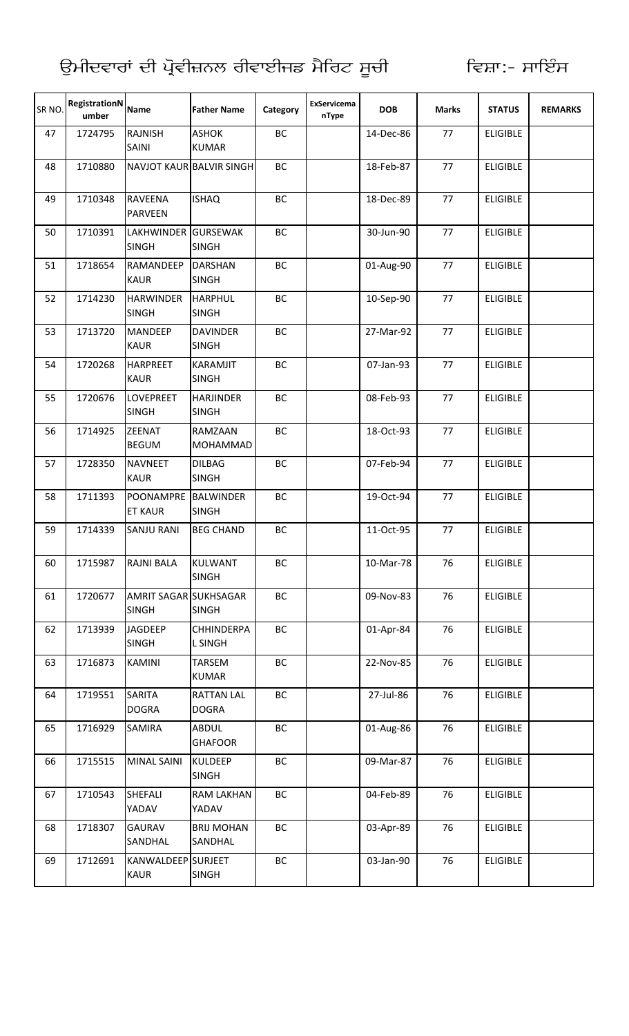| SR <sub>NO</sub> | <b>RegistrationN</b><br>umber | Name                                  | <b>Father Name</b>                | Category | ExServicema<br>nType | <b>DOB</b> | <b>Marks</b> | <b>STATUS</b>   | <b>REMARKS</b> |
|------------------|-------------------------------|---------------------------------------|-----------------------------------|----------|----------------------|------------|--------------|-----------------|----------------|
| 47               | 1724795                       | <b>RAJNISH</b><br>SAINI               | <b>ASHOK</b><br><b>KUMAR</b>      | BC       |                      | 14-Dec-86  | 77           | <b>ELIGIBLE</b> |                |
| 48               | 1710880                       |                                       | NAVJOT KAUR BALVIR SINGH          | BC       |                      | 18-Feb-87  | 77           | <b>ELIGIBLE</b> |                |
| 49               | 1710348                       | <b>RAVEENA</b><br><b>PARVEEN</b>      | <b>ISHAQ</b>                      | BC       |                      | 18-Dec-89  | 77           | <b>ELIGIBLE</b> |                |
| 50               | 1710391                       | LAKHWINDER GURSEWAK<br><b>SINGH</b>   | <b>SINGH</b>                      | BC       |                      | 30-Jun-90  | 77           | <b>ELIGIBLE</b> |                |
| 51               | 1718654                       | <b>RAMANDEEP</b><br><b>KAUR</b>       | <b>DARSHAN</b><br><b>SINGH</b>    | BC       |                      | 01-Aug-90  | 77           | <b>ELIGIBLE</b> |                |
| 52               | 1714230                       | <b>HARWINDER</b><br><b>SINGH</b>      | <b>HARPHUL</b><br><b>SINGH</b>    | BC       |                      | 10-Sep-90  | 77           | <b>ELIGIBLE</b> |                |
| 53               | 1713720                       | <b>MANDEEP</b><br><b>KAUR</b>         | <b>DAVINDER</b><br><b>SINGH</b>   | BC       |                      | 27-Mar-92  | 77           | <b>ELIGIBLE</b> |                |
| 54               | 1720268                       | <b>HARPREET</b><br><b>KAUR</b>        | KARAMJIT<br><b>SINGH</b>          | BC       |                      | 07-Jan-93  | 77           | <b>ELIGIBLE</b> |                |
| 55               | 1720676                       | <b>LOVEPREET</b><br><b>SINGH</b>      | <b>HARJINDER</b><br><b>SINGH</b>  | BC       |                      | 08-Feb-93  | 77           | <b>ELIGIBLE</b> |                |
| 56               | 1714925                       | <b>ZEENAT</b><br><b>BEGUM</b>         | <b>RAMZAAN</b><br><b>MOHAMMAD</b> | BC       |                      | 18-Oct-93  | 77           | <b>ELIGIBLE</b> |                |
| 57               | 1728350                       | <b>NAVNEET</b><br><b>KAUR</b>         | <b>DILBAG</b><br><b>SINGH</b>     | BC       |                      | 07-Feb-94  | 77           | <b>ELIGIBLE</b> |                |
| 58               | 1711393                       | POONAMPRE BALWINDER<br><b>ET KAUR</b> | <b>SINGH</b>                      | BC       |                      | 19-Oct-94  | 77           | <b>ELIGIBLE</b> |                |
| 59               | 1714339                       | <b>SANJU RANI</b>                     | <b>BEG CHAND</b>                  | BC       |                      | 11-Oct-95  | 77           | <b>ELIGIBLE</b> |                |
| 60               | 1715987                       | <b>RAJNI BALA</b>                     | <b>KULWANT</b><br><b>SINGH</b>    | ВC       |                      | 10-Mar-78  | 76           | <b>ELIGIBLE</b> |                |
| 61               | 1720677                       | AMRIT SAGAR SUKHSAGAR<br><b>SINGH</b> | <b>SINGH</b>                      | ВC       |                      | 09-Nov-83  | 76           | <b>ELIGIBLE</b> |                |
| 62               | 1713939                       | <b>JAGDEEP</b><br><b>SINGH</b>        | <b>CHHINDERPA</b><br>L SINGH      | BC       |                      | 01-Apr-84  | 76           | <b>ELIGIBLE</b> |                |
| 63               | 1716873                       | <b>KAMINI</b>                         | TARSEM<br><b>KUMAR</b>            | BC       |                      | 22-Nov-85  | 76           | <b>ELIGIBLE</b> |                |
| 64               | 1719551                       | <b>SARITA</b><br><b>DOGRA</b>         | <b>RATTAN LAL</b><br><b>DOGRA</b> | BC       |                      | 27-Jul-86  | 76           | <b>ELIGIBLE</b> |                |
| 65               | 1716929                       | <b>SAMIRA</b>                         | <b>ABDUL</b><br><b>GHAFOOR</b>    | BC       |                      | 01-Aug-86  | 76           | <b>ELIGIBLE</b> |                |
| 66               | 1715515                       | <b>MINAL SAINI</b>                    | <b>KULDEEP</b><br><b>SINGH</b>    | BC       |                      | 09-Mar-87  | 76           | <b>ELIGIBLE</b> |                |
| 67               | 1710543                       | SHEFALI<br>YADAV                      | <b>RAM LAKHAN</b><br>YADAV        | BC       |                      | 04-Feb-89  | 76           | <b>ELIGIBLE</b> |                |
| 68               | 1718307                       | <b>GAURAV</b><br>SANDHAL              | <b>BRIJ MOHAN</b><br>SANDHAL      | BC       |                      | 03-Apr-89  | 76           | <b>ELIGIBLE</b> |                |
| 69               | 1712691                       | KANWALDEEP SURJEET<br>KAUR            | <b>SINGH</b>                      | BC       |                      | 03-Jan-90  | 76           | <b>ELIGIBLE</b> |                |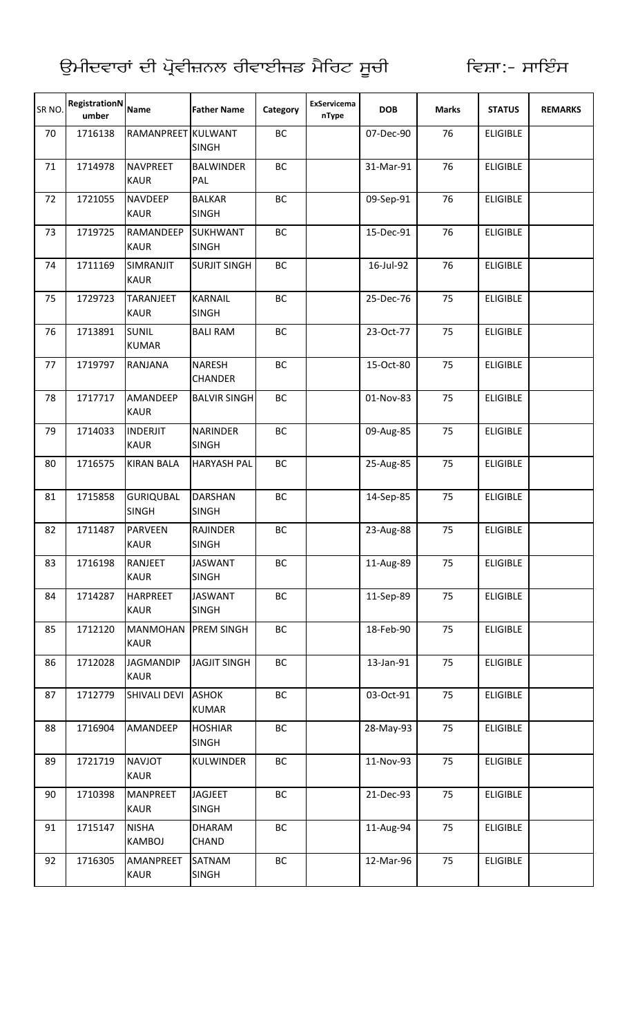| SR NO. | RegistrationN<br>umber | <b>Name</b>                      | <b>Father Name</b>              | Category  | ExServicema<br>nType | <b>DOB</b> | <b>Marks</b> | <b>STATUS</b>   | <b>REMARKS</b> |
|--------|------------------------|----------------------------------|---------------------------------|-----------|----------------------|------------|--------------|-----------------|----------------|
| 70     | 1716138                | RAMANPREET KULWANT               | <b>SINGH</b>                    | BC        |                      | 07-Dec-90  | 76           | <b>ELIGIBLE</b> |                |
| 71     | 1714978                | <b>NAVPREET</b><br><b>KAUR</b>   | <b>BALWINDER</b><br>PAL         | BC        |                      | 31-Mar-91  | 76           | <b>ELIGIBLE</b> |                |
| 72     | 1721055                | <b>NAVDEEP</b><br><b>KAUR</b>    | <b>BALKAR</b><br><b>SINGH</b>   | BC        |                      | 09-Sep-91  | 76           | <b>ELIGIBLE</b> |                |
| 73     | 1719725                | RAMANDEEP<br><b>KAUR</b>         | <b>SUKHWANT</b><br><b>SINGH</b> | BC        |                      | 15-Dec-91  | 76           | <b>ELIGIBLE</b> |                |
| 74     | 1711169                | SIMRANJIT<br><b>KAUR</b>         | <b>SURJIT SINGH</b>             | BC        |                      | 16-Jul-92  | 76           | <b>ELIGIBLE</b> |                |
| 75     | 1729723                | <b>TARANJEET</b><br><b>KAUR</b>  | <b>KARNAIL</b><br><b>SINGH</b>  | <b>BC</b> |                      | 25-Dec-76  | 75           | <b>ELIGIBLE</b> |                |
| 76     | 1713891                | <b>SUNIL</b><br><b>KUMAR</b>     | <b>BALI RAM</b>                 | BC        |                      | 23-Oct-77  | 75           | <b>ELIGIBLE</b> |                |
| 77     | 1719797                | <b>RANJANA</b>                   | NARESH<br><b>CHANDER</b>        | BC        |                      | 15-Oct-80  | 75           | <b>ELIGIBLE</b> |                |
| 78     | 1717717                | <b>AMANDEEP</b><br><b>KAUR</b>   | <b>BALVIR SINGH</b>             | <b>BC</b> |                      | 01-Nov-83  | 75           | <b>ELIGIBLE</b> |                |
| 79     | 1714033                | <b>INDERJIT</b><br><b>KAUR</b>   | <b>NARINDER</b><br><b>SINGH</b> | BC        |                      | 09-Aug-85  | 75           | <b>ELIGIBLE</b> |                |
| 80     | 1716575                | <b>KIRAN BALA</b>                | <b>HARYASH PAL</b>              | BC        |                      | 25-Aug-85  | 75           | <b>ELIGIBLE</b> |                |
| 81     | 1715858                | <b>GURIQUBAL</b><br><b>SINGH</b> | <b>DARSHAN</b><br><b>SINGH</b>  | BC        |                      | 14-Sep-85  | 75           | <b>ELIGIBLE</b> |                |
| 82     | 1711487                | <b>PARVEEN</b><br><b>KAUR</b>    | <b>RAJINDER</b><br><b>SINGH</b> | BC        |                      | 23-Aug-88  | 75           | <b>ELIGIBLE</b> |                |
| 83     | 1716198                | <b>RANJEET</b><br><b>KAUR</b>    | <b>JASWANT</b><br><b>SINGH</b>  | ВC        |                      | 11-Aug-89  | 75           | <b>ELIGIBLE</b> |                |
| 84     | 1714287                | <b>HARPREET</b><br>KAUR          | <b>JASWANT</b><br><b>SINGH</b>  | ВC        |                      | 11-Sep-89  | 75           | <b>ELIGIBLE</b> |                |
| 85     | 1712120                | <b>MANMOHAN</b><br><b>KAUR</b>   | <b>PREM SINGH</b>               | BC        |                      | 18-Feb-90  | 75           | <b>ELIGIBLE</b> |                |
| 86     | 1712028                | <b>JAGMANDIP</b><br><b>KAUR</b>  | <b>JAGJIT SINGH</b>             | BC        |                      | 13-Jan-91  | 75           | <b>ELIGIBLE</b> |                |
| 87     | 1712779                | SHIVALI DEVI                     | <b>ASHOK</b><br><b>KUMAR</b>    | BC        |                      | 03-Oct-91  | 75           | <b>ELIGIBLE</b> |                |
| 88     | 1716904                | AMANDEEP                         | <b>HOSHIAR</b><br><b>SINGH</b>  | BC        |                      | 28-May-93  | 75           | <b>ELIGIBLE</b> |                |
| 89     | 1721719                | <b>NAVJOT</b><br><b>KAUR</b>     | <b>KULWINDER</b>                | BC        |                      | 11-Nov-93  | 75           | <b>ELIGIBLE</b> |                |
| 90     | 1710398                | <b>MANPREET</b><br><b>KAUR</b>   | <b>JAGJEET</b><br><b>SINGH</b>  | ВC        |                      | 21-Dec-93  | 75           | <b>ELIGIBLE</b> |                |
| 91     | 1715147                | <b>NISHA</b><br><b>KAMBOJ</b>    | DHARAM<br><b>CHAND</b>          | BC        |                      | 11-Aug-94  | 75           | <b>ELIGIBLE</b> |                |
| 92     | 1716305                | AMANPREET<br><b>KAUR</b>         | SATNAM<br><b>SINGH</b>          | ВC        |                      | 12-Mar-96  | 75           | <b>ELIGIBLE</b> |                |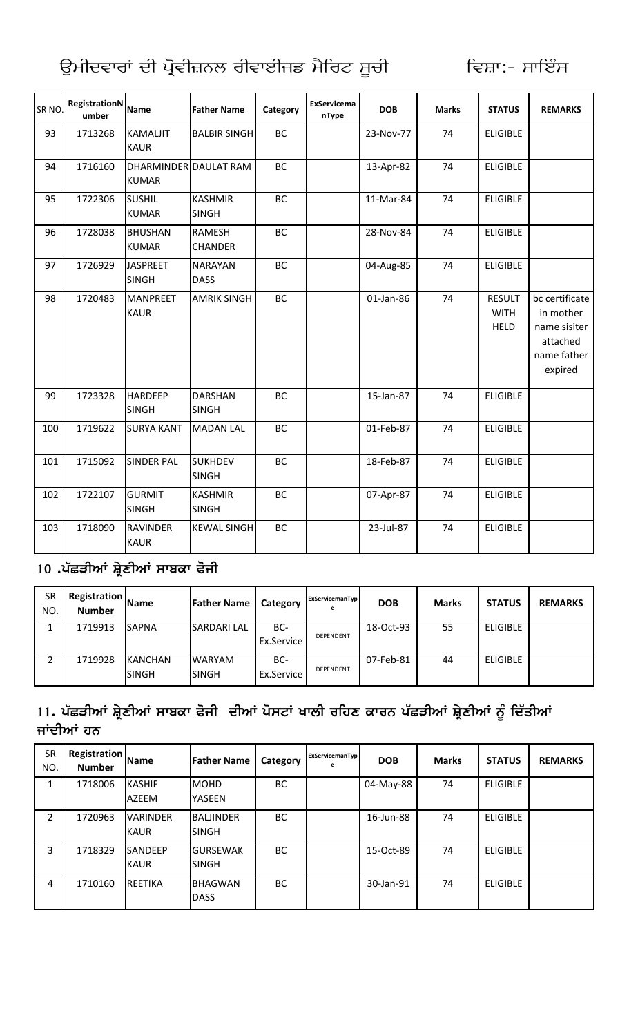| ਉਮੀਦਵਾਰਾਂ ਦੀ ਪ੍ਰੋਵੀਜ਼ਨਲ ਰੀਵਾਈਜਡ ਮੈਰਿਟ ਸੂਚੀ |  |  |  |
|--------------------------------------------|--|--|--|
|                                            |  |  |  |

| SR <sub>NO</sub> . | <b>RegistrationN</b><br>umber | <b>Name</b>                           | <b>Father Name</b>              | Category  | ExServicema<br>nType | <b>DOB</b> | <b>Marks</b> | <b>STATUS</b>                               | <b>REMARKS</b>                                                                    |
|--------------------|-------------------------------|---------------------------------------|---------------------------------|-----------|----------------------|------------|--------------|---------------------------------------------|-----------------------------------------------------------------------------------|
| 93                 | 1713268                       | <b>KAMALJIT</b><br><b>KAUR</b>        | <b>BALBIR SINGH</b>             | <b>BC</b> |                      | 23-Nov-77  | 74           | <b>ELIGIBLE</b>                             |                                                                                   |
| 94                 | 1716160                       | DHARMINDER DAULAT RAM<br><b>KUMAR</b> |                                 | <b>BC</b> |                      | 13-Apr-82  | 74           | <b>ELIGIBLE</b>                             |                                                                                   |
| 95                 | 1722306                       | <b>SUSHIL</b><br><b>KUMAR</b>         | <b>KASHMIR</b><br><b>SINGH</b>  | <b>BC</b> |                      | 11-Mar-84  | 74           | <b>ELIGIBLE</b>                             |                                                                                   |
| 96                 | 1728038                       | <b>BHUSHAN</b><br><b>KUMAR</b>        | <b>RAMESH</b><br><b>CHANDER</b> | <b>BC</b> |                      | 28-Nov-84  | 74           | <b>ELIGIBLE</b>                             |                                                                                   |
| 97                 | 1726929                       | <b>JASPREET</b><br><b>SINGH</b>       | <b>NARAYAN</b><br><b>DASS</b>   | BC        |                      | 04-Aug-85  | 74           | <b>ELIGIBLE</b>                             |                                                                                   |
| 98                 | 1720483                       | <b>MANPREET</b><br><b>KAUR</b>        | <b>AMRIK SINGH</b>              | <b>BC</b> |                      | 01-Jan-86  | 74           | <b>RESULT</b><br><b>WITH</b><br><b>HELD</b> | bc certificate<br>in mother<br>name sisiter<br>attached<br>name father<br>expired |
| 99                 | 1723328                       | <b>HARDEEP</b><br><b>SINGH</b>        | <b>DARSHAN</b><br><b>SINGH</b>  | <b>BC</b> |                      | 15-Jan-87  | 74           | <b>ELIGIBLE</b>                             |                                                                                   |
| 100                | 1719622                       | <b>SURYA KANT</b>                     | <b>MADAN LAL</b>                | BC        |                      | 01-Feb-87  | 74           | <b>ELIGIBLE</b>                             |                                                                                   |
| 101                | 1715092                       | <b>SINDER PAL</b>                     | <b>SUKHDEV</b><br><b>SINGH</b>  | BC        |                      | 18-Feb-87  | 74           | <b>ELIGIBLE</b>                             |                                                                                   |
| 102                | 1722107                       | <b>GURMIT</b><br><b>SINGH</b>         | <b>KASHMIR</b><br><b>SINGH</b>  | <b>BC</b> |                      | 07-Apr-87  | 74           | <b>ELIGIBLE</b>                             |                                                                                   |
| 103                | 1718090                       | <b>RAVINDER</b><br><b>KAUR</b>        | <b>KEWAL SINGH</b>              | <b>BC</b> |                      | 23-Jul-87  | 74           | <b>ELIGIBLE</b>                             |                                                                                   |

#### 10 .ਪੱਛੜੀਆਂ ਸ਼੍ਰੇਣੀਆਂ ਸਾਬਕਾ ਫੋਜੀ

| SR<br>NO. | Registration<br><b>Number</b> | <b>IName</b>                   | <b>Father Name</b>      | Category          | ExServicemanTyp<br>е | <b>DOB</b> | <b>Marks</b> | <b>STATUS</b>   | <b>REMARKS</b> |
|-----------|-------------------------------|--------------------------------|-------------------------|-------------------|----------------------|------------|--------------|-----------------|----------------|
|           | 1719913                       | <b>SAPNA</b>                   | <b>SARDARI LAL</b>      | BC-<br>Ex.Service | DEPENDENT            | 18-Oct-93  | 55           | <b>ELIGIBLE</b> |                |
|           | 1719928                       | <b>KANCHAN</b><br><b>SINGH</b> | <b>WARYAM</b><br>ISINGH | BC-<br>Ex.Service | <b>DEPENDENT</b>     | 07-Feb-81  | 44           | <b>ELIGIBLE</b> |                |

# 11. ਪੱਛੜੀਆਂ ਸ਼੍ਰੇਣੀਆਂ ਸਾਬਕਾ ਫੋਜੀ ਦੀਆਂ ਪੋਸਟਾਂ ਖਾਲੀ ਰਹਿਣ ਕਾਰਨ ਪੱਛੜੀਆਂ ਸ਼੍ਰੇਣੀਆਂ ਨੂੰ ਦਿੱਤੀਆਂ<br>ਜਾਂਦੀਆਂ ਹਨ

| SR<br>NO. | <b>Registration</b><br><b>Number</b> | <b>Name</b>                    | <b>Father Name</b>               | Category  | ExServicemanTyp<br>е | <b>DOB</b> | <b>Marks</b> | <b>STATUS</b>   | <b>REMARKS</b> |
|-----------|--------------------------------------|--------------------------------|----------------------------------|-----------|----------------------|------------|--------------|-----------------|----------------|
| 1         | 1718006                              | <b>KASHIF</b><br>AZEEM         | <b>MOHD</b><br><b>YASEEN</b>     | <b>BC</b> |                      | 04-May-88  | 74           | <b>ELIGIBLE</b> |                |
| 2         | 1720963                              | <b>VARINDER</b><br><b>KAUR</b> | <b>BALJINDER</b><br><b>SINGH</b> | <b>BC</b> |                      | 16-Jun-88  | 74           | <b>ELIGIBLE</b> |                |
| 3         | 1718329                              | <b>SANDEEP</b><br><b>KAUR</b>  | <b>GURSEWAK</b><br><b>SINGH</b>  | <b>BC</b> |                      | 15-Oct-89  | 74           | <b>ELIGIBLE</b> |                |
| 4         | 1710160                              | <b>REETIKA</b>                 | <b>BHAGWAN</b><br><b>DASS</b>    | <b>BC</b> |                      | 30-Jan-91  | 74           | <b>ELIGIBLE</b> |                |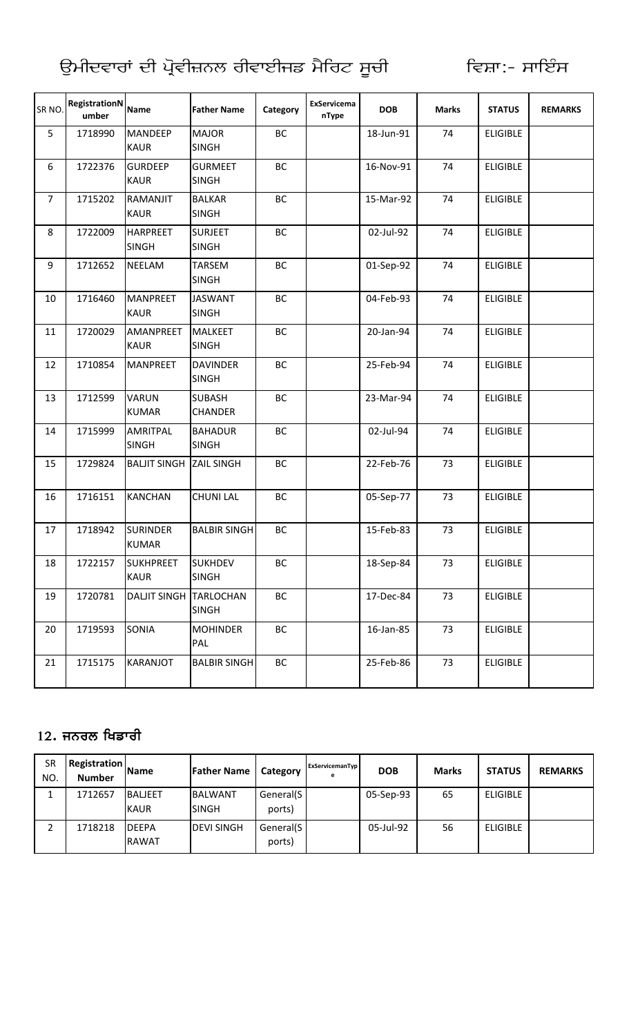| SR <sub>NO</sub> | RegistrationN<br>umber | <b>Name</b>                     | <b>Father Name</b>              | Category  | ExServicema<br>nType | <b>DOB</b> | <b>Marks</b> | <b>STATUS</b>   | <b>REMARKS</b> |
|------------------|------------------------|---------------------------------|---------------------------------|-----------|----------------------|------------|--------------|-----------------|----------------|
| 5                | 1718990                | <b>MANDEEP</b><br><b>KAUR</b>   | <b>MAJOR</b><br><b>SINGH</b>    | BC        |                      | 18-Jun-91  | 74           | <b>ELIGIBLE</b> |                |
| 6                | 1722376                | <b>GURDEEP</b><br><b>KAUR</b>   | <b>GURMEET</b><br><b>SINGH</b>  | <b>BC</b> |                      | 16-Nov-91  | 74           | <b>ELIGIBLE</b> |                |
| $\overline{7}$   | 1715202                | RAMANJIT<br><b>KAUR</b>         | <b>BALKAR</b><br><b>SINGH</b>   | BC        |                      | 15-Mar-92  | 74           | <b>ELIGIBLE</b> |                |
| 8                | 1722009                | <b>HARPREET</b><br><b>SINGH</b> | <b>SURJEET</b><br><b>SINGH</b>  | ВC        |                      | 02-Jul-92  | 74           | <b>ELIGIBLE</b> |                |
| 9                | 1712652                | <b>NEELAM</b>                   | <b>TARSEM</b><br><b>SINGH</b>   | BC        |                      | 01-Sep-92  | 74           | <b>ELIGIBLE</b> |                |
| 10               | 1716460                | <b>MANPREET</b><br><b>KAUR</b>  | <b>JASWANT</b><br><b>SINGH</b>  | BC        |                      | 04-Feb-93  | 74           | <b>ELIGIBLE</b> |                |
| 11               | 1720029                | AMANPREET<br><b>KAUR</b>        | <b>MALKEET</b><br><b>SINGH</b>  | BC        |                      | 20-Jan-94  | 74           | <b>ELIGIBLE</b> |                |
| 12               | 1710854                | <b>MANPREET</b>                 | <b>DAVINDER</b><br><b>SINGH</b> | BC        |                      | 25-Feb-94  | 74           | <b>ELIGIBLE</b> |                |
| 13               | 1712599                | <b>VARUN</b><br><b>KUMAR</b>    | <b>SUBASH</b><br><b>CHANDER</b> | BC        |                      | 23-Mar-94  | 74           | <b>ELIGIBLE</b> |                |
| 14               | 1715999                | AMRITPAL<br><b>SINGH</b>        | <b>BAHADUR</b><br><b>SINGH</b>  | BC        |                      | 02-Jul-94  | 74           | <b>ELIGIBLE</b> |                |
| 15               | 1729824                | <b>BALJIT SINGH</b>             | <b>ZAIL SINGH</b>               | BC        |                      | 22-Feb-76  | 73           | <b>ELIGIBLE</b> |                |
| 16               | 1716151                | <b>KANCHAN</b>                  | <b>CHUNI LAL</b>                | BC        |                      | 05-Sep-77  | 73           | <b>ELIGIBLE</b> |                |
| 17               | 1718942                | <b>SURINDER</b><br><b>KUMAR</b> | <b>BALBIR SINGH</b>             | BC        |                      | 15-Feb-83  | 73           | <b>ELIGIBLE</b> |                |
| 18               | 1722157                | <b>SUKHPREET</b><br><b>KAUR</b> | <b>SUKHDEV</b><br><b>SINGH</b>  | ВC        |                      | 18-Sep-84  | 73           | <b>ELIGIBLE</b> |                |
| 19               | 1720781                | DALJIT SINGH TARLOCHAN          | <b>SINGH</b>                    | BC        |                      | 17-Dec-84  | 73           | <b>ELIGIBLE</b> |                |
| 20               | 1719593                | SONIA                           | <b>MOHINDER</b><br>PAL          | ВC        |                      | 16-Jan-85  | 73           | <b>ELIGIBLE</b> |                |
| 21               | 1715175                | KARANJOT                        | <b>BALBIR SINGH</b>             | ВC        |                      | 25-Feb-86  | 73           | <b>ELIGIBLE</b> |                |

#### 12**.** ਜਨਰਲ ਖਿਡਾਰੀ

| SR<br>NO. | Registration<br><b>Number</b> | <b>Name</b>                   | <b>Father Name</b>       | Category            | ExServicemanTyp<br>е | <b>DOB</b> | <b>Marks</b> | <b>STATUS</b>   | <b>REMARKS</b> |
|-----------|-------------------------------|-------------------------------|--------------------------|---------------------|----------------------|------------|--------------|-----------------|----------------|
|           | 1712657                       | <b>BALJEET</b><br><b>KAUR</b> | <b>BALWANT</b><br>ISINGH | General(S<br>ports) |                      | 05-Sep-93  | 65           | <b>ELIGIBLE</b> |                |
|           | 1718218                       | <b>IDEEPA</b><br><b>RAWAT</b> | <b>DEVI SINGH</b>        | General(S<br>ports) |                      | 05-Jul-92  | 56           | <b>ELIGIBLE</b> |                |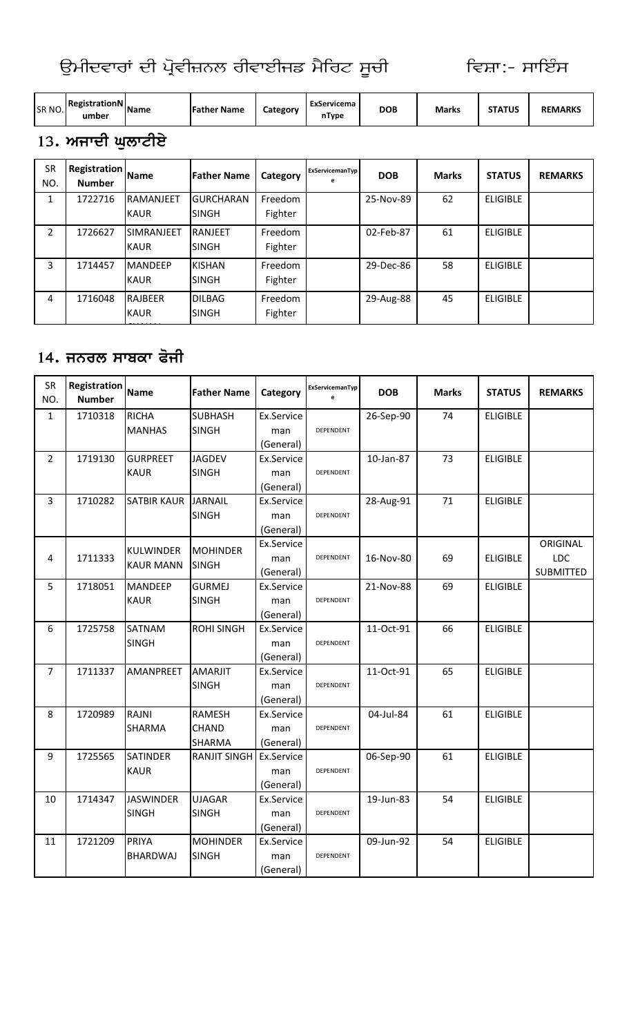| SR NO. | RegistrationN<br>umber | <b>IName</b> | <b>Father Name</b> | Category | ExServicema<br>nType | <b>DOB</b> | <b>Marks</b> | <b>STATUS</b> | <b>REMARKS</b> |
|--------|------------------------|--------------|--------------------|----------|----------------------|------------|--------------|---------------|----------------|
|--------|------------------------|--------------|--------------------|----------|----------------------|------------|--------------|---------------|----------------|

## 13. ਅਜਾਦੀ ਘੁਲਾਟੀਏ

| <b>SR</b><br>NO. | <b>Registration</b><br><b>Number</b> | <b>Name</b>                      | <b>Father Name</b>               | Category           | ExServicemanTyp<br>e | <b>DOB</b> | <b>Marks</b> | <b>STATUS</b>   | <b>REMARKS</b> |
|------------------|--------------------------------------|----------------------------------|----------------------------------|--------------------|----------------------|------------|--------------|-----------------|----------------|
| 1                | 1722716                              | <b>RAMANJEET</b><br><b>KAUR</b>  | <b>GURCHARAN</b><br><b>SINGH</b> | Freedom<br>Fighter |                      | 25-Nov-89  | 62           | <b>ELIGIBLE</b> |                |
| $\overline{2}$   | 1726627                              | <b>SIMRANJEET</b><br><b>KAUR</b> | <b>RANJEET</b><br><b>SINGH</b>   | Freedom<br>Fighter |                      | 02-Feb-87  | 61           | <b>ELIGIBLE</b> |                |
| 3                | 1714457                              | <b>MANDEEP</b><br><b>KAUR</b>    | <b>KISHAN</b><br><b>SINGH</b>    | Freedom<br>Fighter |                      | 29-Dec-86  | 58           | <b>ELIGIBLE</b> |                |
| 4                | 1716048                              | <b>RAJBEER</b><br><b>KAUR</b>    | <b>DILBAG</b><br><b>SINGH</b>    | Freedom<br>Fighter |                      | 29-Aug-88  | 45           | <b>ELIGIBLE</b> |                |

#### 14. ਜਨਰਲ ਸਾਬਕਾ ਫੋਜੀ

| SR<br>NO.      | Registration<br><b>Number</b> | <b>Name</b>        | <b>Father Name</b>  | Category                | ExServicemanTyp | <b>DOB</b> | <b>Marks</b> | <b>STATUS</b>   | <b>REMARKS</b>   |
|----------------|-------------------------------|--------------------|---------------------|-------------------------|-----------------|------------|--------------|-----------------|------------------|
| $\mathbf{1}$   | 1710318                       | <b>RICHA</b>       | <b>SUBHASH</b>      | Ex.Service              |                 | 26-Sep-90  | 74           | <b>ELIGIBLE</b> |                  |
|                |                               | <b>MANHAS</b>      | <b>SINGH</b>        |                         | DEPENDENT       |            |              |                 |                  |
|                |                               |                    |                     | man<br>(General)        |                 |            |              |                 |                  |
| $\overline{2}$ | 1719130                       | <b>GURPREET</b>    | <b>JAGDEV</b>       | Ex.Service              |                 | 10-Jan-87  | 73           | <b>ELIGIBLE</b> |                  |
|                |                               | <b>KAUR</b>        | <b>SINGH</b>        |                         | DEPENDENT       |            |              |                 |                  |
|                |                               |                    |                     | man                     |                 |            |              |                 |                  |
| $\overline{3}$ | 1710282                       | <b>SATBIR KAUR</b> | JARNAIL             | (General)<br>Ex.Service |                 | 28-Aug-91  | 71           | <b>ELIGIBLE</b> |                  |
|                |                               |                    | <b>SINGH</b>        |                         | DEPENDENT       |            |              |                 |                  |
|                |                               |                    |                     | man                     |                 |            |              |                 |                  |
|                |                               |                    |                     | (General)<br>Ex.Service |                 |            |              |                 | ORIGINAL         |
|                |                               | KULWINDER          | <b>MOHINDER</b>     |                         | DEPENDENT       | 16-Nov-80  | 69           |                 | LDC              |
| 4              | 1711333                       | <b>KAUR MANN</b>   | <b>SINGH</b>        | man                     |                 |            |              | <b>ELIGIBLE</b> | <b>SUBMITTED</b> |
| 5              | 1718051                       | <b>MANDEEP</b>     | <b>GURMEJ</b>       | (General)<br>Ex.Service |                 | 21-Nov-88  | 69           | <b>ELIGIBLE</b> |                  |
|                |                               | <b>KAUR</b>        | <b>SINGH</b>        |                         | DEPENDENT       |            |              |                 |                  |
|                |                               |                    |                     | man<br>(General)        |                 |            |              |                 |                  |
| 6              | 1725758                       | <b>SATNAM</b>      | <b>ROHI SINGH</b>   | Ex.Service              |                 | 11-Oct-91  | 66           | <b>ELIGIBLE</b> |                  |
|                |                               | <b>SINGH</b>       |                     |                         | DEPENDENT       |            |              |                 |                  |
|                |                               |                    |                     | man                     |                 |            |              |                 |                  |
| $\overline{7}$ | 1711337                       | AMANPREET          | <b>AMARJIT</b>      | (General)<br>Ex.Service |                 | 11-Oct-91  | 65           | <b>ELIGIBLE</b> |                  |
|                |                               |                    | <b>SINGH</b>        | man                     | DEPENDENT       |            |              |                 |                  |
|                |                               |                    |                     | (General)               |                 |            |              |                 |                  |
| 8              | 1720989                       | RAJNI              | <b>RAMESH</b>       | Ex.Service              |                 | 04-Jul-84  | 61           | <b>ELIGIBLE</b> |                  |
|                |                               | SHARMA             | <b>CHAND</b>        | man                     | DEPENDENT       |            |              |                 |                  |
|                |                               |                    | <b>SHARMA</b>       | (General)               |                 |            |              |                 |                  |
| 9              | 1725565                       | <b>SATINDER</b>    | <b>RANJIT SINGH</b> | Ex.Service              |                 | 06-Sep-90  | 61           | <b>ELIGIBLE</b> |                  |
|                |                               | <b>KAUR</b>        |                     | man                     | DEPENDENT       |            |              |                 |                  |
|                |                               |                    |                     | (General)               |                 |            |              |                 |                  |
| 10             | 1714347                       | <b>JASWINDER</b>   | <b>UJAGAR</b>       | Ex.Service              |                 | 19-Jun-83  | 54           | <b>ELIGIBLE</b> |                  |
|                |                               | <b>SINGH</b>       | <b>SINGH</b>        | man                     | DEPENDENT       |            |              |                 |                  |
|                |                               |                    |                     | (General)               |                 |            |              |                 |                  |
| 11             | 1721209                       | PRIYA              | <b>MOHINDER</b>     | Ex.Service              |                 | 09-Jun-92  | 54           | <b>ELIGIBLE</b> |                  |
|                |                               | <b>BHARDWAJ</b>    | <b>SINGH</b>        |                         | DEPENDENT       |            |              |                 |                  |
|                |                               |                    |                     | man                     |                 |            |              |                 |                  |
|                |                               |                    |                     | (General)               |                 |            |              |                 |                  |